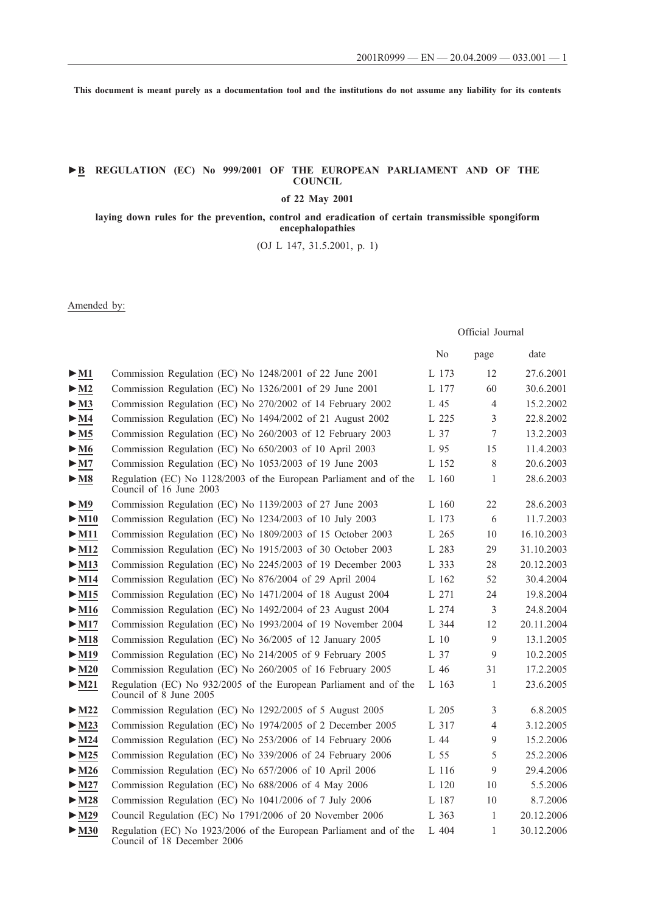**This document is meant purely as a documentation tool and the institutions do not assume any liability for its contents**

# **►B REGULATION (EC) No 999/2001 OF THE EUROPEAN PARLIAMENT AND OF THE COUNCIL**

**of 22 May 2001**

# **laying down rules for the prevention, control and eradication of certain transmissible spongiform encephalopathies**

(OJ L 147, 31.5.2001, p. 1)

Amended by:

# Official Journal

|                           |                                                                                                   | N <sub>0</sub> | page         | date       |
|---------------------------|---------------------------------------------------------------------------------------------------|----------------|--------------|------------|
| $>$ M1                    | Commission Regulation (EC) No 1248/2001 of 22 June 2001                                           | L 173          | 12           | 27.6.2001  |
| $>$ M2                    | Commission Regulation (EC) No 1326/2001 of 29 June 2001                                           | L 177          | 60           | 30.6.2001  |
| $>$ M3                    | Commission Regulation (EC) No 270/2002 of 14 February 2002                                        | L 45           | 4            | 15.2.2002  |
| $>$ M4                    | Commission Regulation (EC) No 1494/2002 of 21 August 2002                                         | L 225          | 3            | 22.8.2002  |
| > M5                      | Commission Regulation (EC) No 260/2003 of 12 February 2003                                        | L 37           | 7            | 13.2.2003  |
| $\blacktriangleright$ M6  | Commission Regulation (EC) No 650/2003 of 10 April 2003                                           | L 95           | 15           | 11.4.2003  |
| > M7                      | Commission Regulation (EC) No 1053/2003 of 19 June 2003                                           | L 152          | 8            | 20.6.2003  |
| $>$ M8                    | Regulation (EC) No 1128/2003 of the European Parliament and of the<br>Council of 16 June 2003     | L 160          | 1            | 28.6.2003  |
| $>$ M9                    | Commission Regulation (EC) No 1139/2003 of 27 June 2003                                           | $L$ 160        | 22           | 28.6.2003  |
| $>$ M10                   | Commission Regulation (EC) No 1234/2003 of 10 July 2003                                           | L 173          | 6            | 11.7.2003  |
| $\blacktriangleright$ M11 | Commission Regulation (EC) No 1809/2003 of 15 October 2003                                        | L 265          | 10           | 16.10.2003 |
| $>$ M12                   | Commission Regulation (EC) No 1915/2003 of 30 October 2003                                        | L 283          | 29           | 31.10.2003 |
| $>$ M13                   | Commission Regulation (EC) No 2245/2003 of 19 December 2003                                       | L 333          | 28           | 20.12.2003 |
| $>$ M14                   | Commission Regulation (EC) No 876/2004 of 29 April 2004                                           | L 162          | 52           | 30.4.2004  |
| $>$ M15                   | Commission Regulation (EC) No 1471/2004 of 18 August 2004                                         | L 271          | 24           | 19.8.2004  |
| $\blacktriangleright$ M16 | Commission Regulation (EC) No 1492/2004 of 23 August 2004                                         | L 274          | 3            | 24.8.2004  |
| $\blacktriangleright$ M17 | Commission Regulation (EC) No 1993/2004 of 19 November 2004                                       | L 344          | 12           | 20.11.2004 |
| $\blacktriangleright$ M18 | Commission Regulation (EC) No 36/2005 of 12 January 2005                                          | L 10           | 9            | 13.1.2005  |
| $>$ M19                   | Commission Regulation (EC) No 214/2005 of 9 February 2005                                         | L 37           | 9            | 10.2.2005  |
| $>$ M20                   | Commission Regulation (EC) No 260/2005 of 16 February 2005                                        | L 46           | 31           | 17.2.2005  |
| $>$ M21                   | Regulation (EC) No 932/2005 of the European Parliament and of the<br>Council of 8 June 2005       | L 163          | 1            | 23.6.2005  |
| $\blacktriangleright$ M22 | Commission Regulation (EC) No 1292/2005 of 5 August 2005                                          | L 205          | 3            | 6.8.2005   |
| $>$ M23                   | Commission Regulation (EC) No 1974/2005 of 2 December 2005                                        | L 317          | 4            | 3.12.2005  |
| $\blacktriangleright$ M24 | Commission Regulation (EC) No 253/2006 of 14 February 2006                                        | L 44           | 9            | 15.2.2006  |
| $>$ M25                   | Commission Regulation (EC) No 339/2006 of 24 February 2006                                        | L 55           | 5            | 25.2.2006  |
| $\blacktriangleright$ M26 | Commission Regulation (EC) No 657/2006 of 10 April 2006                                           | L 116          | 9            | 29.4.2006  |
| $>$ M27                   | Commission Regulation (EC) No 688/2006 of 4 May 2006                                              | L 120          | 10           | 5.5.2006   |
| $>$ M28                   | Commission Regulation (EC) No 1041/2006 of 7 July 2006                                            | L 187          | 10           | 8.7.2006   |
| $>$ M29                   | Council Regulation (EC) No 1791/2006 of 20 November 2006                                          | L 363          | $\mathbf{1}$ | 20.12.2006 |
| $>$ M30                   | Regulation (EC) No 1923/2006 of the European Parliament and of the<br>Council of 18 December 2006 | L 404          | 1            | 30.12.2006 |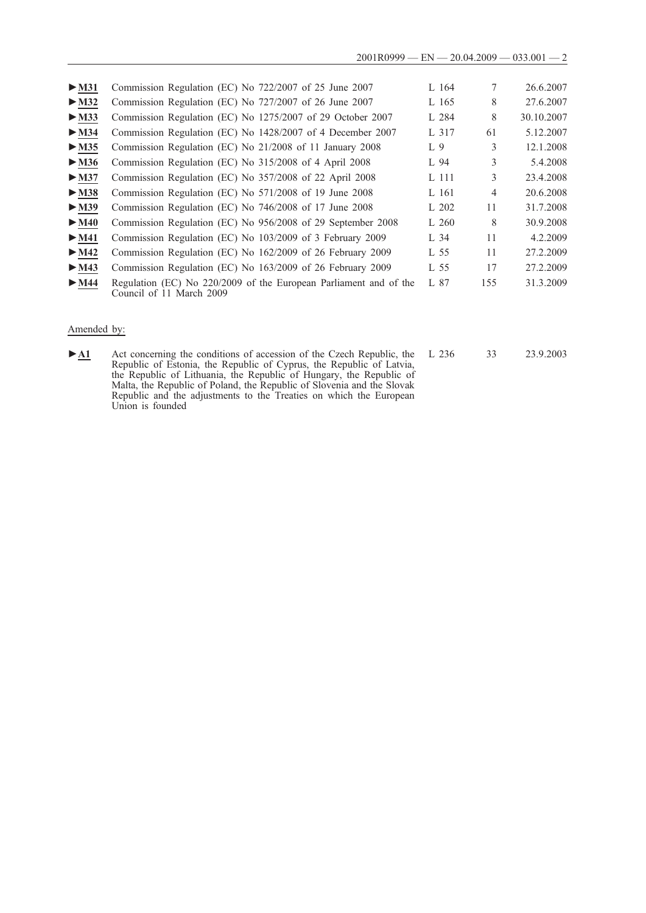| $\triangleright$ M31      | Commission Regulation (EC) No 722/2007 of 25 June 2007                                        | L 164 | 7              | 26.6.2007  |
|---------------------------|-----------------------------------------------------------------------------------------------|-------|----------------|------------|
| $\blacktriangleright$ M32 | Commission Regulation (EC) No 727/2007 of 26 June 2007                                        | L 165 | 8              | 27.6.2007  |
| $\blacktriangleright$ M33 | Commission Regulation (EC) No 1275/2007 of 29 October 2007                                    | L 284 | 8              | 30.10.2007 |
| $\blacktriangleright$ M34 | Commission Regulation (EC) No 1428/2007 of 4 December 2007                                    | L 317 | 61             | 5.12.2007  |
| $\blacktriangleright$ M35 | Commission Regulation (EC) No 21/2008 of 11 January 2008                                      | L 9   | 3              | 12.1.2008  |
| $\blacktriangleright$ M36 | Commission Regulation (EC) No 315/2008 of 4 April 2008                                        | L 94  | 3              | 5.4.2008   |
| $\blacktriangleright$ M37 | Commission Regulation (EC) No 357/2008 of 22 April 2008                                       | L 111 | 3              | 23.4.2008  |
| $\blacktriangleright$ M38 | Commission Regulation (EC) No 571/2008 of 19 June 2008                                        | L 161 | $\overline{4}$ | 20.6.2008  |
| $\blacktriangleright$ M39 | Commission Regulation (EC) No 746/2008 of 17 June 2008                                        | L 202 | 11             | 31.7.2008  |
| $\blacktriangleright$ M40 | Commission Regulation (EC) No 956/2008 of 29 September 2008                                   | L 260 | 8              | 30.9.2008  |
| $>$ M41                   | Commission Regulation (EC) No 103/2009 of 3 February 2009                                     | L 34  | 11             | 4.2.2009   |
| $\blacktriangleright$ M42 | Commission Regulation (EC) No 162/2009 of 26 February 2009                                    | L 55  | 11             | 27.2.2009  |
| $\blacktriangleright$ M43 | Commission Regulation (EC) No 163/2009 of 26 February 2009                                    | L 55  | 17             | 27.2.2009  |
| $\blacktriangleright$ M44 | Regulation (EC) No 220/2009 of the European Parliament and of the<br>Council of 11 March 2009 | L 87  | 155            | 31.3.2009  |

# Amended by:

►**A1** Act concerning the conditions of accession of the Czech Republic, the Republic of Estonia, the Republic of Cyprus, the Republic of Latvia, the Republic of Lithuania, the Republic of Hungary, the Republic of Malta, the Republic of Poland, the Republic of Slovenia and the Slovak Republic and the adjustments to the Treaties on which the European Union is founded

L 236 33 23.9.2003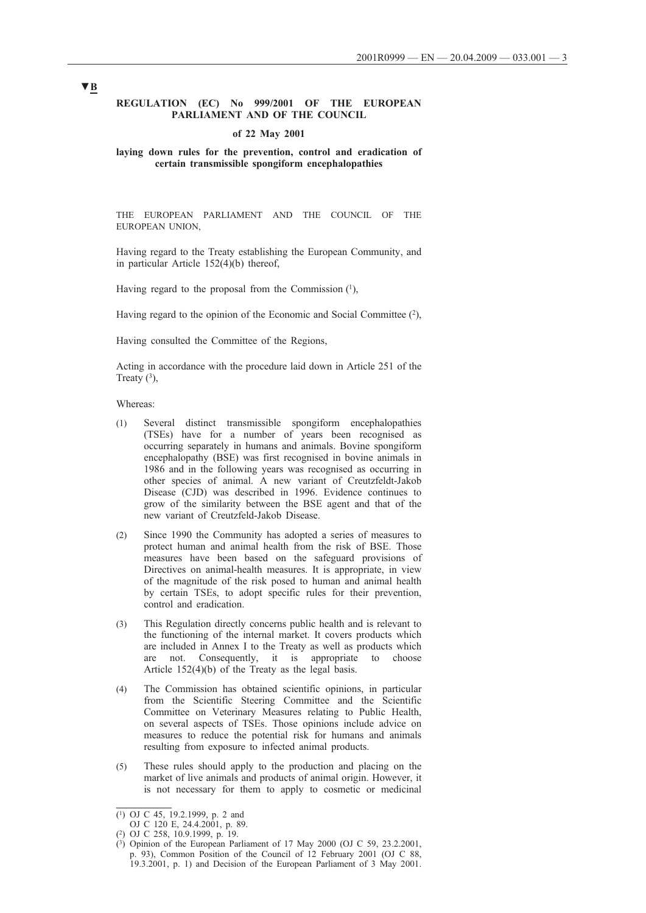## **REGULATION (EC) No 999/2001 OF THE EUROPEAN PARLIAMENT AND OF THE COUNCIL**

#### **of 22 May 2001**

## **laying down rules for the prevention, control and eradication of certain transmissible spongiform encephalopathies**

THE EUROPEAN PARLIAMENT AND THE COUNCIL OF THE EUROPEAN UNION,

Having regard to the Treaty establishing the European Community, and in particular Article 152(4)(b) thereof,

Having regard to the proposal from the Commission  $(1)$ ,

Having regard to the opinion of the Economic and Social Committee  $(2)$ ,

Having consulted the Committee of the Regions,

Acting in accordance with the procedure laid down in Article 251 of the Treaty  $(3)$ ,

Whereas:

- (1) Several distinct transmissible spongiform encephalopathies (TSEs) have for a number of years been recognised as occurring separately in humans and animals. Bovine spongiform encephalopathy (BSE) was first recognised in bovine animals in 1986 and in the following years was recognised as occurring in other species of animal. A new variant of Creutzfeldt-Jakob Disease (CJD) was described in 1996. Evidence continues to grow of the similarity between the BSE agent and that of the new variant of Creutzfeld-Jakob Disease.
- (2) Since 1990 the Community has adopted a series of measures to protect human and animal health from the risk of BSE. Those measures have been based on the safeguard provisions of Directives on animal-health measures. It is appropriate, in view of the magnitude of the risk posed to human and animal health by certain TSEs, to adopt specific rules for their prevention, control and eradication.
- (3) This Regulation directly concerns public health and is relevant to the functioning of the internal market. It covers products which are included in Annex I to the Treaty as well as products which are not. Consequently, it is appropriate to choose Article  $152(4)(b)$  of the Treaty as the legal basis.
- (4) The Commission has obtained scientific opinions, in particular from the Scientific Steering Committee and the Scientific Committee on Veterinary Measures relating to Public Health, on several aspects of TSEs. Those opinions include advice on measures to reduce the potential risk for humans and animals resulting from exposure to infected animal products.
- (5) These rules should apply to the production and placing on the market of live animals and products of animal origin. However, it is not necessary for them to apply to cosmetic or medicinal

 $(1)$  OJ C 45, 19.2.1999, p. 2 and

OJ C 120 E, 24.4.2001, p. 89.

<sup>(2)</sup> OJ C 258, 10.9.1999, p. 19.

<sup>(3)</sup> Opinion of the European Parliament of 17 May 2000 (OJ C 59, 23.2.2001, p. 93), Common Position of the Council of 12 February 2001 (OJ C 88, 19.3.2001, p. 1) and Decision of the European Parliament of 3 May 2001.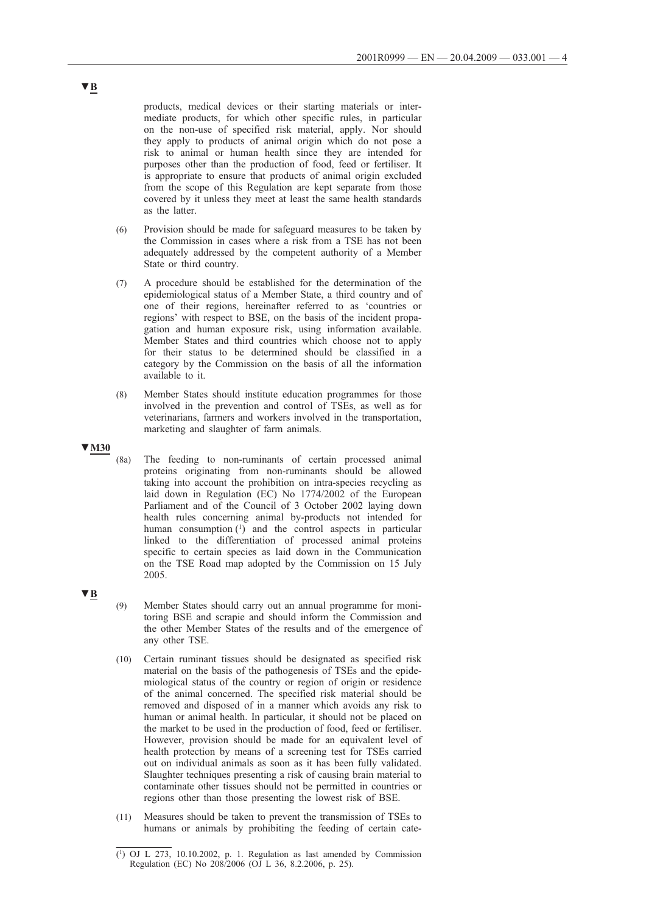products, medical devices or their starting materials or intermediate products, for which other specific rules, in particular on the non-use of specified risk material, apply. Nor should they apply to products of animal origin which do not pose a risk to animal or human health since they are intended for purposes other than the production of food, feed or fertiliser. It is appropriate to ensure that products of animal origin excluded from the scope of this Regulation are kept separate from those covered by it unless they meet at least the same health standards as the latter.

- (6) Provision should be made for safeguard measures to be taken by the Commission in cases where a risk from a TSE has not been adequately addressed by the competent authority of a Member State or third country.
- (7) A procedure should be established for the determination of the epidemiological status of a Member State, a third country and of one of their regions, hereinafter referred to as 'countries or regions' with respect to BSE, on the basis of the incident propagation and human exposure risk, using information available. Member States and third countries which choose not to apply for their status to be determined should be classified in a category by the Commission on the basis of all the information available to it.
- (8) Member States should institute education programmes for those involved in the prevention and control of TSEs, as well as for veterinarians, farmers and workers involved in the transportation, marketing and slaughter of farm animals.

## **▼M30**

- (8a) The feeding to non-ruminants of certain processed animal proteins originating from non-ruminants should be allowed taking into account the prohibition on intra-species recycling as laid down in Regulation (EC) No 1774/2002 of the European Parliament and of the Council of 3 October 2002 laying down health rules concerning animal by-products not intended for human consumption  $(1)$  and the control aspects in particular linked to the differentiation of processed animal proteins specific to certain species as laid down in the Communication on the TSE Road map adopted by the Commission on 15 July 2005.
- **▼B**
- (9) Member States should carry out an annual programme for monitoring BSE and scrapie and should inform the Commission and the other Member States of the results and of the emergence of any other TSE.
- (10) Certain ruminant tissues should be designated as specified risk material on the basis of the pathogenesis of TSEs and the epidemiological status of the country or region of origin or residence of the animal concerned. The specified risk material should be removed and disposed of in a manner which avoids any risk to human or animal health. In particular, it should not be placed on the market to be used in the production of food, feed or fertiliser. However, provision should be made for an equivalent level of health protection by means of a screening test for TSEs carried out on individual animals as soon as it has been fully validated. Slaughter techniques presenting a risk of causing brain material to contaminate other tissues should not be permitted in countries or regions other than those presenting the lowest risk of BSE.
- (11) Measures should be taken to prevent the transmission of TSEs to humans or animals by prohibiting the feeding of certain cate-

<sup>(1)</sup> OJ L 273, 10.10.2002, p. 1. Regulation as last amended by Commission Regulation (EC) No 208/2006 (OJ L 36, 8.2.2006, p. 25).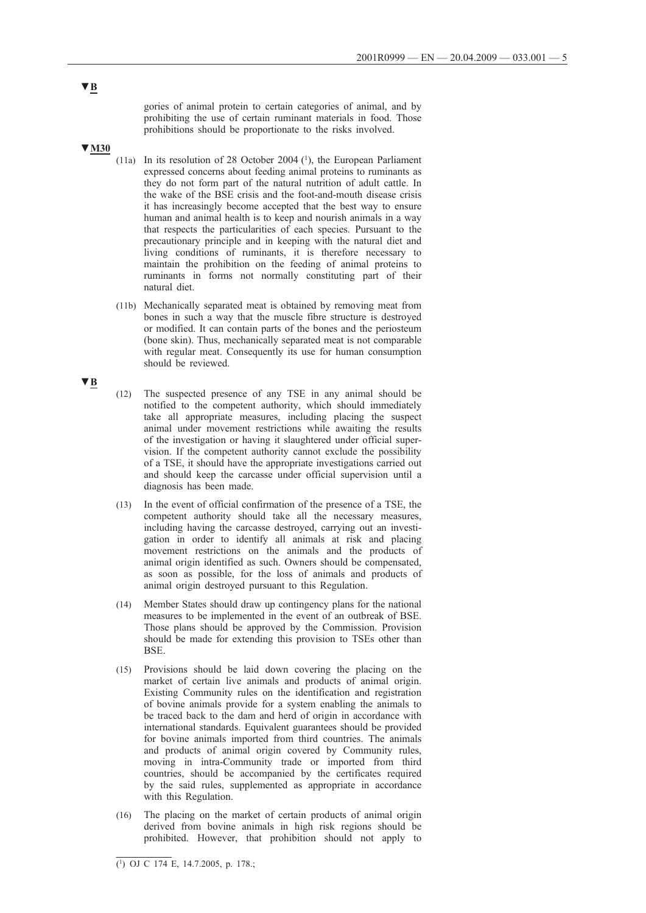gories of animal protein to certain categories of animal, and by prohibiting the use of certain ruminant materials in food. Those prohibitions should be proportionate to the risks involved.

- **▼M30**
- (11a) In its resolution of 28 October 2004 (1), the European Parliament expressed concerns about feeding animal proteins to ruminants as they do not form part of the natural nutrition of adult cattle. In the wake of the BSE crisis and the foot-and-mouth disease crisis it has increasingly become accepted that the best way to ensure human and animal health is to keep and nourish animals in a way that respects the particularities of each species. Pursuant to the precautionary principle and in keeping with the natural diet and living conditions of ruminants, it is therefore necessary to maintain the prohibition on the feeding of animal proteins to ruminants in forms not normally constituting part of their natural diet.
- (11b) Mechanically separated meat is obtained by removing meat from bones in such a way that the muscle fibre structure is destroyed or modified. It can contain parts of the bones and the periosteum (bone skin). Thus, mechanically separated meat is not comparable with regular meat. Consequently its use for human consumption should be reviewed.
- (12) The suspected presence of any TSE in any animal should be notified to the competent authority, which should immediately take all appropriate measures, including placing the suspect animal under movement restrictions while awaiting the results of the investigation or having it slaughtered under official supervision. If the competent authority cannot exclude the possibility of a TSE, it should have the appropriate investigations carried out and should keep the carcasse under official supervision until a diagnosis has been made.
- (13) In the event of official confirmation of the presence of a TSE, the competent authority should take all the necessary measures, including having the carcasse destroyed, carrying out an investigation in order to identify all animals at risk and placing movement restrictions on the animals and the products of animal origin identified as such. Owners should be compensated, as soon as possible, for the loss of animals and products of animal origin destroyed pursuant to this Regulation.
- (14) Member States should draw up contingency plans for the national measures to be implemented in the event of an outbreak of BSE. Those plans should be approved by the Commission. Provision should be made for extending this provision to TSEs other than **BSE**
- (15) Provisions should be laid down covering the placing on the market of certain live animals and products of animal origin. Existing Community rules on the identification and registration of bovine animals provide for a system enabling the animals to be traced back to the dam and herd of origin in accordance with international standards. Equivalent guarantees should be provided for bovine animals imported from third countries. The animals and products of animal origin covered by Community rules, moving in intra-Community trade or imported from third countries, should be accompanied by the certificates required by the said rules, supplemented as appropriate in accordance with this Regulation.
- (16) The placing on the market of certain products of animal origin derived from bovine animals in high risk regions should be prohibited. However, that prohibition should not apply to

# **▼B**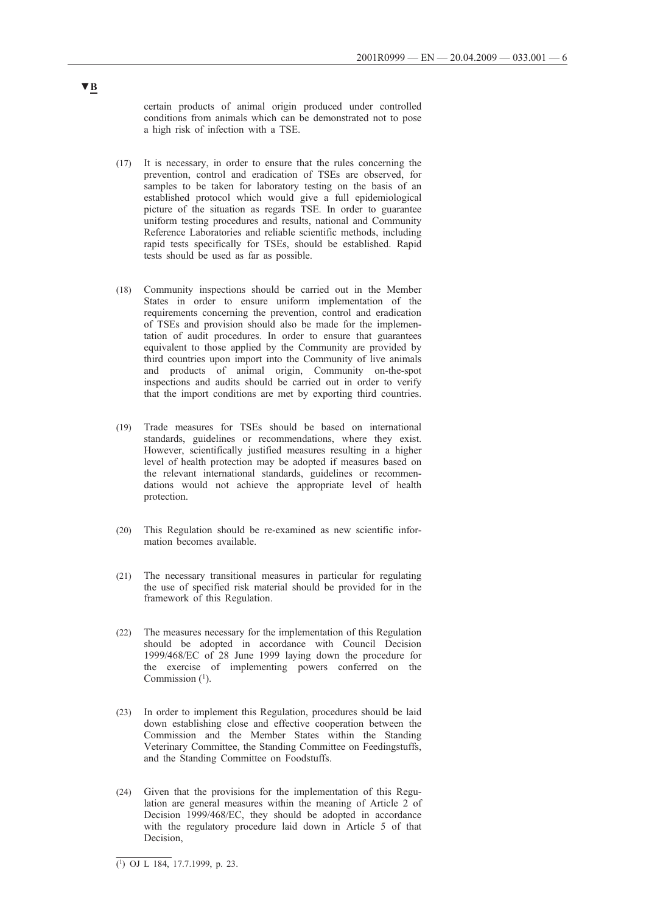certain products of animal origin produced under controlled conditions from animals which can be demonstrated not to pose a high risk of infection with a TSE.

- (17) It is necessary, in order to ensure that the rules concerning the prevention, control and eradication of TSEs are observed, for samples to be taken for laboratory testing on the basis of an established protocol which would give a full epidemiological picture of the situation as regards TSE. In order to guarantee uniform testing procedures and results, national and Community Reference Laboratories and reliable scientific methods, including rapid tests specifically for TSEs, should be established. Rapid tests should be used as far as possible.
- (18) Community inspections should be carried out in the Member States in order to ensure uniform implementation of the requirements concerning the prevention, control and eradication of TSEs and provision should also be made for the implementation of audit procedures. In order to ensure that guarantees equivalent to those applied by the Community are provided by third countries upon import into the Community of live animals and products of animal origin, Community on-the-spot inspections and audits should be carried out in order to verify that the import conditions are met by exporting third countries.
- (19) Trade measures for TSEs should be based on international standards, guidelines or recommendations, where they exist. However, scientifically justified measures resulting in a higher level of health protection may be adopted if measures based on the relevant international standards, guidelines or recommendations would not achieve the appropriate level of health protection.
- (20) This Regulation should be re-examined as new scientific information becomes available.
- (21) The necessary transitional measures in particular for regulating the use of specified risk material should be provided for in the framework of this Regulation.
- (22) The measures necessary for the implementation of this Regulation should be adopted in accordance with Council Decision 1999/468/EC of 28 June 1999 laying down the procedure for the exercise of implementing powers conferred on the Commission  $(1)$ .
- (23) In order to implement this Regulation, procedures should be laid down establishing close and effective cooperation between the Commission and the Member States within the Standing Veterinary Committee, the Standing Committee on Feedingstuffs, and the Standing Committee on Foodstuffs.
- (24) Given that the provisions for the implementation of this Regulation are general measures within the meaning of Article 2 of Decision 1999/468/EC, they should be adopted in accordance with the regulatory procedure laid down in Article 5 of that Decision,

 $\overline{(^1)}$  OJ L 184, 17.7.1999, p. 23.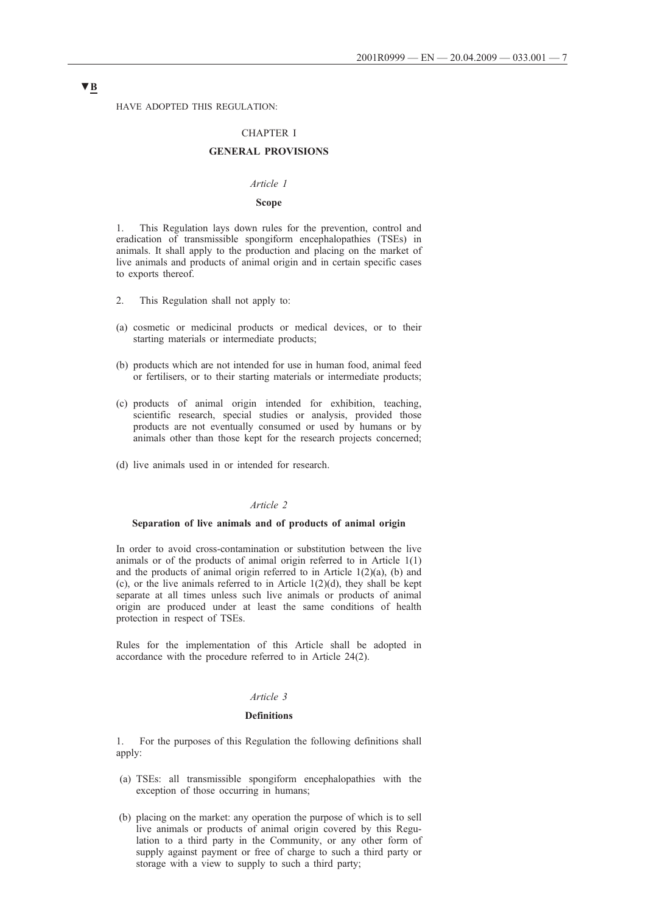HAVE ADOPTED THIS REGULATION:

#### CHAPTER I

## **GENERAL PROVISIONS**

## *Article 1*

#### **Scope**

1. This Regulation lays down rules for the prevention, control and eradication of transmissible spongiform encephalopathies (TSEs) in animals. It shall apply to the production and placing on the market of live animals and products of animal origin and in certain specific cases to exports thereof.

- 2. This Regulation shall not apply to:
- (a) cosmetic or medicinal products or medical devices, or to their starting materials or intermediate products;
- (b) products which are not intended for use in human food, animal feed or fertilisers, or to their starting materials or intermediate products;
- (c) products of animal origin intended for exhibition, teaching, scientific research, special studies or analysis, provided those products are not eventually consumed or used by humans or by animals other than those kept for the research projects concerned;
- (d) live animals used in or intended for research.

# *Article 2*

#### **Separation of live animals and of products of animal origin**

In order to avoid cross-contamination or substitution between the live animals or of the products of animal origin referred to in Article 1(1) and the products of animal origin referred to in Article  $1(2)(a)$ , (b) and (c), or the live animals referred to in Article  $1(2)(d)$ , they shall be kept separate at all times unless such live animals or products of animal origin are produced under at least the same conditions of health protection in respect of TSEs.

Rules for the implementation of this Article shall be adopted in accordance with the procedure referred to in Article 24(2).

## *Article 3*

#### **Definitions**

1. For the purposes of this Regulation the following definitions shall apply:

- (a) TSEs: all transmissible spongiform encephalopathies with the exception of those occurring in humans;
- (b) placing on the market: any operation the purpose of which is to sell live animals or products of animal origin covered by this Regulation to a third party in the Community, or any other form of supply against payment or free of charge to such a third party or storage with a view to supply to such a third party;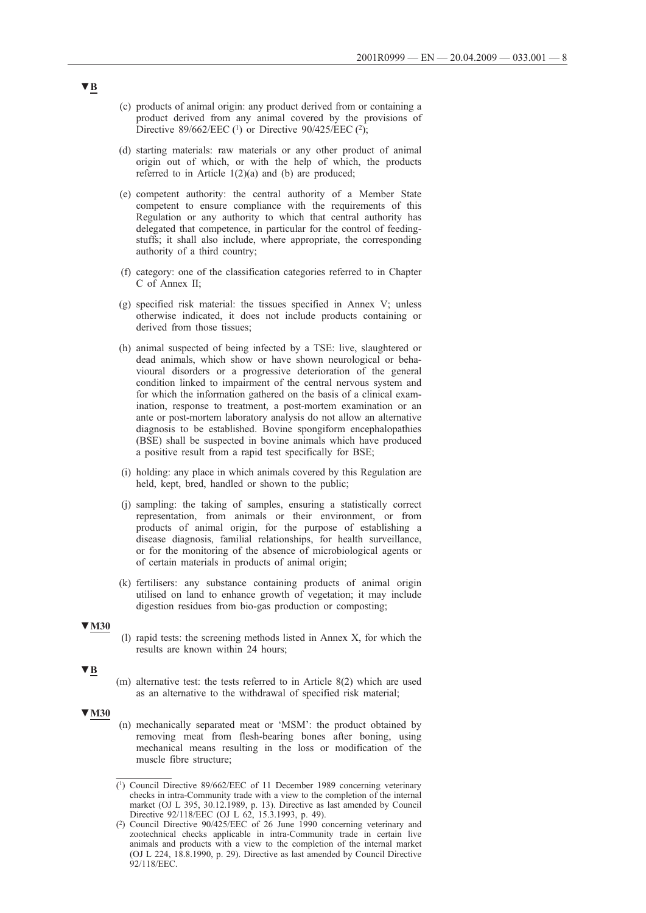- (c) products of animal origin: any product derived from or containing a product derived from any animal covered by the provisions of Directive 89/662/EEC  $(1)$  or Directive 90/425/EEC  $(2)$ ;
- (d) starting materials: raw materials or any other product of animal origin out of which, or with the help of which, the products referred to in Article 1(2)(a) and (b) are produced;
- (e) competent authority: the central authority of a Member State competent to ensure compliance with the requirements of this Regulation or any authority to which that central authority has delegated that competence, in particular for the control of feedingstuffs; it shall also include, where appropriate, the corresponding authority of a third country;
- (f) category: one of the classification categories referred to in Chapter C of Annex II;
- (g) specified risk material: the tissues specified in Annex V; unless otherwise indicated, it does not include products containing or derived from those tissues;
- (h) animal suspected of being infected by a TSE: live, slaughtered or dead animals, which show or have shown neurological or behavioural disorders or a progressive deterioration of the general condition linked to impairment of the central nervous system and for which the information gathered on the basis of a clinical examination, response to treatment, a post-mortem examination or an ante or post-mortem laboratory analysis do not allow an alternative diagnosis to be established. Bovine spongiform encephalopathies (BSE) shall be suspected in bovine animals which have produced a positive result from a rapid test specifically for BSE;
- (i) holding: any place in which animals covered by this Regulation are held, kept, bred, handled or shown to the public;
- (j) sampling: the taking of samples, ensuring a statistically correct representation, from animals or their environment, or from products of animal origin, for the purpose of establishing a disease diagnosis, familial relationships, for health surveillance, or for the monitoring of the absence of microbiological agents or of certain materials in products of animal origin;
- (k) fertilisers: any substance containing products of animal origin utilised on land to enhance growth of vegetation; it may include digestion residues from bio-gas production or composting;

(l) rapid tests: the screening methods listed in Annex X, for which the results are known within 24 hours;

## **▼B**

(m) alternative test: the tests referred to in Article 8(2) which are used as an alternative to the withdrawal of specified risk material;

# **▼M30**

(n) mechanically separated meat or 'MSM': the product obtained by removing meat from flesh-bearing bones after boning, using mechanical means resulting in the loss or modification of the muscle fibre structure;

<sup>(1)</sup> Council Directive 89/662/EEC of 11 December 1989 concerning veterinary checks in intra-Community trade with a view to the completion of the internal market (OJ L 395, 30.12.1989, p. 13). Directive as last amended by Council Directive 92/118/EEC (OJ L 62, 15.3.1993, p. 49).

<sup>(2)</sup> Council Directive 90/425/EEC of 26 June 1990 concerning veterinary and zootechnical checks applicable in intra-Community trade in certain live animals and products with a view to the completion of the internal market (OJ L 224, 18.8.1990, p. 29). Directive as last amended by Council Directive 92/118/EEC.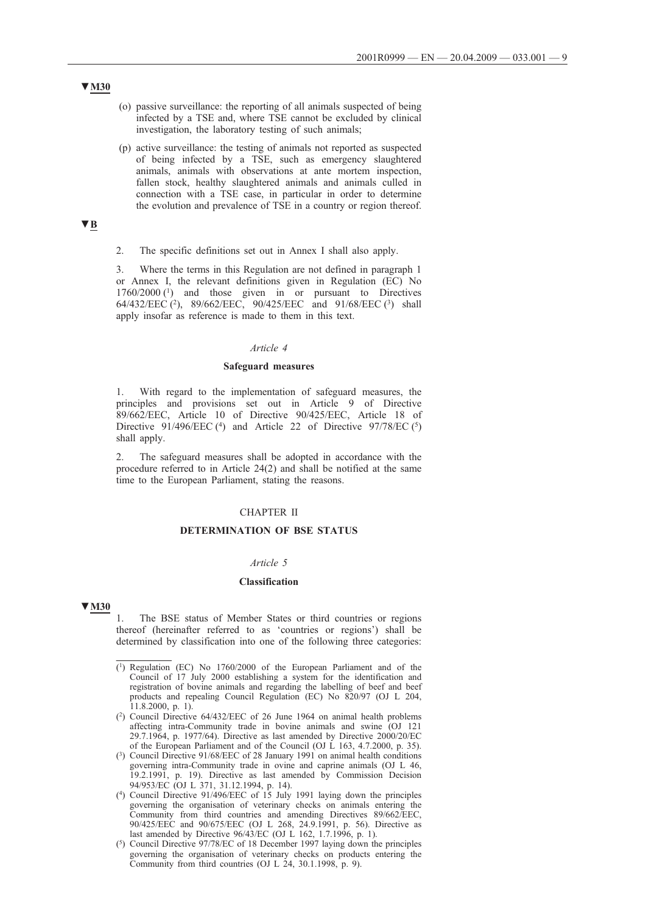- (o) passive surveillance: the reporting of all animals suspected of being infected by a TSE and, where TSE cannot be excluded by clinical investigation, the laboratory testing of such animals;
- (p) active surveillance: the testing of animals not reported as suspected of being infected by a TSE, such as emergency slaughtered animals, animals with observations at ante mortem inspection, fallen stock, healthy slaughtered animals and animals culled in connection with a TSE case, in particular in order to determine the evolution and prevalence of TSE in a country or region thereof.

# **▼B**

2. The specific definitions set out in Annex I shall also apply.

3. Where the terms in this Regulation are not defined in paragraph 1 or Annex I, the relevant definitions given in Regulation (EC) No 1760/2000 (1) and those given in or pursuant to Directives 64/432/EEC (2), 89/662/EEC, 90/425/EEC and 91/68/EEC (3) shall apply insofar as reference is made to them in this text.

## *Article 4*

## **Safeguard measures**

1. With regard to the implementation of safeguard measures, the principles and provisions set out in Article 9 of Directive 89/662/EEC, Article 10 of Directive 90/425/EEC, Article 18 of Directive 91/496/EEC (4) and Article 22 of Directive 97/78/EC (5) shall apply.

2. The safeguard measures shall be adopted in accordance with the procedure referred to in Article 24(2) and shall be notified at the same time to the European Parliament, stating the reasons.

## CHAPTER II

# **DETERMINATION OF BSE STATUS**

## *Article 5*

#### **Classification**

#### **▼M30**

1. The BSE status of Member States or third countries or regions thereof (hereinafter referred to as 'countries or regions') shall be determined by classification into one of the following three categories:

- (3) Council Directive 91/68/EEC of 28 January 1991 on animal health conditions governing intra-Community trade in ovine and caprine animals (OJ L 46, 19.2.1991, p. 19). Directive as last amended by Commission Decision 94/953/EC (OJ L 371, 31.12.1994, p. 14).
- (4) Council Directive 91/496/EEC of 15 July 1991 laying down the principles governing the organisation of veterinary checks on animals entering the Community from third countries and amending Directives 89/662/EEC, 90/425/EEC and 90/675/EEC (OJ L 268, 24.9.1991, p. 56). Directive as last amended by Directive 96/43/EC (OJ L 162, 1.7.1996, p. 1).
- (5) Council Directive 97/78/EC of 18 December 1997 laying down the principles governing the organisation of veterinary checks on products entering the Community from third countries (OJ L 24, 30.1.1998, p. 9).

<sup>(1)</sup> Regulation (EC) No 1760/2000 of the European Parliament and of the Council of 17 July 2000 establishing a system for the identification and registration of bovine animals and regarding the labelling of beef and beef products and repealing Council Regulation (EC) No 820/97 (OJ L 204, 11.8.2000, p. 1).

<sup>(2)</sup> Council Directive 64/432/EEC of 26 June 1964 on animal health problems affecting intra-Community trade in bovine animals and swine (OJ 121 29.7.1964, p. 1977/64). Directive as last amended by Directive 2000/20/EC of the European Parliament and of the Council (OJ L 163, 4.7.2000, p. 35).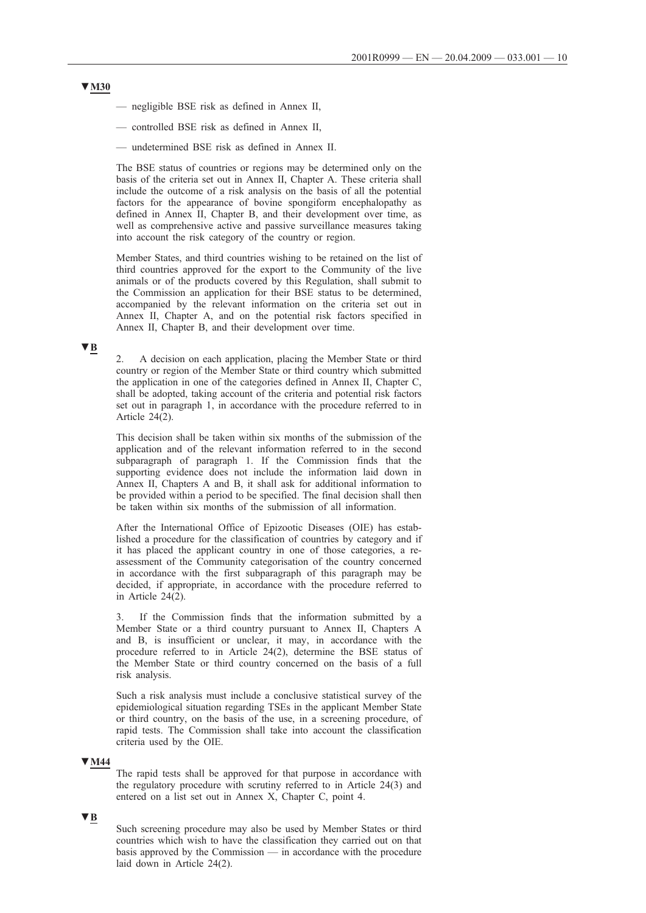- negligible BSE risk as defined in Annex II,
- controlled BSE risk as defined in Annex II,
- undetermined BSE risk as defined in Annex II.

The BSE status of countries or regions may be determined only on the basis of the criteria set out in Annex II, Chapter A. These criteria shall include the outcome of a risk analysis on the basis of all the potential factors for the appearance of bovine spongiform encephalopathy as defined in Annex II, Chapter B, and their development over time, as well as comprehensive active and passive surveillance measures taking into account the risk category of the country or region.

Member States, and third countries wishing to be retained on the list of third countries approved for the export to the Community of the live animals or of the products covered by this Regulation, shall submit to the Commission an application for their BSE status to be determined, accompanied by the relevant information on the criteria set out in Annex II, Chapter A, and on the potential risk factors specified in Annex II, Chapter B, and their development over time.

# **▼B**

2. A decision on each application, placing the Member State or third country or region of the Member State or third country which submitted the application in one of the categories defined in Annex II, Chapter C, shall be adopted, taking account of the criteria and potential risk factors set out in paragraph 1, in accordance with the procedure referred to in Article  $24(2)$ .

This decision shall be taken within six months of the submission of the application and of the relevant information referred to in the second subparagraph of paragraph 1. If the Commission finds that the supporting evidence does not include the information laid down in Annex II, Chapters A and B, it shall ask for additional information to be provided within a period to be specified. The final decision shall then be taken within six months of the submission of all information.

After the International Office of Epizootic Diseases (OIE) has established a procedure for the classification of countries by category and if it has placed the applicant country in one of those categories, a reassessment of the Community categorisation of the country concerned in accordance with the first subparagraph of this paragraph may be decided, if appropriate, in accordance with the procedure referred to in Article 24(2).

3. If the Commission finds that the information submitted by a Member State or a third country pursuant to Annex II, Chapters A and B, is insufficient or unclear, it may, in accordance with the procedure referred to in Article 24(2), determine the BSE status of the Member State or third country concerned on the basis of a full risk analysis.

Such a risk analysis must include a conclusive statistical survey of the epidemiological situation regarding TSEs in the applicant Member State or third country, on the basis of the use, in a screening procedure, of rapid tests. The Commission shall take into account the classification criteria used by the OIE.

## **▼M44**

The rapid tests shall be approved for that purpose in accordance with the regulatory procedure with scrutiny referred to in Article 24(3) and entered on a list set out in Annex X, Chapter C, point 4.

## **▼B**

Such screening procedure may also be used by Member States or third countries which wish to have the classification they carried out on that basis approved by the Commission — in accordance with the procedure laid down in Article 24(2).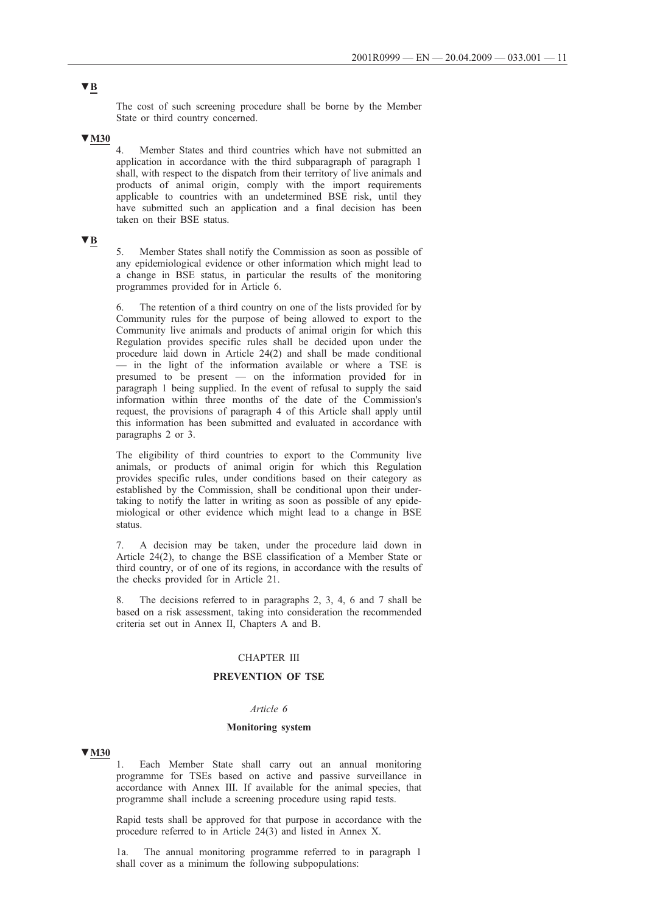The cost of such screening procedure shall be borne by the Member State or third country concerned.

## **▼M30**

4. Member States and third countries which have not submitted an application in accordance with the third subparagraph of paragraph 1 shall, with respect to the dispatch from their territory of live animals and products of animal origin, comply with the import requirements applicable to countries with an undetermined BSE risk, until they have submitted such an application and a final decision has been taken on their BSE status.

#### **▼B**

5. Member States shall notify the Commission as soon as possible of any epidemiological evidence or other information which might lead to a change in BSE status, in particular the results of the monitoring programmes provided for in Article 6.

The retention of a third country on one of the lists provided for by Community rules for the purpose of being allowed to export to the Community live animals and products of animal origin for which this Regulation provides specific rules shall be decided upon under the procedure laid down in Article 24(2) and shall be made conditional — in the light of the information available or where a TSE is presumed to be present — on the information provided for in paragraph 1 being supplied. In the event of refusal to supply the said information within three months of the date of the Commission's request, the provisions of paragraph 4 of this Article shall apply until this information has been submitted and evaluated in accordance with paragraphs 2 or 3.

The eligibility of third countries to export to the Community live animals, or products of animal origin for which this Regulation provides specific rules, under conditions based on their category as established by the Commission, shall be conditional upon their undertaking to notify the latter in writing as soon as possible of any epidemiological or other evidence which might lead to a change in BSE status.

7. A decision may be taken, under the procedure laid down in Article 24(2), to change the BSE classification of a Member State or third country, or of one of its regions, in accordance with the results of the checks provided for in Article 21.

8. The decisions referred to in paragraphs 2, 3, 4, 6 and 7 shall be based on a risk assessment, taking into consideration the recommended criteria set out in Annex II, Chapters A and B.

# CHAPTER III

# **PREVENTION OF TSE**

## *Article 6*

#### **Monitoring system**

# **▼M30**

1. Each Member State shall carry out an annual monitoring programme for TSEs based on active and passive surveillance in accordance with Annex III. If available for the animal species, that programme shall include a screening procedure using rapid tests.

Rapid tests shall be approved for that purpose in accordance with the procedure referred to in Article 24(3) and listed in Annex X.

1a. The annual monitoring programme referred to in paragraph 1 shall cover as a minimum the following subpopulations: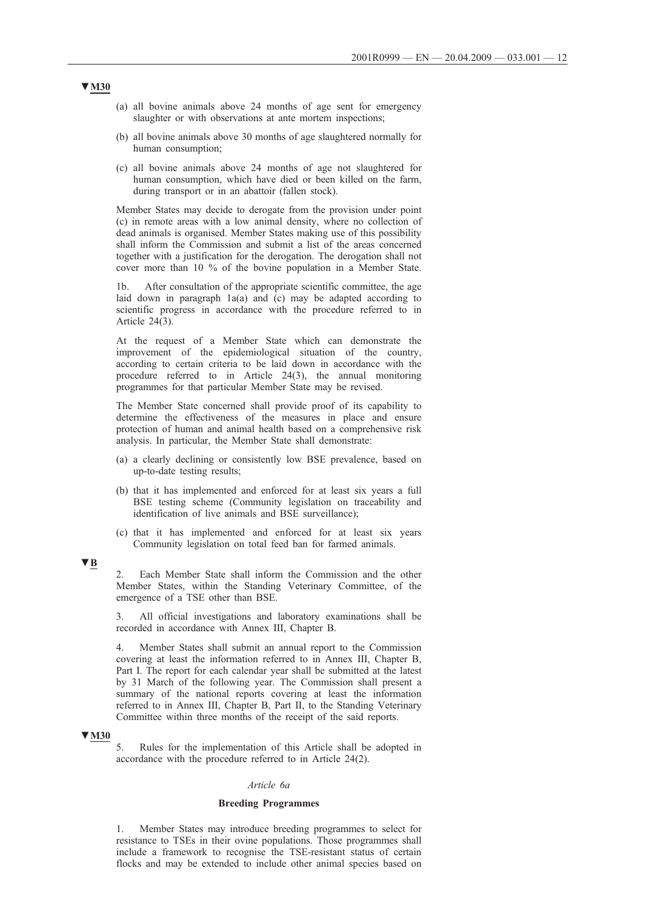- (a) all bovine animals above 24 months of age sent for emergency slaughter or with observations at ante mortem inspections;
- (b) all bovine animals above 30 months of age slaughtered normally for human consumption;
- (c) all bovine animals above 24 months of age not slaughtered for human consumption, which have died or been killed on the farm, during transport or in an abattoir (fallen stock).

Member States may decide to derogate from the provision under point (c) in remote areas with a low animal density, where no collection of dead animals is organised. Member States making use of this possibility shall inform the Commission and submit a list of the areas concerned together with a justification for the derogation. The derogation shall not cover more than 10 % of the bovine population in a Member State.

1b. After consultation of the appropriate scientific committee, the age laid down in paragraph 1a(a) and (c) may be adapted according to scientific progress in accordance with the procedure referred to in Article 24(3).

At the request of a Member State which can demonstrate the improvement of the epidemiological situation of the country, according to certain criteria to be laid down in accordance with the procedure referred to in Article 24(3), the annual monitoring programmes for that particular Member State may be revised.

The Member State concerned shall provide proof of its capability to determine the effectiveness of the measures in place and ensure protection of human and animal health based on a comprehensive risk analysis. In particular, the Member State shall demonstrate:

- (a) a clearly declining or consistently low BSE prevalence, based on up-to-date testing results;
- (b) that it has implemented and enforced for at least six years a full BSE testing scheme (Community legislation on traceability and identification of live animals and BSE surveillance);
- (c) that it has implemented and enforced for at least six years Community legislation on total feed ban for farmed animals.

## **▼B**

2. Each Member State shall inform the Commission and the other Member States, within the Standing Veterinary Committee, of the emergence of a TSE other than BSE.

3. All official investigations and laboratory examinations shall be recorded in accordance with Annex III, Chapter B.

4. Member States shall submit an annual report to the Commission covering at least the information referred to in Annex III, Chapter B, Part I. The report for each calendar year shall be submitted at the latest by 31 March of the following year. The Commission shall present a summary of the national reports covering at least the information referred to in Annex III, Chapter B, Part II, to the Standing Veterinary Committee within three months of the receipt of the said reports.

#### **▼M30**

5. Rules for the implementation of this Article shall be adopted in accordance with the procedure referred to in Article 24(2).

#### *Article 6a*

#### **Breeding Programmes**

1. Member States may introduce breeding programmes to select for resistance to TSEs in their ovine populations. Those programmes shall include a framework to recognise the TSE-resistant status of certain flocks and may be extended to include other animal species based on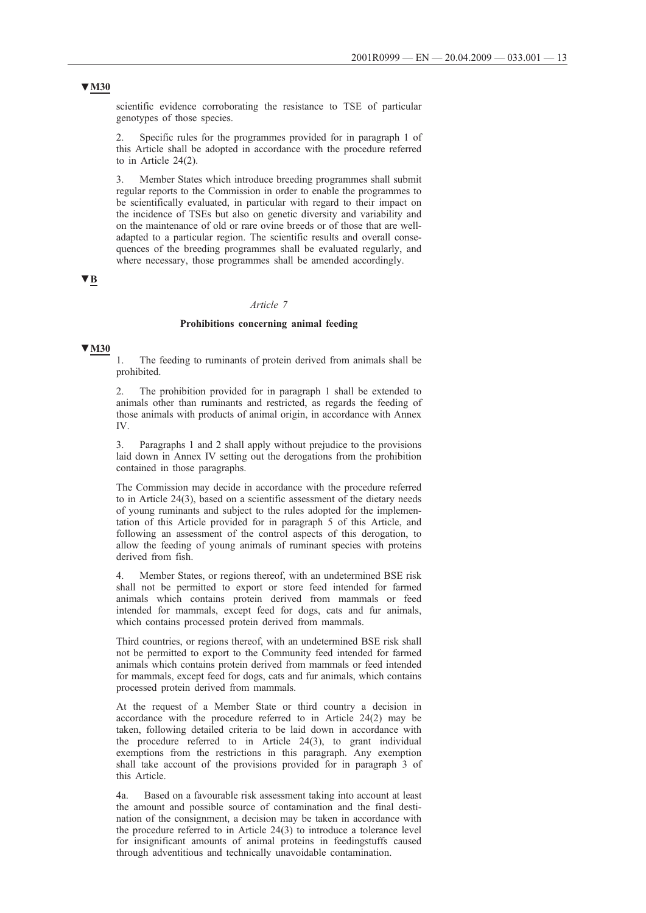scientific evidence corroborating the resistance to TSE of particular genotypes of those species.

2. Specific rules for the programmes provided for in paragraph 1 of this Article shall be adopted in accordance with the procedure referred to in Article 24(2).

3. Member States which introduce breeding programmes shall submit regular reports to the Commission in order to enable the programmes to be scientifically evaluated, in particular with regard to their impact on the incidence of TSEs but also on genetic diversity and variability and on the maintenance of old or rare ovine breeds or of those that are welladapted to a particular region. The scientific results and overall consequences of the breeding programmes shall be evaluated regularly, and where necessary, those programmes shall be amended accordingly.

# **▼B**

#### *Article 7*

## **Prohibitions concerning animal feeding**

# **▼M30**

1. The feeding to ruminants of protein derived from animals shall be prohibited.

2. The prohibition provided for in paragraph 1 shall be extended to animals other than ruminants and restricted, as regards the feeding of those animals with products of animal origin, in accordance with Annex IV.

3. Paragraphs 1 and 2 shall apply without prejudice to the provisions laid down in Annex IV setting out the derogations from the prohibition contained in those paragraphs.

The Commission may decide in accordance with the procedure referred to in Article 24(3), based on a scientific assessment of the dietary needs of young ruminants and subject to the rules adopted for the implementation of this Article provided for in paragraph 5 of this Article, and following an assessment of the control aspects of this derogation, to allow the feeding of young animals of ruminant species with proteins derived from fish.

Member States, or regions thereof, with an undetermined BSE risk shall not be permitted to export or store feed intended for farmed animals which contains protein derived from mammals or feed intended for mammals, except feed for dogs, cats and fur animals, which contains processed protein derived from mammals.

Third countries, or regions thereof, with an undetermined BSE risk shall not be permitted to export to the Community feed intended for farmed animals which contains protein derived from mammals or feed intended for mammals, except feed for dogs, cats and fur animals, which contains processed protein derived from mammals.

At the request of a Member State or third country a decision in accordance with the procedure referred to in Article 24(2) may be taken, following detailed criteria to be laid down in accordance with the procedure referred to in Article 24(3), to grant individual exemptions from the restrictions in this paragraph. Any exemption shall take account of the provisions provided for in paragraph 3 of this Article.

4a. Based on a favourable risk assessment taking into account at least the amount and possible source of contamination and the final destination of the consignment, a decision may be taken in accordance with the procedure referred to in Article 24(3) to introduce a tolerance level for insignificant amounts of animal proteins in feedingstuffs caused through adventitious and technically unavoidable contamination.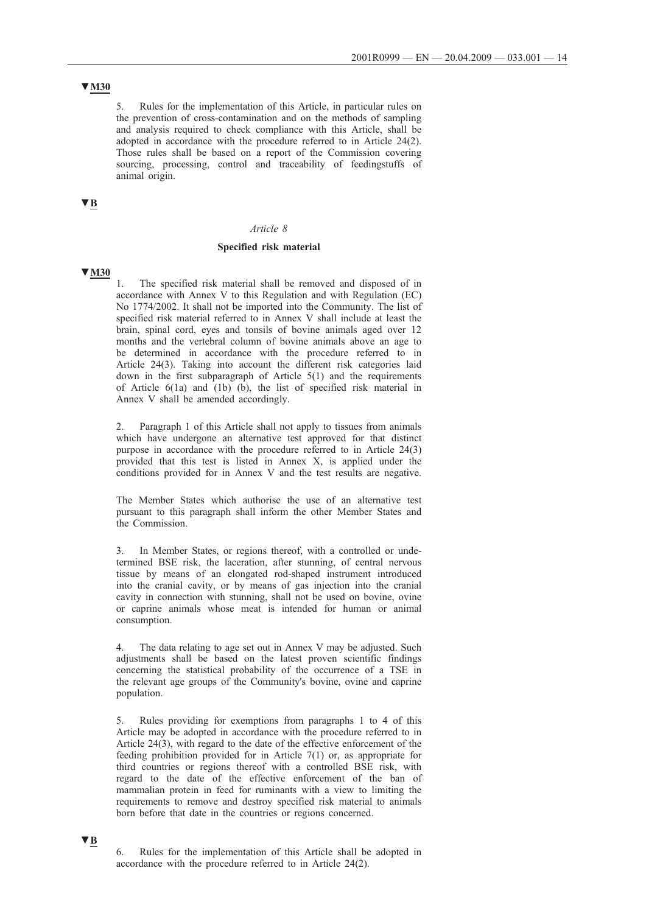5. Rules for the implementation of this Article, in particular rules on the prevention of cross-contamination and on the methods of sampling and analysis required to check compliance with this Article, shall be adopted in accordance with the procedure referred to in Article 24(2). Those rules shall be based on a report of the Commission covering sourcing, processing, control and traceability of feedingstuffs of animal origin.

# **▼B**

#### *Article 8*

## **Specified risk material**

# **▼M30**

1. The specified risk material shall be removed and disposed of in accordance with Annex V to this Regulation and with Regulation (EC) No 1774/2002. It shall not be imported into the Community. The list of specified risk material referred to in Annex V shall include at least the brain, spinal cord, eyes and tonsils of bovine animals aged over 12 months and the vertebral column of bovine animals above an age to be determined in accordance with the procedure referred to in Article 24(3). Taking into account the different risk categories laid down in the first subparagraph of Article 5(1) and the requirements of Article  $6(1a)$  and  $(1b)$   $(b)$ , the list of specified risk material in Annex V shall be amended accordingly.

2. Paragraph 1 of this Article shall not apply to tissues from animals which have undergone an alternative test approved for that distinct purpose in accordance with the procedure referred to in Article 24(3) provided that this test is listed in Annex X, is applied under the conditions provided for in Annex V and the test results are negative.

The Member States which authorise the use of an alternative test pursuant to this paragraph shall inform the other Member States and the Commission.

3. In Member States, or regions thereof, with a controlled or undetermined BSE risk, the laceration, after stunning, of central nervous tissue by means of an elongated rod-shaped instrument introduced into the cranial cavity, or by means of gas injection into the cranial cavity in connection with stunning, shall not be used on bovine, ovine or caprine animals whose meat is intended for human or animal consumption.

4. The data relating to age set out in Annex V may be adjusted. Such adjustments shall be based on the latest proven scientific findings concerning the statistical probability of the occurrence of a TSE in the relevant age groups of the Community's bovine, ovine and caprine population.

5. Rules providing for exemptions from paragraphs 1 to 4 of this Article may be adopted in accordance with the procedure referred to in Article 24(3), with regard to the date of the effective enforcement of the feeding prohibition provided for in Article 7(1) or, as appropriate for third countries or regions thereof with a controlled BSE risk, with regard to the date of the effective enforcement of the ban of mammalian protein in feed for ruminants with a view to limiting the requirements to remove and destroy specified risk material to animals born before that date in the countries or regions concerned.

**▼B**

6. Rules for the implementation of this Article shall be adopted in accordance with the procedure referred to in Article 24(2).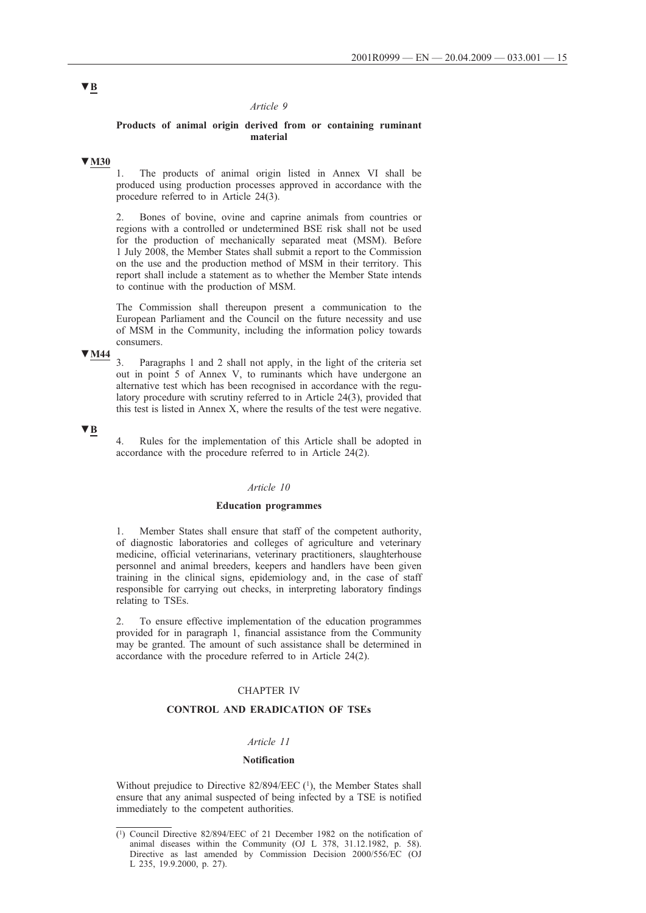#### *Article 9*

#### **Products of animal origin derived from or containing ruminant material**

# **▼M30**

The products of animal origin listed in Annex VI shall be produced using production processes approved in accordance with the procedure referred to in Article 24(3).

2. Bones of bovine, ovine and caprine animals from countries or regions with a controlled or undetermined BSE risk shall not be used for the production of mechanically separated meat (MSM). Before 1 July 2008, the Member States shall submit a report to the Commission on the use and the production method of MSM in their territory. This report shall include a statement as to whether the Member State intends to continue with the production of MSM.

The Commission shall thereupon present a communication to the European Parliament and the Council on the future necessity and use of MSM in the Community, including the information policy towards consumers.

# **▼M44**

3. Paragraphs 1 and 2 shall not apply, in the light of the criteria set out in point 5 of Annex V, to ruminants which have undergone an alternative test which has been recognised in accordance with the regulatory procedure with scrutiny referred to in Article 24(3), provided that this test is listed in Annex X, where the results of the test were negative.

## **▼B**

Rules for the implementation of this Article shall be adopted in accordance with the procedure referred to in Article 24(2).

#### *Article 10*

#### **Education programmes**

1. Member States shall ensure that staff of the competent authority, of diagnostic laboratories and colleges of agriculture and veterinary medicine, official veterinarians, veterinary practitioners, slaughterhouse personnel and animal breeders, keepers and handlers have been given training in the clinical signs, epidemiology and, in the case of staff responsible for carrying out checks, in interpreting laboratory findings relating to TSEs.

2. To ensure effective implementation of the education programmes provided for in paragraph 1, financial assistance from the Community may be granted. The amount of such assistance shall be determined in accordance with the procedure referred to in Article 24(2).

## CHAPTER IV

# **CONTROL AND ERADICATION OF TSEs**

#### *Article 11*

#### **Notification**

Without prejudice to Directive 82/894/EEC (1), the Member States shall ensure that any animal suspected of being infected by a TSE is notified immediately to the competent authorities.

<sup>(1)</sup> Council Directive 82/894/EEC of 21 December 1982 on the notification of animal diseases within the Community (OJ L 378, 31.12.1982, p. 58). Directive as last amended by Commission Decision 2000/556/EC (OJ L 235, 19.9.2000, p. 27).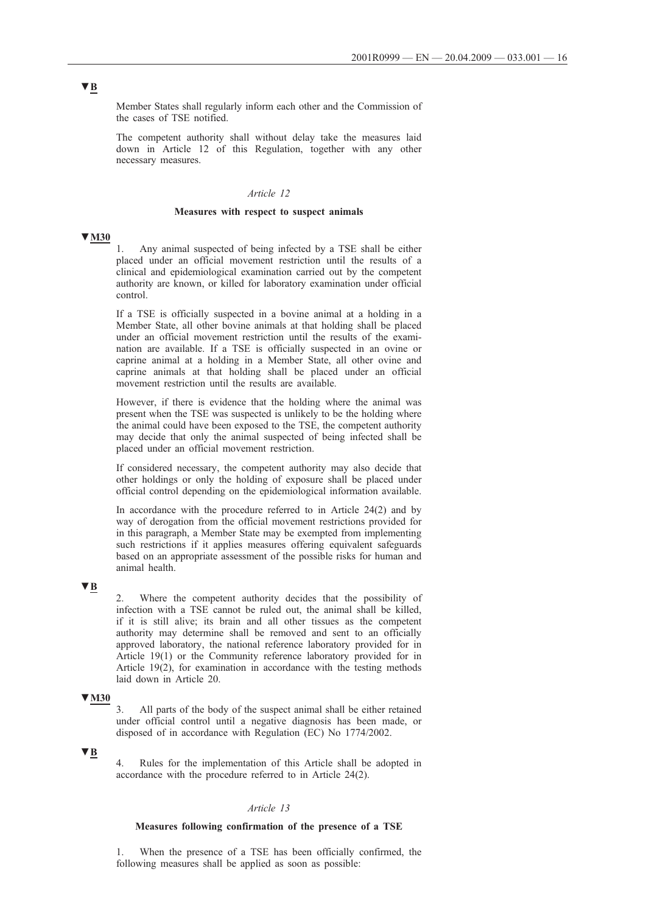Member States shall regularly inform each other and the Commission of the cases of TSE notified.

The competent authority shall without delay take the measures laid down in Article 12 of this Regulation, together with any other necessary measures.

#### *Article 12*

#### **Measures with respect to suspect animals**

# **▼M30**

1. Any animal suspected of being infected by a TSE shall be either placed under an official movement restriction until the results of a clinical and epidemiological examination carried out by the competent authority are known, or killed for laboratory examination under official control.

If a TSE is officially suspected in a bovine animal at a holding in a Member State, all other bovine animals at that holding shall be placed under an official movement restriction until the results of the examination are available. If a TSE is officially suspected in an ovine or caprine animal at a holding in a Member State, all other ovine and caprine animals at that holding shall be placed under an official movement restriction until the results are available.

However, if there is evidence that the holding where the animal was present when the TSE was suspected is unlikely to be the holding where the animal could have been exposed to the TSE, the competent authority may decide that only the animal suspected of being infected shall be placed under an official movement restriction.

If considered necessary, the competent authority may also decide that other holdings or only the holding of exposure shall be placed under official control depending on the epidemiological information available.

In accordance with the procedure referred to in Article 24(2) and by way of derogation from the official movement restrictions provided for in this paragraph, a Member State may be exempted from implementing such restrictions if it applies measures offering equivalent safeguards based on an appropriate assessment of the possible risks for human and animal health.

## **▼B**

2. Where the competent authority decides that the possibility of infection with a TSE cannot be ruled out, the animal shall be killed, if it is still alive; its brain and all other tissues as the competent authority may determine shall be removed and sent to an officially approved laboratory, the national reference laboratory provided for in Article 19(1) or the Community reference laboratory provided for in Article 19(2), for examination in accordance with the testing methods laid down in Article 20.

## **▼M30**

3. All parts of the body of the suspect animal shall be either retained under official control until a negative diagnosis has been made, or disposed of in accordance with Regulation (EC) No 1774/2002.

## **▼B**

4. Rules for the implementation of this Article shall be adopted in accordance with the procedure referred to in Article 24(2).

#### *Article 13*

#### **Measures following confirmation of the presence of a TSE**

1. When the presence of a TSE has been officially confirmed, the following measures shall be applied as soon as possible: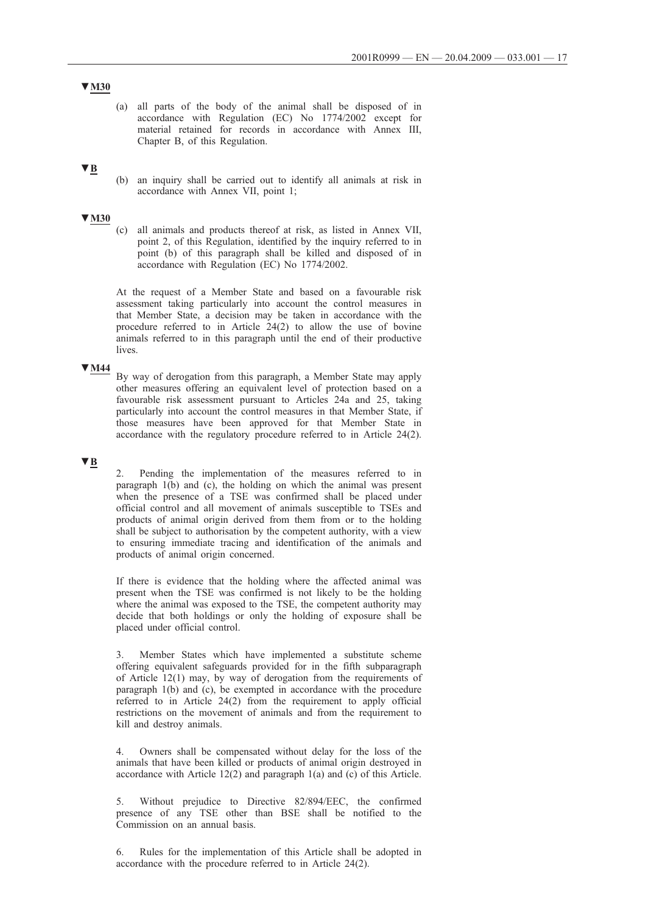(a) all parts of the body of the animal shall be disposed of in accordance with Regulation (EC) No 1774/2002 except for material retained for records in accordance with Annex III, Chapter B, of this Regulation.

## **▼B**

(b) an inquiry shall be carried out to identify all animals at risk in accordance with Annex VII, point 1;

## **▼M30**

(c) all animals and products thereof at risk, as listed in Annex VII, point 2, of this Regulation, identified by the inquiry referred to in point (b) of this paragraph shall be killed and disposed of in accordance with Regulation (EC) No 1774/2002.

At the request of a Member State and based on a favourable risk assessment taking particularly into account the control measures in that Member State, a decision may be taken in accordance with the procedure referred to in Article 24(2) to allow the use of bovine animals referred to in this paragraph until the end of their productive lives.

# **▼M44**

By way of derogation from this paragraph, a Member State may apply other measures offering an equivalent level of protection based on a favourable risk assessment pursuant to Articles 24a and 25, taking particularly into account the control measures in that Member State, if those measures have been approved for that Member State in accordance with the regulatory procedure referred to in Article 24(2).

# **▼B**

2. Pending the implementation of the measures referred to in paragraph  $1(b)$  and  $(c)$ , the holding on which the animal was present when the presence of a TSE was confirmed shall be placed under official control and all movement of animals susceptible to TSEs and products of animal origin derived from them from or to the holding shall be subject to authorisation by the competent authority, with a view to ensuring immediate tracing and identification of the animals and products of animal origin concerned.

If there is evidence that the holding where the affected animal was present when the TSE was confirmed is not likely to be the holding where the animal was exposed to the TSE, the competent authority may decide that both holdings or only the holding of exposure shall be placed under official control.

3. Member States which have implemented a substitute scheme offering equivalent safeguards provided for in the fifth subparagraph of Article 12(1) may, by way of derogation from the requirements of paragraph 1(b) and (c), be exempted in accordance with the procedure referred to in Article 24(2) from the requirement to apply official restrictions on the movement of animals and from the requirement to kill and destroy animals.

4. Owners shall be compensated without delay for the loss of the animals that have been killed or products of animal origin destroyed in accordance with Article 12(2) and paragraph 1(a) and (c) of this Article.

5. Without prejudice to Directive 82/894/EEC, the confirmed presence of any TSE other than BSE shall be notified to the Commission on an annual basis.

6. Rules for the implementation of this Article shall be adopted in accordance with the procedure referred to in Article 24(2).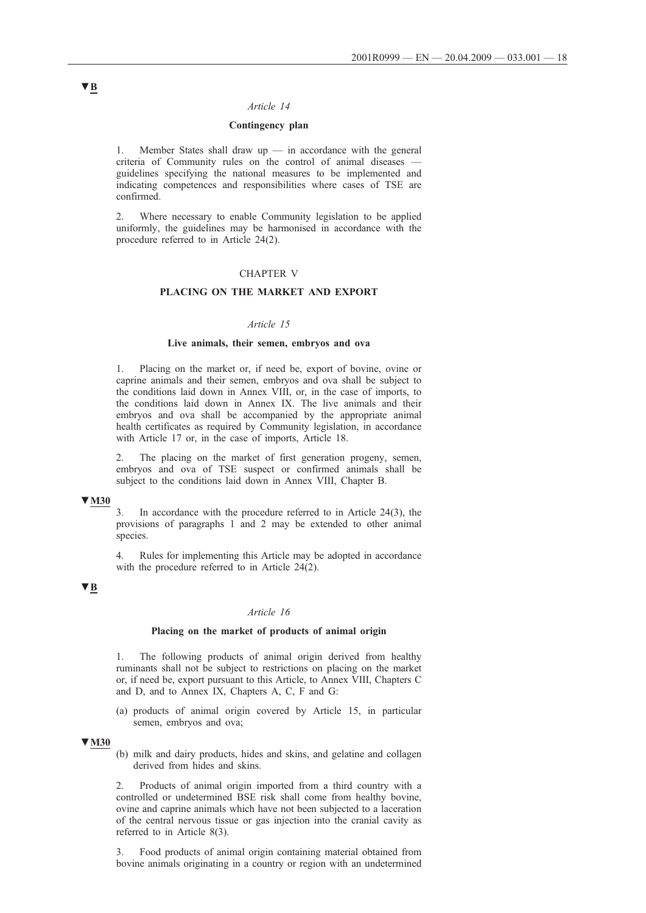#### *Article 14*

## **Contingency plan**

1. Member States shall draw up — in accordance with the general criteria of Community rules on the control of animal diseases guidelines specifying the national measures to be implemented and indicating competences and responsibilities where cases of TSE are confirmed.

2. Where necessary to enable Community legislation to be applied uniformly, the guidelines may be harmonised in accordance with the procedure referred to in Article 24(2).

#### CHAPTER V

## **PLACING ON THE MARKET AND EXPORT**

#### *Article 15*

#### **Live animals, their semen, embryos and ova**

Placing on the market or, if need be, export of bovine, ovine or caprine animals and their semen, embryos and ova shall be subject to the conditions laid down in Annex VIII, or, in the case of imports, to the conditions laid down in Annex IX. The live animals and their embryos and ova shall be accompanied by the appropriate animal health certificates as required by Community legislation, in accordance with Article 17 or, in the case of imports, Article 18.

2. The placing on the market of first generation progeny, semen, embryos and ova of TSE suspect or confirmed animals shall be subject to the conditions laid down in Annex VIII, Chapter B.

## **▼M30**

3. In accordance with the procedure referred to in Article 24(3), the provisions of paragraphs 1 and 2 may be extended to other animal species.

4. Rules for implementing this Article may be adopted in accordance with the procedure referred to in Article 24(2).

# **▼B**

## *Article 16*

#### **Placing on the market of products of animal origin**

The following products of animal origin derived from healthy ruminants shall not be subject to restrictions on placing on the market or, if need be, export pursuant to this Article, to Annex VIII, Chapters C and D, and to Annex IX, Chapters A, C, F and G:

(a) products of animal origin covered by Article 15, in particular semen, embryos and ova;

#### **▼M30**

(b) milk and dairy products, hides and skins, and gelatine and collagen derived from hides and skins.

2. Products of animal origin imported from a third country with a controlled or undetermined BSE risk shall come from healthy bovine, ovine and caprine animals which have not been subjected to a laceration of the central nervous tissue or gas injection into the cranial cavity as referred to in Article 8(3).

3. Food products of animal origin containing material obtained from bovine animals originating in a country or region with an undetermined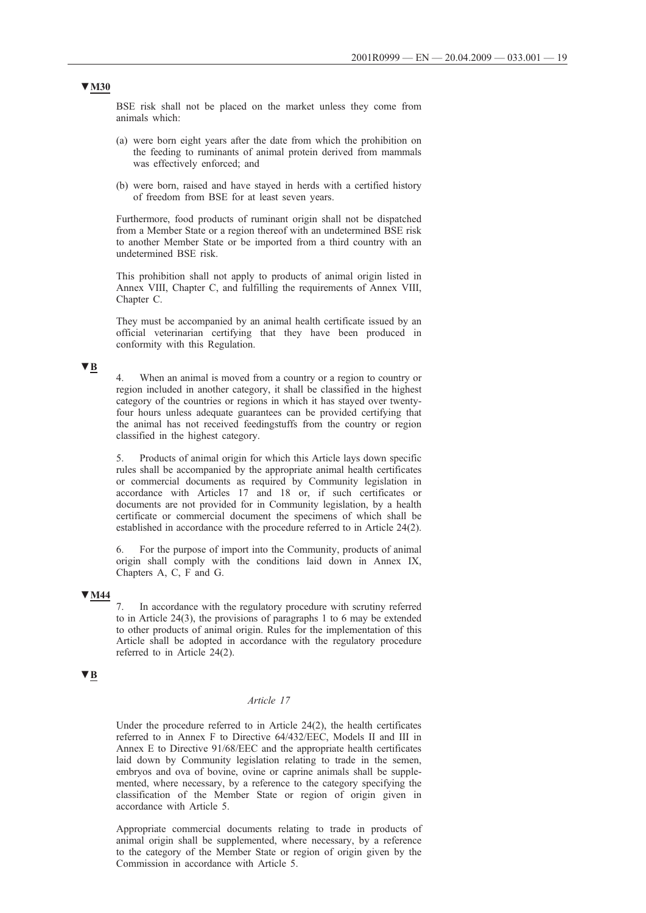BSE risk shall not be placed on the market unless they come from animals which:

- (a) were born eight years after the date from which the prohibition on the feeding to ruminants of animal protein derived from mammals was effectively enforced; and
- (b) were born, raised and have stayed in herds with a certified history of freedom from BSE for at least seven years.

Furthermore, food products of ruminant origin shall not be dispatched from a Member State or a region thereof with an undetermined BSE risk to another Member State or be imported from a third country with an undetermined BSE risk.

This prohibition shall not apply to products of animal origin listed in Annex VIII, Chapter C, and fulfilling the requirements of Annex VIII, Chapter C.

They must be accompanied by an animal health certificate issued by an official veterinarian certifying that they have been produced in conformity with this Regulation.

# **▼B**

4. When an animal is moved from a country or a region to country or region included in another category, it shall be classified in the highest category of the countries or regions in which it has stayed over twentyfour hours unless adequate guarantees can be provided certifying that the animal has not received feedingstuffs from the country or region classified in the highest category.

5. Products of animal origin for which this Article lays down specific rules shall be accompanied by the appropriate animal health certificates or commercial documents as required by Community legislation in accordance with Articles 17 and 18 or, if such certificates or documents are not provided for in Community legislation, by a health certificate or commercial document the specimens of which shall be established in accordance with the procedure referred to in Article 24(2).

6. For the purpose of import into the Community, products of animal origin shall comply with the conditions laid down in Annex IX, Chapters A, C, F and G.

## **▼M44**

7. In accordance with the regulatory procedure with scrutiny referred to in Article 24(3), the provisions of paragraphs 1 to 6 may be extended to other products of animal origin. Rules for the implementation of this Article shall be adopted in accordance with the regulatory procedure referred to in Article 24(2).

# **▼B**

#### *Article 17*

Under the procedure referred to in Article 24(2), the health certificates referred to in Annex F to Directive 64/432/EEC, Models II and III in Annex E to Directive 91/68/EEC and the appropriate health certificates laid down by Community legislation relating to trade in the semen, embryos and ova of bovine, ovine or caprine animals shall be supplemented, where necessary, by a reference to the category specifying the classification of the Member State or region of origin given in accordance with Article 5.

Appropriate commercial documents relating to trade in products of animal origin shall be supplemented, where necessary, by a reference to the category of the Member State or region of origin given by the Commission in accordance with Article 5.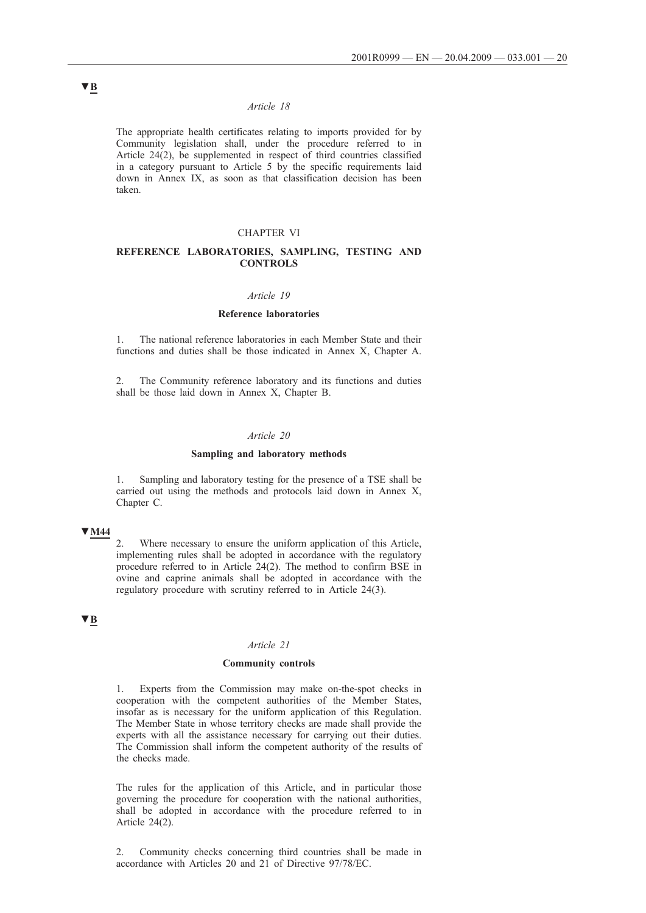## *Article 18*

The appropriate health certificates relating to imports provided for by Community legislation shall, under the procedure referred to in Article 24(2), be supplemented in respect of third countries classified in a category pursuant to Article 5 by the specific requirements laid down in Annex IX, as soon as that classification decision has been taken.

## CHAPTER VI

## **REFERENCE LABORATORIES, SAMPLING, TESTING AND CONTROLS**

## *Article 19*

# **Reference laboratories**

1. The national reference laboratories in each Member State and their functions and duties shall be those indicated in Annex X, Chapter A.

2. The Community reference laboratory and its functions and duties shall be those laid down in Annex X, Chapter B.

#### *Article 20*

#### **Sampling and laboratory methods**

1. Sampling and laboratory testing for the presence of a TSE shall be carried out using the methods and protocols laid down in Annex X, Chapter C.

# **▼M44**

2. Where necessary to ensure the uniform application of this Article, implementing rules shall be adopted in accordance with the regulatory procedure referred to in Article 24(2). The method to confirm BSE in ovine and caprine animals shall be adopted in accordance with the regulatory procedure with scrutiny referred to in Article 24(3).

## **▼B**

#### *Article 21*

## **Community controls**

1. Experts from the Commission may make on-the-spot checks in cooperation with the competent authorities of the Member States, insofar as is necessary for the uniform application of this Regulation. The Member State in whose territory checks are made shall provide the experts with all the assistance necessary for carrying out their duties. The Commission shall inform the competent authority of the results of the checks made.

The rules for the application of this Article, and in particular those governing the procedure for cooperation with the national authorities, shall be adopted in accordance with the procedure referred to in Article 24(2).

2. Community checks concerning third countries shall be made in accordance with Articles 20 and 21 of Directive 97/78/EC.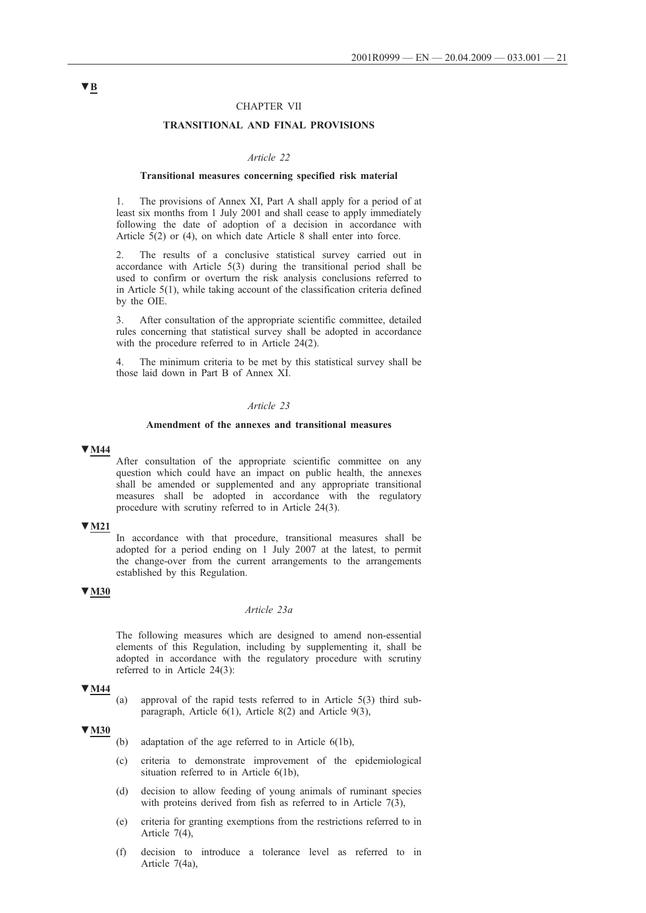#### CHAPTER VII

## **TRANSITIONAL AND FINAL PROVISIONS**

#### *Article 22*

#### **Transitional measures concerning specified risk material**

1. The provisions of Annex XI, Part A shall apply for a period of at least six months from 1 July 2001 and shall cease to apply immediately following the date of adoption of a decision in accordance with Article  $5(2)$  or (4), on which date Article 8 shall enter into force.

2. The results of a conclusive statistical survey carried out in accordance with Article 5(3) during the transitional period shall be used to confirm or overturn the risk analysis conclusions referred to in Article 5(1), while taking account of the classification criteria defined by the OIE.

3. After consultation of the appropriate scientific committee, detailed rules concerning that statistical survey shall be adopted in accordance with the procedure referred to in Article 24(2).

4. The minimum criteria to be met by this statistical survey shall be those laid down in Part B of Annex XI.

## *Article 23*

#### **Amendment of the annexes and transitional measures**

#### **▼M44**

After consultation of the appropriate scientific committee on any question which could have an impact on public health, the annexes shall be amended or supplemented and any appropriate transitional measures shall be adopted in accordance with the regulatory procedure with scrutiny referred to in Article 24(3).

#### **▼M21**

In accordance with that procedure, transitional measures shall be adopted for a period ending on 1 July 2007 at the latest, to permit the change-over from the current arrangements to the arrangements established by this Regulation.

## **▼M30**

## *Article 23a*

The following measures which are designed to amend non-essential elements of this Regulation, including by supplementing it, shall be adopted in accordance with the regulatory procedure with scrutiny referred to in Article 24(3):

## **▼M44**

(a) approval of the rapid tests referred to in Article 5(3) third subparagraph, Article 6(1), Article 8(2) and Article 9(3),

# **▼M30**

- (b) adaptation of the age referred to in Article 6(1b),
- (c) criteria to demonstrate improvement of the epidemiological situation referred to in Article 6(1b),
- (d) decision to allow feeding of young animals of ruminant species with proteins derived from fish as referred to in Article 7(3),
- (e) criteria for granting exemptions from the restrictions referred to in Article 7(4),
- (f) decision to introduce a tolerance level as referred to in Article 7(4a),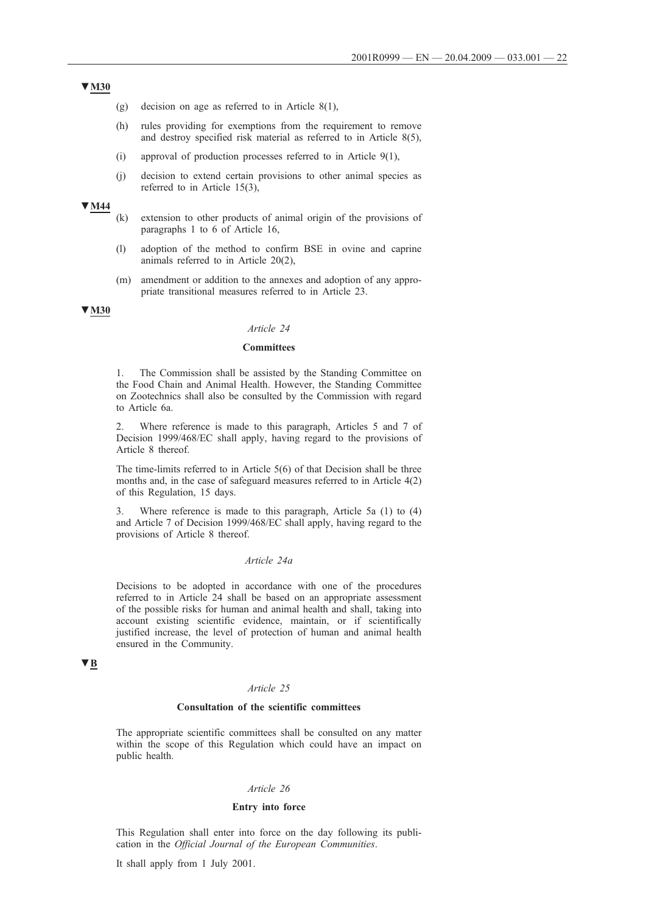- **▼M30**
	- (g) decision on age as referred to in Article 8(1),
	- (h) rules providing for exemptions from the requirement to remove and destroy specified risk material as referred to in Article 8(5),
	- (i) approval of production processes referred to in Article 9(1),
	- (j) decision to extend certain provisions to other animal species as referred to in Article 15(3),

- (k) extension to other products of animal origin of the provisions of paragraphs 1 to 6 of Article 16,
- (l) adoption of the method to confirm BSE in ovine and caprine animals referred to in Article 20(2),
- (m) amendment or addition to the annexes and adoption of any appropriate transitional measures referred to in Article 23.

## **▼M30**

## *Article 24*

## **Committees**

1. The Commission shall be assisted by the Standing Committee on the Food Chain and Animal Health. However, the Standing Committee on Zootechnics shall also be consulted by the Commission with regard to Article 6a.

2. Where reference is made to this paragraph, Articles 5 and 7 of Decision 1999/468/EC shall apply, having regard to the provisions of Article 8 thereof.

The time-limits referred to in Article 5(6) of that Decision shall be three months and, in the case of safeguard measures referred to in Article 4(2) of this Regulation, 15 days.

3. Where reference is made to this paragraph, Article 5a (1) to (4) and Article 7 of Decision 1999/468/EC shall apply, having regard to the provisions of Article 8 thereof.

## *Article 24a*

Decisions to be adopted in accordance with one of the procedures referred to in Article 24 shall be based on an appropriate assessment of the possible risks for human and animal health and shall, taking into account existing scientific evidence, maintain, or if scientifically justified increase, the level of protection of human and animal health ensured in the Community.

# **▼B**

## *Article 25*

## **Consultation of the scientific committees**

The appropriate scientific committees shall be consulted on any matter within the scope of this Regulation which could have an impact on public health.

#### *Article 26*

#### **Entry into force**

This Regulation shall enter into force on the day following its publication in the *Official Journal of the European Communities*.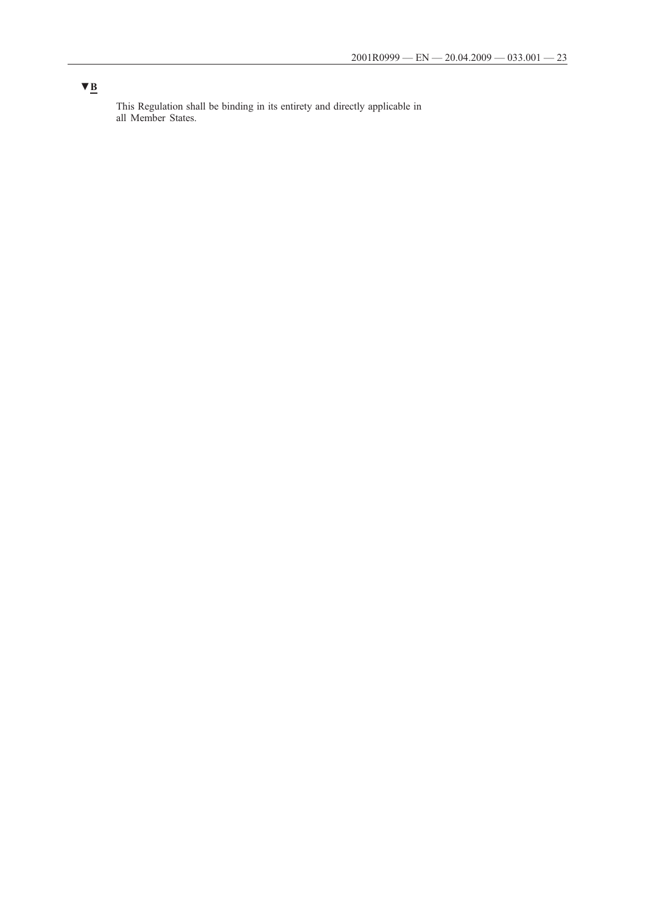This Regulation shall be binding in its entirety and directly applicable in all Member States.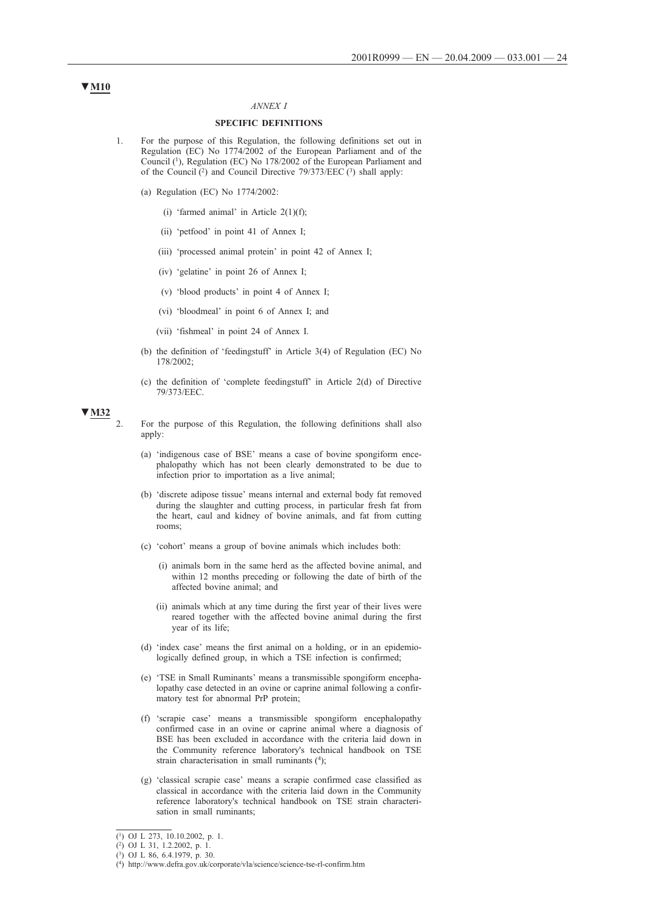#### *ANNEX I*

## **SPECIFIC DEFINITIONS**

- 1. For the purpose of this Regulation, the following definitions set out in Regulation (EC) No 1774/2002 of the European Parliament and of the Council (1), Regulation (EC) No 178/2002 of the European Parliament and of the Council (2) and Council Directive 79/373/EEC (3) shall apply:
	- (a) Regulation (EC) No 1774/2002:
		- (i) 'farmed animal' in Article  $2(1)(f)$ ;
		- (ii) 'petfood' in point 41 of Annex I;
		- (iii) 'processed animal protein' in point 42 of Annex I;
		- (iv) 'gelatine' in point 26 of Annex I;
		- (v) 'blood products' in point 4 of Annex I;
		- (vi) 'bloodmeal' in point 6 of Annex I; and
		- (vii) 'fishmeal' in point 24 of Annex I.
	- (b) the definition of 'feedingstuff' in Article 3(4) of Regulation (EC) No 178/2002;
	- (c) the definition of 'complete feedingstuff' in Article 2(d) of Directive 79/373/EEC.

# $\sqrt{M32}$ <sub>2.</sub>

2. For the purpose of this Regulation, the following definitions shall also apply:

- (a) 'indigenous case of BSE' means a case of bovine spongiform encephalopathy which has not been clearly demonstrated to be due to infection prior to importation as a live animal;
- (b) 'discrete adipose tissue' means internal and external body fat removed during the slaughter and cutting process, in particular fresh fat from the heart, caul and kidney of bovine animals, and fat from cutting rooms;
- (c) 'cohort' means a group of bovine animals which includes both:
	- (i) animals born in the same herd as the affected bovine animal, and within 12 months preceding or following the date of birth of the affected bovine animal; and
	- (ii) animals which at any time during the first year of their lives were reared together with the affected bovine animal during the first year of its life;
- (d) 'index case' means the first animal on a holding, or in an epidemiologically defined group, in which a TSE infection is confirmed;
- (e) 'TSE in Small Ruminants' means a transmissible spongiform encephalopathy case detected in an ovine or caprine animal following a confirmatory test for abnormal PrP protein;
- (f) 'scrapie case' means a transmissible spongiform encephalopathy confirmed case in an ovine or caprine animal where a diagnosis of BSE has been excluded in accordance with the criteria laid down in the Community reference laboratory's technical handbook on TSE strain characterisation in small ruminants (4);
- (g) 'classical scrapie case' means a scrapie confirmed case classified as classical in accordance with the criteria laid down in the Community reference laboratory's technical handbook on TSE strain characterisation in small ruminants;

<sup>(1)</sup> OJ L 273, 10.10.2002, p. 1.

<sup>(2)</sup> OJ L 31, 1.2.2002, p. 1.

<sup>(3)</sup> OJ L 86, 6.4.1979, p. 30.

<sup>(4)</sup> http://www.defra.gov.uk/corporate/vla/science/science-tse-rl-confirm.htm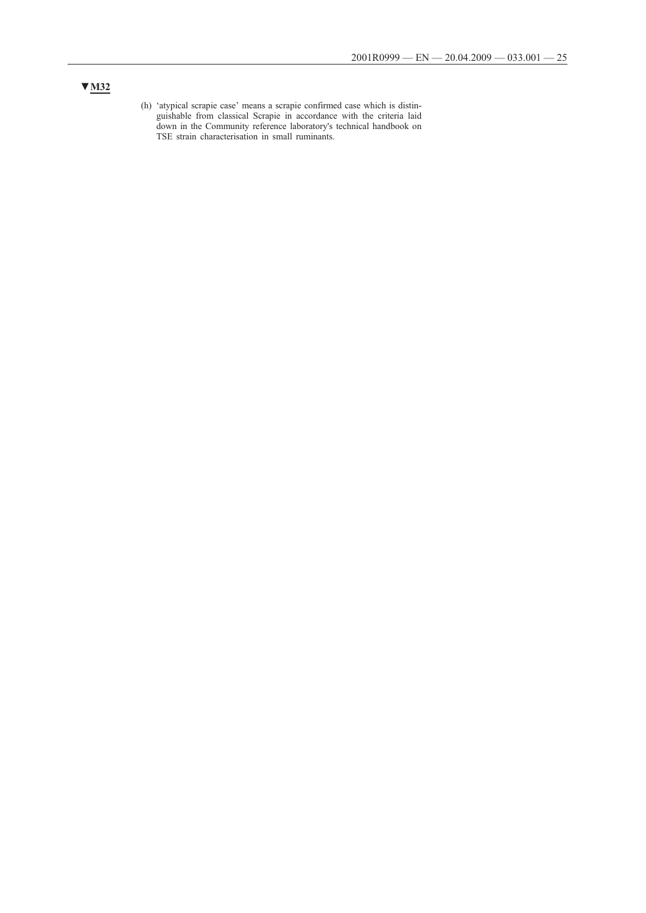(h) 'atypical scrapie case' means a scrapie confirmed case which is distinguishable from classical Scrapie in accordance with the criteria laid down in the Community reference laboratory's technical handbook on TSE strain characterisation in small ruminants.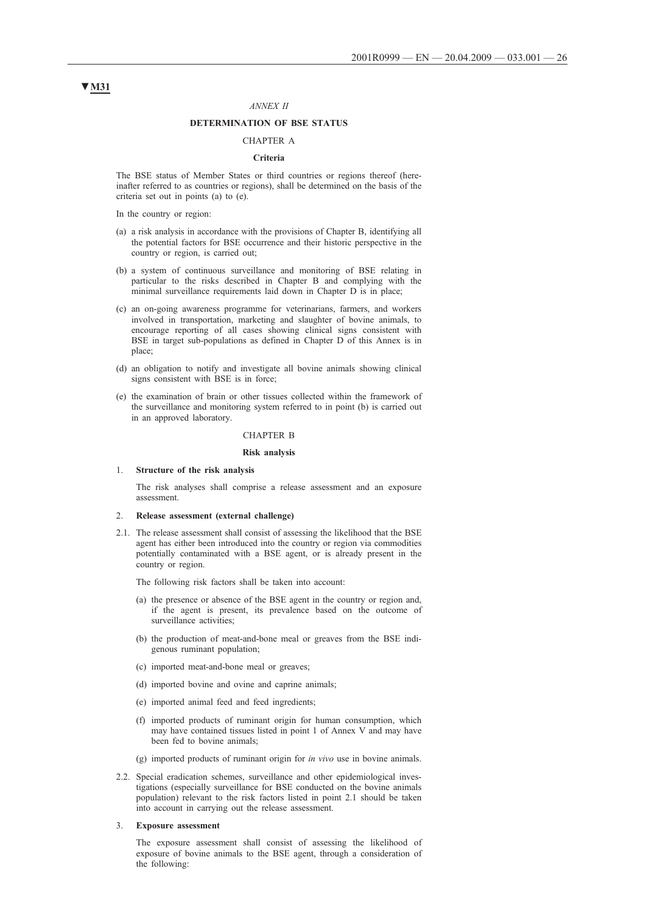#### *ANNEX II*

#### **DETERMINATION OF BSE STATUS**

## CHAPTER A

#### **Criteria**

The BSE status of Member States or third countries or regions thereof (hereinafter referred to as countries or regions), shall be determined on the basis of the criteria set out in points (a) to (e).

In the country or region:

- (a) a risk analysis in accordance with the provisions of Chapter B, identifying all the potential factors for BSE occurrence and their historic perspective in the country or region, is carried out;
- (b) a system of continuous surveillance and monitoring of BSE relating in particular to the risks described in Chapter B and complying with the minimal surveillance requirements laid down in Chapter D is in place;
- (c) an on-going awareness programme for veterinarians, farmers, and workers involved in transportation, marketing and slaughter of bovine animals, to encourage reporting of all cases showing clinical signs consistent with BSE in target sub-populations as defined in Chapter D of this Annex is in place;
- (d) an obligation to notify and investigate all bovine animals showing clinical signs consistent with BSE is in force;
- (e) the examination of brain or other tissues collected within the framework of the surveillance and monitoring system referred to in point (b) is carried out in an approved laboratory.

#### CHAPTER B

#### **Risk analysis**

#### 1. **Structure of the risk analysis**

The risk analyses shall comprise a release assessment and an exposure assessment.

#### 2. **Release assessment (external challenge)**

2.1. The release assessment shall consist of assessing the likelihood that the BSE agent has either been introduced into the country or region via commodities potentially contaminated with a BSE agent, or is already present in the country or region.

The following risk factors shall be taken into account:

- (a) the presence or absence of the BSE agent in the country or region and, if the agent is present, its prevalence based on the outcome of surveillance activities:
- (b) the production of meat-and-bone meal or greaves from the BSE indigenous ruminant population;
- (c) imported meat-and-bone meal or greaves;
- (d) imported bovine and ovine and caprine animals;
- (e) imported animal feed and feed ingredients;
- (f) imported products of ruminant origin for human consumption, which may have contained tissues listed in point 1 of Annex V and may have been fed to bovine animals;
- (g) imported products of ruminant origin for *in vivo* use in bovine animals.
- 2.2. Special eradication schemes, surveillance and other epidemiological investigations (especially surveillance for BSE conducted on the bovine animals population) relevant to the risk factors listed in point 2.1 should be taken into account in carrying out the release assessment.

#### 3. **Exposure assessment**

The exposure assessment shall consist of assessing the likelihood of exposure of bovine animals to the BSE agent, through a consideration of the following: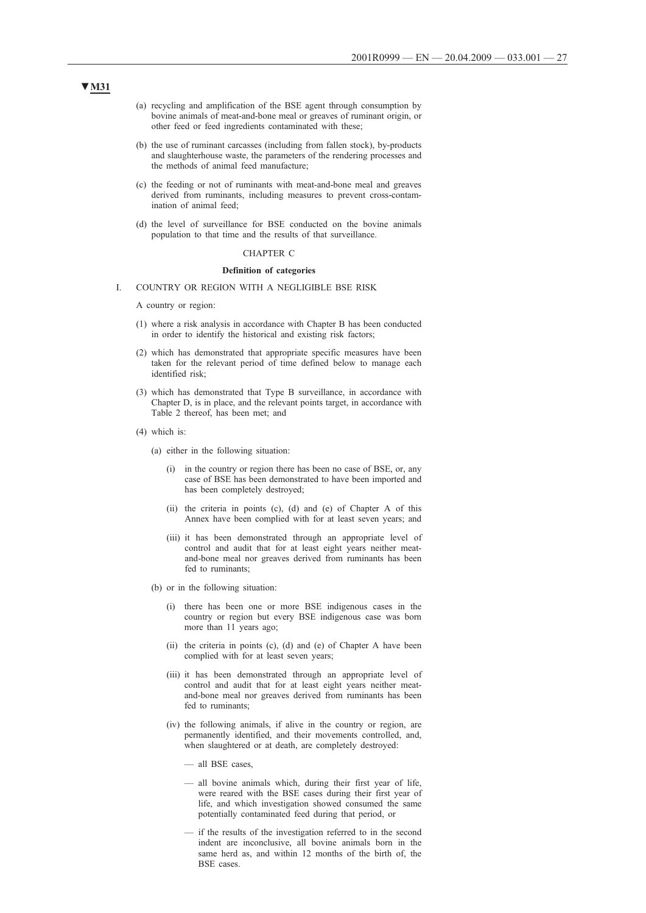- (a) recycling and amplification of the BSE agent through consumption by bovine animals of meat-and-bone meal or greaves of ruminant origin, or other feed or feed ingredients contaminated with these;
- (b) the use of ruminant carcasses (including from fallen stock), by-products and slaughterhouse waste, the parameters of the rendering processes and the methods of animal feed manufacture;
- (c) the feeding or not of ruminants with meat-and-bone meal and greaves derived from ruminants, including measures to prevent cross-contamination of animal feed;
- (d) the level of surveillance for BSE conducted on the bovine animals population to that time and the results of that surveillance.

#### CHAPTER C

#### **Definition of categories**

#### I. COUNTRY OR REGION WITH A NEGLIGIBLE BSE RISK

A country or region:

- (1) where a risk analysis in accordance with Chapter B has been conducted in order to identify the historical and existing risk factors;
- (2) which has demonstrated that appropriate specific measures have been taken for the relevant period of time defined below to manage each identified risk;
- (3) which has demonstrated that Type B surveillance, in accordance with Chapter D, is in place, and the relevant points target, in accordance with Table 2 thereof, has been met; and
- (4) which is:
	- (a) either in the following situation:
		- (i) in the country or region there has been no case of BSE, or, any case of BSE has been demonstrated to have been imported and has been completely destroyed;
		- (ii) the criteria in points (c), (d) and (e) of Chapter A of this Annex have been complied with for at least seven years; and
		- (iii) it has been demonstrated through an appropriate level of control and audit that for at least eight years neither meatand-bone meal nor greaves derived from ruminants has been fed to ruminants;
	- (b) or in the following situation:
		- (i) there has been one or more BSE indigenous cases in the country or region but every BSE indigenous case was born more than 11 years ago;
		- (ii) the criteria in points (c), (d) and (e) of Chapter A have been complied with for at least seven years;
		- (iii) it has been demonstrated through an appropriate level of control and audit that for at least eight years neither meatand-bone meal nor greaves derived from ruminants has been fed to ruminants;
		- (iv) the following animals, if alive in the country or region, are permanently identified, and their movements controlled, and, when slaughtered or at death, are completely destroyed:
			- all BSE cases,
			- all bovine animals which, during their first year of life, were reared with the BSE cases during their first year of life, and which investigation showed consumed the same potentially contaminated feed during that period, or
			- if the results of the investigation referred to in the second indent are inconclusive, all bovine animals born in the same herd as, and within 12 months of the birth of, the BSE cases.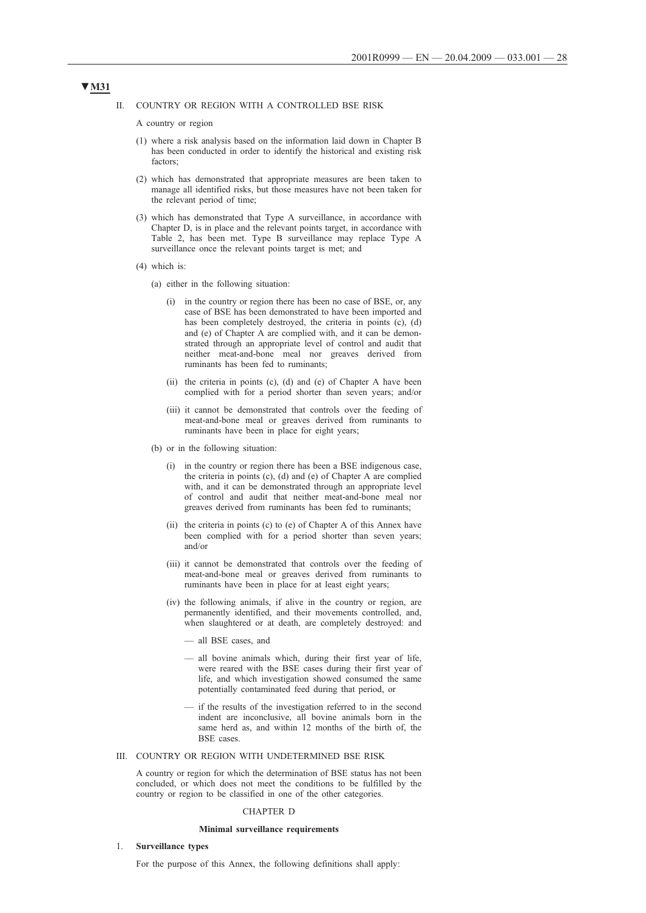#### II. COUNTRY OR REGION WITH A CONTROLLED BSE RISK

A country or region

- (1) where a risk analysis based on the information laid down in Chapter B has been conducted in order to identify the historical and existing risk factors;
- (2) which has demonstrated that appropriate measures are been taken to manage all identified risks, but those measures have not been taken for the relevant period of time;
- (3) which has demonstrated that Type A surveillance, in accordance with Chapter D, is in place and the relevant points target, in accordance with Table 2, has been met. Type B surveillance may replace Type A surveillance once the relevant points target is met; and
- (4) which is:
	- (a) either in the following situation:
		- (i) in the country or region there has been no case of BSE, or, any case of BSE has been demonstrated to have been imported and has been completely destroyed, the criteria in points (c), (d) and (e) of Chapter A are complied with, and it can be demonstrated through an appropriate level of control and audit that neither meat-and-bone meal nor greaves derived from ruminants has been fed to ruminants;
		- (ii) the criteria in points (c), (d) and (e) of Chapter A have been complied with for a period shorter than seven years; and/or
		- (iii) it cannot be demonstrated that controls over the feeding of meat-and-bone meal or greaves derived from ruminants to ruminants have been in place for eight years;
	- (b) or in the following situation:
		- (i) in the country or region there has been a BSE indigenous case, the criteria in points (c), (d) and (e) of Chapter A are complied with, and it can be demonstrated through an appropriate level of control and audit that neither meat-and-bone meal nor greaves derived from ruminants has been fed to ruminants;
		- (ii) the criteria in points (c) to (e) of Chapter A of this Annex have been complied with for a period shorter than seven years; and/or
		- (iii) it cannot be demonstrated that controls over the feeding of meat-and-bone meal or greaves derived from ruminants to ruminants have been in place for at least eight years;
		- (iv) the following animals, if alive in the country or region, are permanently identified, and their movements controlled, and, when slaughtered or at death, are completely destroyed: and
			- all BSE cases, and
			- all bovine animals which, during their first year of life, were reared with the BSE cases during their first year of life, and which investigation showed consumed the same potentially contaminated feed during that period, or
			- if the results of the investigation referred to in the second indent are inconclusive, all bovine animals born in the same herd as, and within 12 months of the birth of, the BSE cases.

#### III. COUNTRY OR REGION WITH UNDETERMINED BSE RISK

A country or region for which the determination of BSE status has not been concluded, or which does not meet the conditions to be fulfilled by the country or region to be classified in one of the other categories.

#### CHAPTER D

## **Minimal surveillance requirements**

## 1. **Surveillance types**

For the purpose of this Annex, the following definitions shall apply: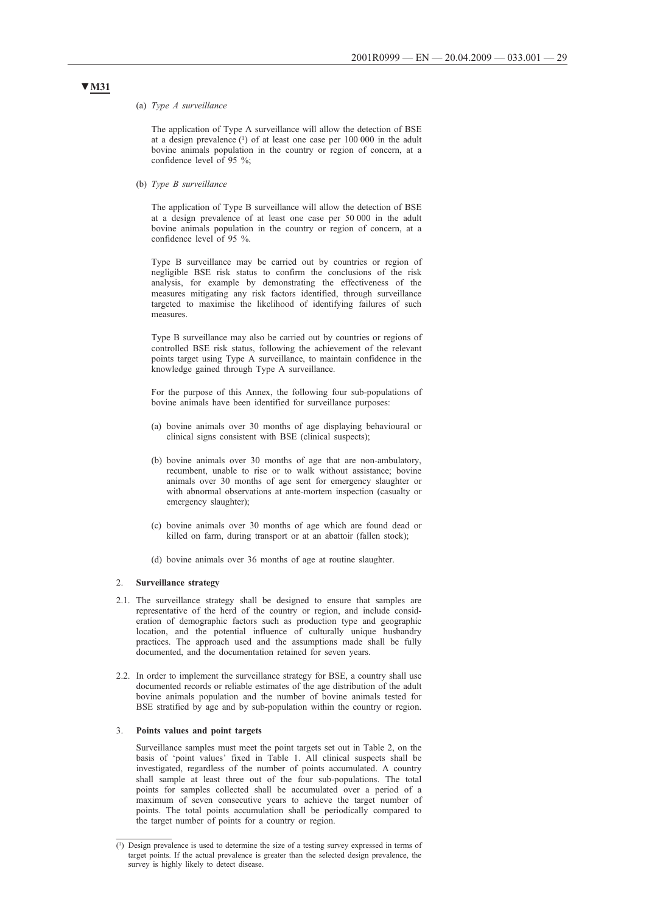#### (a) *Type A surveillance*

The application of Type A surveillance will allow the detection of BSE at a design prevalence  $(1)$  of at least one case per 100 000 in the adult bovine animals population in the country or region of concern, at a confidence level of 95 %;

(b) *Type B surveillance*

The application of Type B surveillance will allow the detection of BSE at a design prevalence of at least one case per 50 000 in the adult bovine animals population in the country or region of concern, at a confidence level of 95 %.

Type B surveillance may be carried out by countries or region of negligible BSE risk status to confirm the conclusions of the risk analysis, for example by demonstrating the effectiveness of the measures mitigating any risk factors identified, through surveillance targeted to maximise the likelihood of identifying failures of such measures.

Type B surveillance may also be carried out by countries or regions of controlled BSE risk status, following the achievement of the relevant points target using Type A surveillance, to maintain confidence in the knowledge gained through Type A surveillance.

For the purpose of this Annex, the following four sub-populations of bovine animals have been identified for surveillance purposes:

- (a) bovine animals over 30 months of age displaying behavioural or clinical signs consistent with BSE (clinical suspects);
- (b) bovine animals over 30 months of age that are non-ambulatory, recumbent, unable to rise or to walk without assistance; bovine animals over 30 months of age sent for emergency slaughter or with abnormal observations at ante-mortem inspection (casualty or emergency slaughter);
- (c) bovine animals over 30 months of age which are found dead or killed on farm, during transport or at an abattoir (fallen stock);
- (d) bovine animals over 36 months of age at routine slaughter.

#### 2. **Surveillance strategy**

- 2.1. The surveillance strategy shall be designed to ensure that samples are representative of the herd of the country or region, and include consideration of demographic factors such as production type and geographic location, and the potential influence of culturally unique husbandry practices. The approach used and the assumptions made shall be fully documented, and the documentation retained for seven years.
- 2.2. In order to implement the surveillance strategy for BSE, a country shall use documented records or reliable estimates of the age distribution of the adult bovine animals population and the number of bovine animals tested for BSE stratified by age and by sub-population within the country or region.

#### 3. **Points values and point targets**

Surveillance samples must meet the point targets set out in Table 2, on the basis of 'point values' fixed in Table 1. All clinical suspects shall be investigated, regardless of the number of points accumulated. A country shall sample at least three out of the four sub-populations. The total points for samples collected shall be accumulated over a period of a maximum of seven consecutive years to achieve the target number of points. The total points accumulation shall be periodically compared to the target number of points for a country or region.

<sup>(1)</sup> Design prevalence is used to determine the size of a testing survey expressed in terms of target points. If the actual prevalence is greater than the selected design prevalence, the survey is highly likely to detect disease.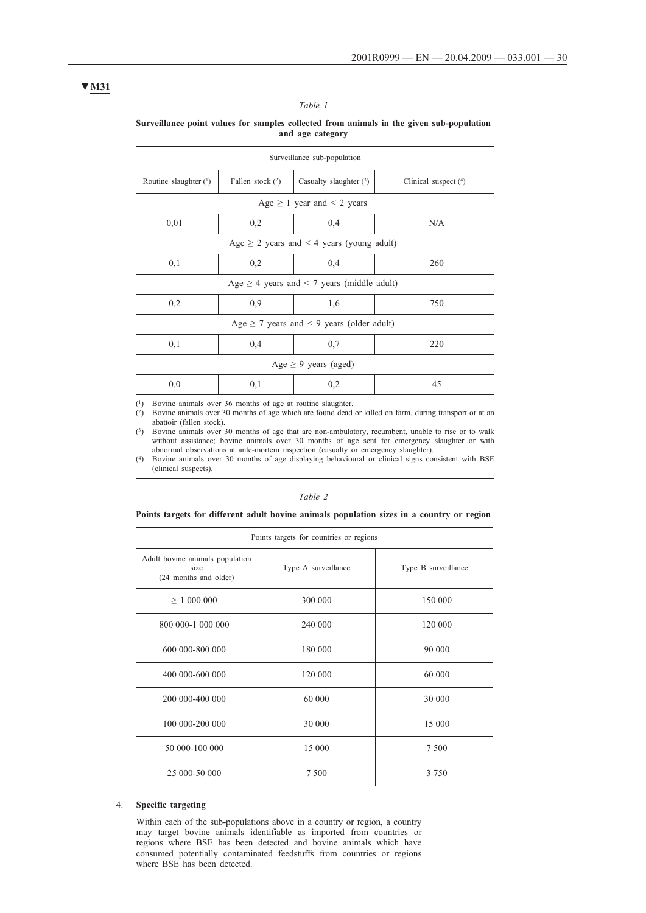#### *Table 1*

#### **Surveillance point values for samples collected from animals in the given sub-population and age category**

| Surveillance sub-population                     |                                                            |                                                |                        |  |
|-------------------------------------------------|------------------------------------------------------------|------------------------------------------------|------------------------|--|
| Routine slaughter $(1)$                         | Fallen stock $(2)$                                         | Casualty slaughter $(3)$                       | Clinical suspect $(4)$ |  |
|                                                 |                                                            | Age $\geq 1$ year and < 2 years                |                        |  |
| 0,01                                            | 0,2                                                        | 0,4                                            | N/A                    |  |
|                                                 |                                                            | Age $\geq$ 2 years and < 4 years (young adult) |                        |  |
| 0,1                                             | 0,2                                                        | 0,4                                            | 260                    |  |
| Age $\geq$ 4 years and < 7 years (middle adult) |                                                            |                                                |                        |  |
| 0,2                                             | 0,9                                                        | 1,6                                            | 750                    |  |
| Age $\geq$ 7 years and < 9 years (older adult)  |                                                            |                                                |                        |  |
| 0,1                                             | 0,4                                                        | 0,7                                            | 220                    |  |
| Age $\geq$ 9 years (aged)                       |                                                            |                                                |                        |  |
| 0,0                                             | 0,1                                                        | 0,2                                            | 45                     |  |
| (1)                                             | Bovine animals over 36 months of age at routine slaughter. |                                                |                        |  |

(2) Bovine animals over 30 months of age which are found dead or killed on farm, during transport or at an abattoir (fallen stock).

(3) Bovine animals over 30 months of age that are non-ambulatory, recumbent, unable to rise or to walk without assistance; bovine animals over 30 months of age sent for emergency slaughter or with abnormal observations at ante-mortem inspection (casualty or emergency slaughter).

(4) Bovine animals over 30 months of age displaying behavioural or clinical signs consistent with BSE (clinical suspects).

| ,,<br>۰.<br>×<br>×<br>ł<br>۰, |  |
|-------------------------------|--|
|                               |  |

## **Points targets for different adult bovine animals population sizes in a country or region**

| Points targets for countries or regions                          |                     |                     |  |
|------------------------------------------------------------------|---------------------|---------------------|--|
| Adult bovine animals population<br>size<br>(24 months and older) | Type A surveillance | Type B surveillance |  |
| $\geq$ 1 000 000                                                 | 300 000             | 150 000             |  |
| 800 000-1 000 000                                                | 240 000             | 120 000             |  |
| 600 000-800 000                                                  | 180 000             | 90 000              |  |
| 400 000-600 000                                                  | 120 000             | 60 000              |  |
| 200 000-400 000                                                  | 60 000              | 30 000              |  |
| 100 000-200 000                                                  | 30 000              | 15 000              |  |
| 50 000-100 000                                                   | 15 000              | 7 500               |  |
| 25 000-50 000                                                    | 7 500               | 3 7 5 0             |  |

## 4. **Specific targeting**

Within each of the sub-populations above in a country or region, a country may target bovine animals identifiable as imported from countries or regions where BSE has been detected and bovine animals which have consumed potentially contaminated feedstuffs from countries or regions where BSE has been detected.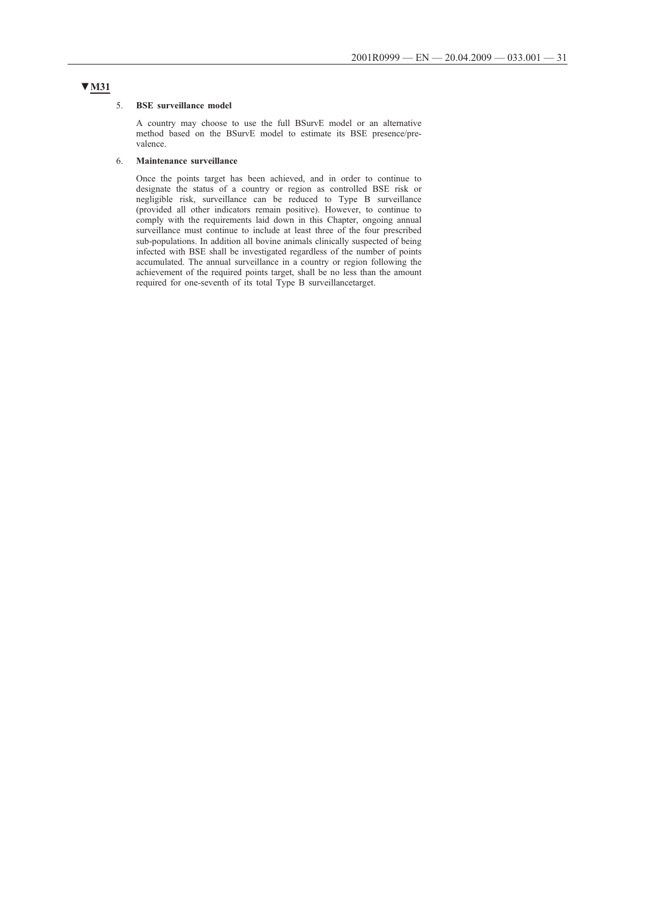#### 5. **BSE surveillance model**

A country may choose to use the full BSurvE model or an alternative method based on the BSurvE model to estimate its BSE presence/prevalence.

#### 6. **Maintenance surveillance**

Once the points target has been achieved, and in order to continue to designate the status of a country or region as controlled BSE risk or negligible risk, surveillance can be reduced to Type B surveillance (provided all other indicators remain positive). However, to continue to comply with the requirements laid down in this Chapter, ongoing annual surveillance must continue to include at least three of the four prescribed sub-populations. In addition all bovine animals clinically suspected of being infected with BSE shall be investigated regardless of the number of points accumulated. The annual surveillance in a country or region following the achievement of the required points target, shall be no less than the amount required for one-seventh of its total Type B surveillancetarget.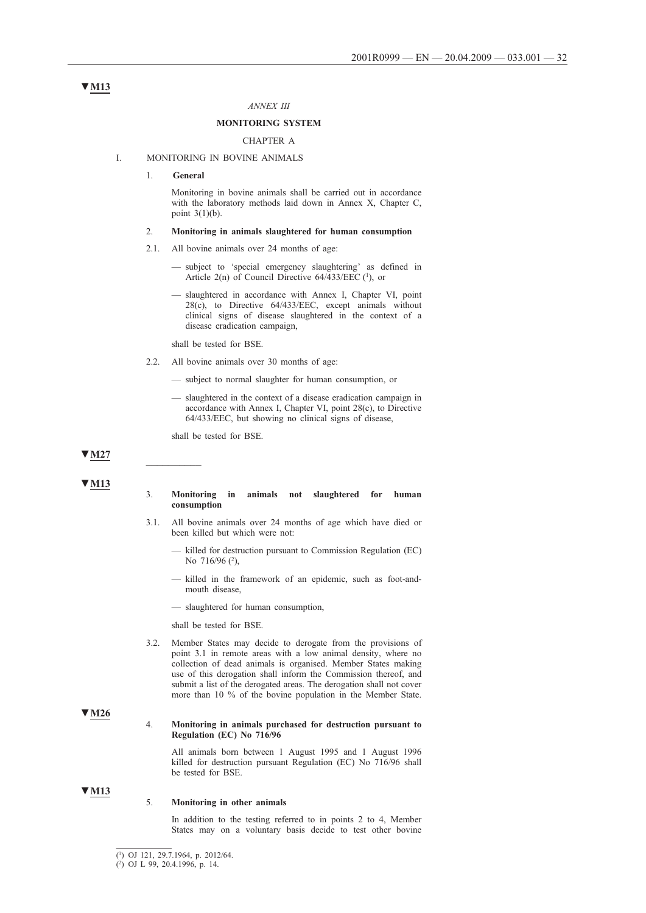#### *ANNEX III*

## **MONITORING SYSTEM**

#### CHAPTER A

#### I. MONITORING IN BOVINE ANIMALS

#### 1. **General**

Monitoring in bovine animals shall be carried out in accordance with the laboratory methods laid down in Annex X, Chapter C, point 3(1)(b).

#### 2. **Monitoring in animals slaughtered for human consumption**

- 2.1. All bovine animals over 24 months of age:
	- subject to 'special emergency slaughtering' as defined in Article 2(n) of Council Directive  $64/433/EEC$  (1), or
	- slaughtered in accordance with Annex I, Chapter VI, point 28(c), to Directive 64/433/EEC, except animals without clinical signs of disease slaughtered in the context of a disease eradication campaign,

shall be tested for BSE.

- 2.2. All bovine animals over 30 months of age:
	- subject to normal slaughter for human consumption, or
	- slaughtered in the context of a disease eradication campaign in accordance with Annex I, Chapter VI, point 28(c), to Directive 64/433/EEC, but showing no clinical signs of disease,

shall be tested for BSE.

# **▼M27** \_\_\_\_\_\_\_\_\_\_

**▼M13**

#### 3. **Monitoring in animals not slaughtered for human consumption**

- 3.1. All bovine animals over 24 months of age which have died or been killed but which were not:
	- killed for destruction pursuant to Commission Regulation (EC) No 716/96 (<sup>2</sup>),
	- killed in the framework of an epidemic, such as foot-andmouth disease,
	- slaughtered for human consumption,
	- shall be tested for BSE.
- 3.2. Member States may decide to derogate from the provisions of point 3.1 in remote areas with a low animal density, where no collection of dead animals is organised. Member States making use of this derogation shall inform the Commission thereof, and submit a list of the derogated areas. The derogation shall not cover more than 10 % of the bovine population in the Member State.

## **▼M26**

#### 4. **Monitoring in animals purchased for destruction pursuant to Regulation (EC) No 716/96**

All animals born between 1 August 1995 and 1 August 1996 killed for destruction pursuant Regulation (EC) No 716/96 shall be tested for BSE.

**▼M13**

#### 5. **Monitoring in other animals**

In addition to the testing referred to in points 2 to 4, Member States may on a voluntary basis decide to test other bovine

<sup>(1)</sup> OJ 121, 29.7.1964, p. 2012/64.

<sup>(2)</sup> OJ L 99, 20.4.1996, p. 14.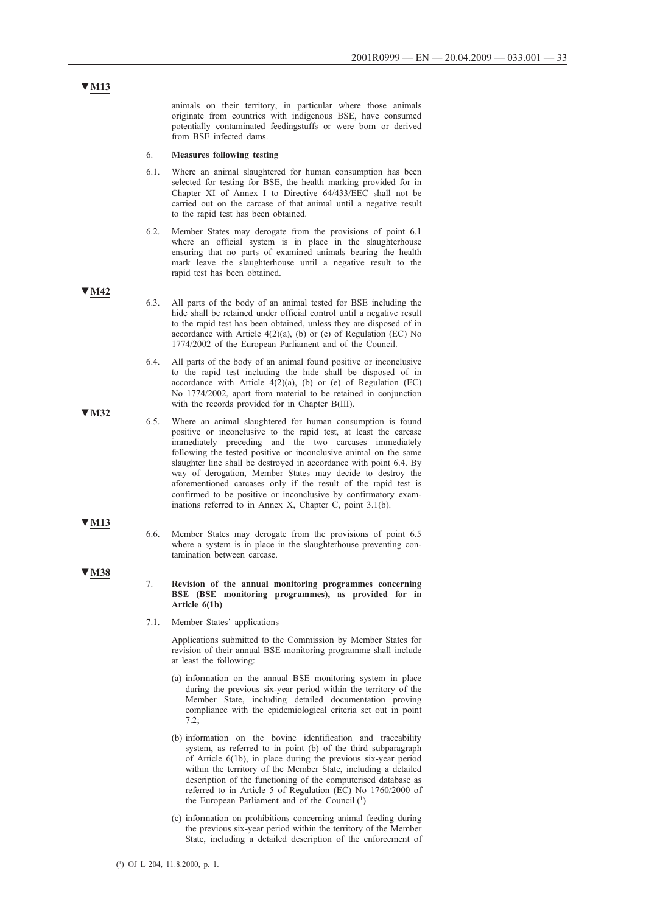animals on their territory, in particular where those animals originate from countries with indigenous BSE, have consumed potentially contaminated feedingstuffs or were born or derived from BSE infected dams.

#### 6. **Measures following testing**

- 6.1. Where an animal slaughtered for human consumption has been selected for testing for BSE, the health marking provided for in Chapter XI of Annex I to Directive 64/433/EEC shall not be carried out on the carcase of that animal until a negative result to the rapid test has been obtained.
- 6.2. Member States may derogate from the provisions of point 6.1 where an official system is in place in the slaughterhouse ensuring that no parts of examined animals bearing the health mark leave the slaughterhouse until a negative result to the rapid test has been obtained.
- **▼M42**

**▼M32**

- 6.3. All parts of the body of an animal tested for BSE including the hide shall be retained under official control until a negative result to the rapid test has been obtained, unless they are disposed of in accordance with Article  $4(2)(a)$ , (b) or (e) of Regulation (EC) No 1774/2002 of the European Parliament and of the Council.
- 6.4. All parts of the body of an animal found positive or inconclusive to the rapid test including the hide shall be disposed of in accordance with Article  $4(2)(a)$ , (b) or (e) of Regulation (EC) No 1774/2002, apart from material to be retained in conjunction with the records provided for in Chapter B(III).
- 6.5. Where an animal slaughtered for human consumption is found positive or inconclusive to the rapid test, at least the carcase immediately preceding and the two carcases immediately following the tested positive or inconclusive animal on the same slaughter line shall be destroyed in accordance with point 6.4. By way of derogation, Member States may decide to destroy the aforementioned carcases only if the result of the rapid test is confirmed to be positive or inconclusive by confirmatory examinations referred to in Annex X, Chapter C, point 3.1(b).
- 6.6. Member States may derogate from the provisions of point 6.5 where a system is in place in the slaughterhouse preventing contamination between carcase.

**▼M38**

**▼M13**

#### 7. **Revision of the annual monitoring programmes concerning BSE (BSE monitoring programmes), as provided for in Article 6(1b)**

7.1. Member States' applications

Applications submitted to the Commission by Member States for revision of their annual BSE monitoring programme shall include at least the following:

- (a) information on the annual BSE monitoring system in place during the previous six-year period within the territory of the Member State, including detailed documentation proving compliance with the epidemiological criteria set out in point 7.2;
- (b) information on the bovine identification and traceability system, as referred to in point (b) of the third subparagraph of Article 6(1b), in place during the previous six-year period within the territory of the Member State, including a detailed description of the functioning of the computerised database as referred to in Article 5 of Regulation (EC) No 1760/2000 of the European Parliament and of the Council  $(1)$
- (c) information on prohibitions concerning animal feeding during the previous six-year period within the territory of the Member State, including a detailed description of the enforcement of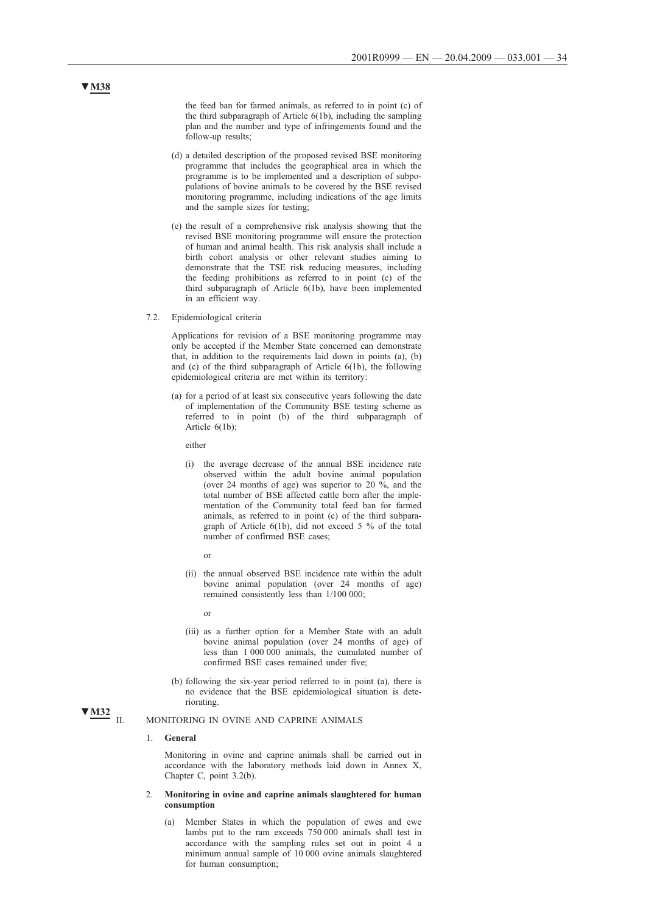the feed ban for farmed animals, as referred to in point (c) of the third subparagraph of Article 6(1b), including the sampling plan and the number and type of infringements found and the follow-up results;

- (d) a detailed description of the proposed revised BSE monitoring programme that includes the geographical area in which the programme is to be implemented and a description of subpopulations of bovine animals to be covered by the BSE revised monitoring programme, including indications of the age limits and the sample sizes for testing;
- (e) the result of a comprehensive risk analysis showing that the revised BSE monitoring programme will ensure the protection of human and animal health. This risk analysis shall include a birth cohort analysis or other relevant studies aiming to demonstrate that the TSE risk reducing measures, including the feeding prohibitions as referred to in point (c) of the third subparagraph of Article 6(1b), have been implemented in an efficient way.
- 7.2. Epidemiological criteria

Applications for revision of a BSE monitoring programme may only be accepted if the Member State concerned can demonstrate that, in addition to the requirements laid down in points (a), (b) and (c) of the third subparagraph of Article 6(1b), the following epidemiological criteria are met within its territory:

(a) for a period of at least six consecutive years following the date of implementation of the Community BSE testing scheme as referred to in point (b) of the third subparagraph of Article 6(1b):

either

- (i) the average decrease of the annual BSE incidence rate observed within the adult bovine animal population (over 24 months of age) was superior to 20  $\%$ , and the total number of BSE affected cattle born after the implementation of the Community total feed ban for farmed animals, as referred to in point (c) of the third subparagraph of Article 6(1b), did not exceed 5 % of the total number of confirmed BSE cases;
	- or
- (ii) the annual observed BSE incidence rate within the adult bovine animal population (over 24 months of age) remained consistently less than 1/100 000;

or

- (iii) as a further option for a Member State with an adult bovine animal population (over 24 months of age) of less than 1 000 000 animals, the cumulated number of confirmed BSE cases remained under five;
- (b) following the six-year period referred to in point (a), there is no evidence that the BSE epidemiological situation is deteriorating.
- MONITORING IN OVINE AND CAPRINE ANIMALS

#### 1. **General**

 $\overline{\mathbf{v}_{\mathbf{M32}}}\parallel$ 

Monitoring in ovine and caprine animals shall be carried out in accordance with the laboratory methods laid down in Annex X, Chapter C, point 3.2(b).

- 2. **Monitoring in ovine and caprine animals slaughtered for human consumption**
	- (a) Member States in which the population of ewes and ewe lambs put to the ram exceeds 750 000 animals shall test in accordance with the sampling rules set out in point 4 a minimum annual sample of 10 000 ovine animals slaughtered for human consumption;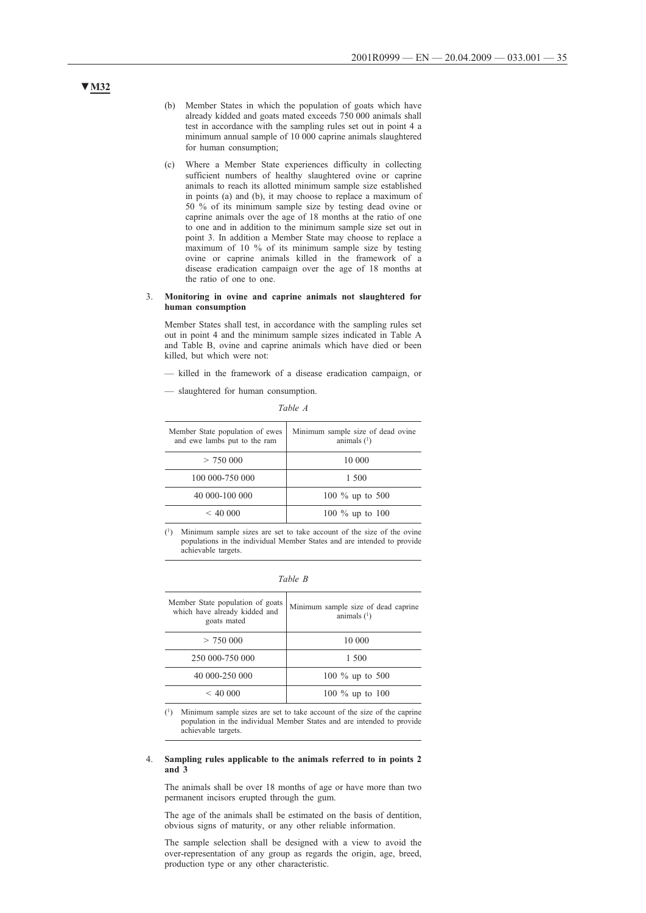- (b) Member States in which the population of goats which have already kidded and goats mated exceeds 750 000 animals shall test in accordance with the sampling rules set out in point 4 a minimum annual sample of 10 000 caprine animals slaughtered for human consumption;
- (c) Where a Member State experiences difficulty in collecting sufficient numbers of healthy slaughtered ovine or caprine animals to reach its allotted minimum sample size established in points (a) and (b), it may choose to replace a maximum of 50 % of its minimum sample size by testing dead ovine or caprine animals over the age of 18 months at the ratio of one to one and in addition to the minimum sample size set out in point 3. In addition a Member State may choose to replace a maximum of 10 % of its minimum sample size by testing ovine or caprine animals killed in the framework of a disease eradication campaign over the age of 18 months at the ratio of one to one.

#### 3. **Monitoring in ovine and caprine animals not slaughtered for human consumption**

Member States shall test, in accordance with the sampling rules set out in point 4 and the minimum sample sizes indicated in Table A and Table B, ovine and caprine animals which have died or been killed, but which were not:

- killed in the framework of a disease eradication campaign, or
- slaughtered for human consumption.

| Member State population of ewes<br>and ewe lambs put to the ram | Minimum sample size of dead ovine<br>animals $(1)$ |
|-----------------------------------------------------------------|----------------------------------------------------|
| > 750000                                                        | 10 000                                             |
| 100 000-750 000                                                 | 1.500                                              |
| 40 000-100 000                                                  | 100 $\%$ up to 500                                 |
| $<$ 40 000                                                      | 100 $\%$ up to 100                                 |

(1) Minimum sample sizes are set to take account of the size of the ovine populations in the individual Member States and are intended to provide achievable targets.

| ۰,<br>×<br>۰<br>× |
|-------------------|
|-------------------|

| Member State population of goats<br>which have already kidded and<br>goats mated | Minimum sample size of dead caprine<br>animals $(1)$ |
|----------------------------------------------------------------------------------|------------------------------------------------------|
| > 750000                                                                         | 10 000                                               |
| 250 000-750 000                                                                  | 1 500                                                |
| 40 000-250 000                                                                   | 100 $\%$ up to 500                                   |
| $<$ 40 000                                                                       | 100 $\%$ up to 100                                   |

(1) Minimum sample sizes are set to take account of the size of the caprine population in the individual Member States and are intended to provide achievable targets.

#### 4. **Sampling rules applicable to the animals referred to in points 2 and 3**

The animals shall be over 18 months of age or have more than two permanent incisors erupted through the gum.

The age of the animals shall be estimated on the basis of dentition, obvious signs of maturity, or any other reliable information.

The sample selection shall be designed with a view to avoid the over-representation of any group as regards the origin, age, breed, production type or any other characteristic.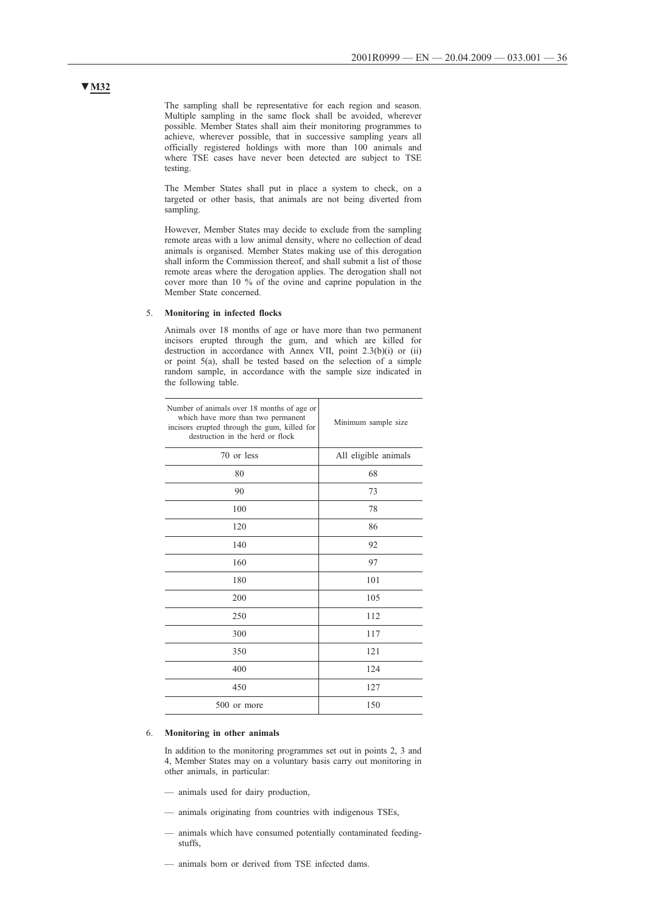The sampling shall be representative for each region and season. Multiple sampling in the same flock shall be avoided, wherever possible. Member States shall aim their monitoring programmes to achieve, wherever possible, that in successive sampling years all officially registered holdings with more than 100 animals and where TSE cases have never been detected are subject to TSE testing.

The Member States shall put in place a system to check, on a targeted or other basis, that animals are not being diverted from sampling.

However, Member States may decide to exclude from the sampling remote areas with a low animal density, where no collection of dead animals is organised. Member States making use of this derogation shall inform the Commission thereof, and shall submit a list of those remote areas where the derogation applies. The derogation shall not cover more than 10 % of the ovine and caprine population in the Member State concerned.

#### 5. **Monitoring in infected flocks**

Animals over 18 months of age or have more than two permanent incisors erupted through the gum, and which are killed for destruction in accordance with Annex VII, point 2.3(b)(i) or (ii) or point 5(a), shall be tested based on the selection of a simple random sample, in accordance with the sample size indicated in the following table.

| Number of animals over 18 months of age or<br>which have more than two permanent<br>incisors erupted through the gum, killed for<br>destruction in the herd or flock | Minimum sample size  |
|----------------------------------------------------------------------------------------------------------------------------------------------------------------------|----------------------|
| 70 or less                                                                                                                                                           | All eligible animals |
| 80                                                                                                                                                                   | 68                   |
| 90                                                                                                                                                                   | 73                   |
| 100                                                                                                                                                                  | 78                   |
| 120                                                                                                                                                                  | 86                   |
| 140                                                                                                                                                                  | 92                   |
| 160                                                                                                                                                                  | 97                   |
| 180                                                                                                                                                                  | 101                  |
| 200                                                                                                                                                                  | 105                  |
| 250                                                                                                                                                                  | 112                  |
| 300                                                                                                                                                                  | 117                  |
| 350                                                                                                                                                                  | 121                  |
| 400                                                                                                                                                                  | 124                  |
| 450                                                                                                                                                                  | 127                  |
| 500 or more                                                                                                                                                          | 150                  |

#### 6. **Monitoring in other animals**

In addition to the monitoring programmes set out in points 2, 3 and 4, Member States may on a voluntary basis carry out monitoring in other animals, in particular:

- animals used for dairy production,
- animals originating from countries with indigenous TSEs,
- animals which have consumed potentially contaminated feedingstuffs,
- animals born or derived from TSE infected dams.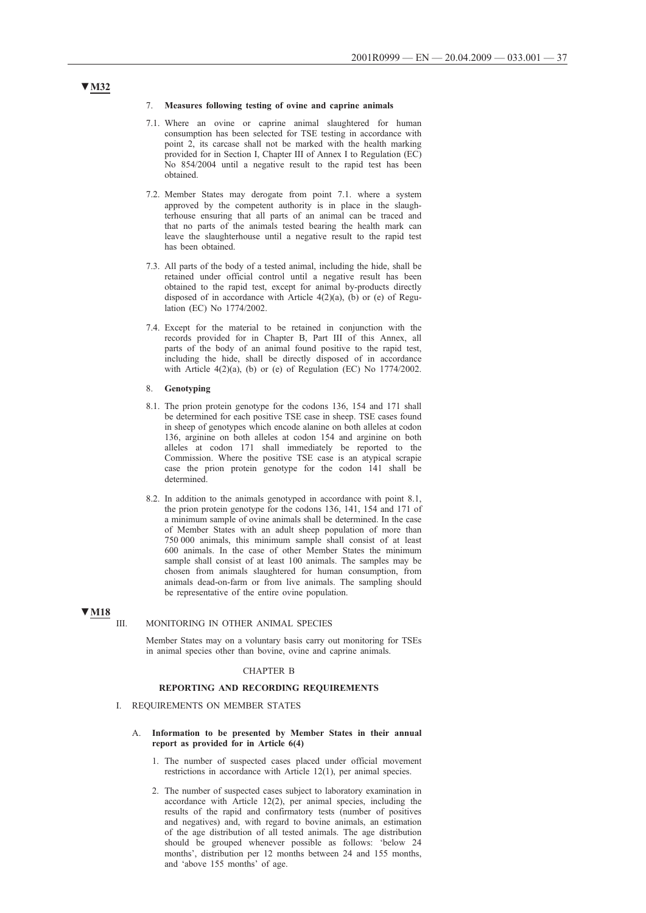#### 7. **Measures following testing of ovine and caprine animals**

- 7.1. Where an ovine or caprine animal slaughtered for human consumption has been selected for TSE testing in accordance with point 2, its carcase shall not be marked with the health marking provided for in Section I, Chapter III of Annex I to Regulation (EC) No 854/2004 until a negative result to the rapid test has been obtained.
- 7.2. Member States may derogate from point 7.1. where a system approved by the competent authority is in place in the slaughterhouse ensuring that all parts of an animal can be traced and that no parts of the animals tested bearing the health mark can leave the slaughterhouse until a negative result to the rapid test has been obtained.
- 7.3. All parts of the body of a tested animal, including the hide, shall be retained under official control until a negative result has been obtained to the rapid test, except for animal by-products directly disposed of in accordance with Article  $4(2)(a)$ , (b) or (e) of Regulation (EC) No 1774/2002.
- 7.4. Except for the material to be retained in conjunction with the records provided for in Chapter B, Part III of this Annex, all parts of the body of an animal found positive to the rapid test, including the hide, shall be directly disposed of in accordance with Article 4(2)(a), (b) or (e) of Regulation (EC) No 1774/2002.

#### 8. **Genotyping**

- 8.1. The prion protein genotype for the codons 136, 154 and 171 shall be determined for each positive TSE case in sheep. TSE cases found in sheep of genotypes which encode alanine on both alleles at codon 136, arginine on both alleles at codon 154 and arginine on both alleles at codon 171 shall immediately be reported to the Commission. Where the positive TSE case is an atypical scrapie case the prion protein genotype for the codon 141 shall be determined.
- 8.2. In addition to the animals genotyped in accordance with point 8.1, the prion protein genotype for the codons 136, 141, 154 and 171 of a minimum sample of ovine animals shall be determined. In the case of Member States with an adult sheep population of more than 750 000 animals, this minimum sample shall consist of at least 600 animals. In the case of other Member States the minimum sample shall consist of at least 100 animals. The samples may be chosen from animals slaughtered for human consumption, from animals dead-on-farm or from live animals. The sampling should be representative of the entire ovine population.

# **▼M18**

### III. MONITORING IN OTHER ANIMAL SPECIES

Member States may on a voluntary basis carry out monitoring for TSEs in animal species other than bovine, ovine and caprine animals.

#### CHAPTER B

#### **REPORTING AND RECORDING REQUIREMENTS**

- I. REQUIREMENTS ON MEMBER STATES
	- A. **Information to be presented by Member States in their annual report as provided for in Article 6(4)**
		- 1. The number of suspected cases placed under official movement restrictions in accordance with Article 12(1), per animal species.
		- 2. The number of suspected cases subject to laboratory examination in accordance with Article 12(2), per animal species, including the results of the rapid and confirmatory tests (number of positives and negatives) and, with regard to bovine animals, an estimation of the age distribution of all tested animals. The age distribution should be grouped whenever possible as follows: 'below 24 months', distribution per 12 months between 24 and 155 months, and 'above 155 months' of age.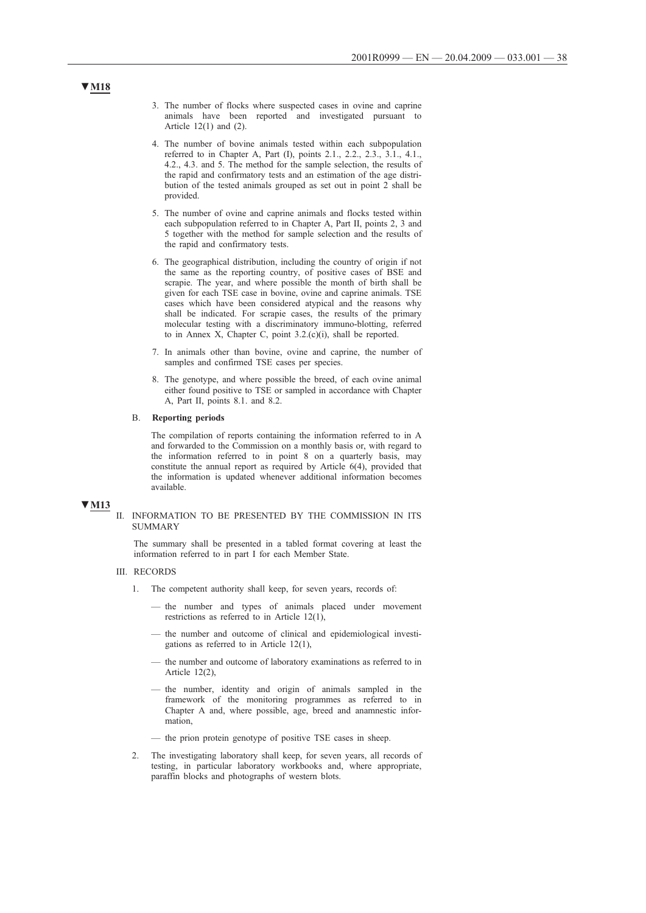- 3. The number of flocks where suspected cases in ovine and caprine animals have been reported and investigated pursuant to Article 12(1) and (2).
- 4. The number of bovine animals tested within each subpopulation referred to in Chapter A, Part (I), points 2.1., 2.2., 2.3., 3.1., 4.1., 4.2., 4.3. and 5. The method for the sample selection, the results of the rapid and confirmatory tests and an estimation of the age distribution of the tested animals grouped as set out in point 2 shall be provided.
- 5. The number of ovine and caprine animals and flocks tested within each subpopulation referred to in Chapter A, Part II, points 2, 3 and 5 together with the method for sample selection and the results of the rapid and confirmatory tests.
- 6. The geographical distribution, including the country of origin if not the same as the reporting country, of positive cases of BSE and scrapie. The year, and where possible the month of birth shall be given for each TSE case in bovine, ovine and caprine animals. TSE cases which have been considered atypical and the reasons why shall be indicated. For scrapie cases, the results of the primary molecular testing with a discriminatory immuno-blotting, referred to in Annex X, Chapter C, point 3.2.(c)(i), shall be reported.
- 7. In animals other than bovine, ovine and caprine, the number of samples and confirmed TSE cases per species.
- 8. The genotype, and where possible the breed, of each ovine animal either found positive to TSE or sampled in accordance with Chapter A, Part II, points 8.1. and 8.2.

#### B. **Reporting periods**

The compilation of reports containing the information referred to in A and forwarded to the Commission on a monthly basis or, with regard to the information referred to in point 8 on a quarterly basis, may constitute the annual report as required by Article 6(4), provided that the information is updated whenever additional information becomes available.

### **▼M13**

### II. INFORMATION TO BE PRESENTED BY THE COMMISSION IN ITS SUMMARY

The summary shall be presented in a tabled format covering at least the information referred to in part I for each Member State.

#### III. RECORDS

- 1. The competent authority shall keep, for seven years, records of:
	- the number and types of animals placed under movement restrictions as referred to in Article 12(1),
	- the number and outcome of clinical and epidemiological investigations as referred to in Article 12(1),
	- the number and outcome of laboratory examinations as referred to in Article 12(2),
	- the number, identity and origin of animals sampled in the framework of the monitoring programmes as referred to in Chapter A and, where possible, age, breed and anamnestic information,
	- the prion protein genotype of positive TSE cases in sheep.
- 2. The investigating laboratory shall keep, for seven years, all records of testing, in particular laboratory workbooks and, where appropriate, paraffin blocks and photographs of western blots.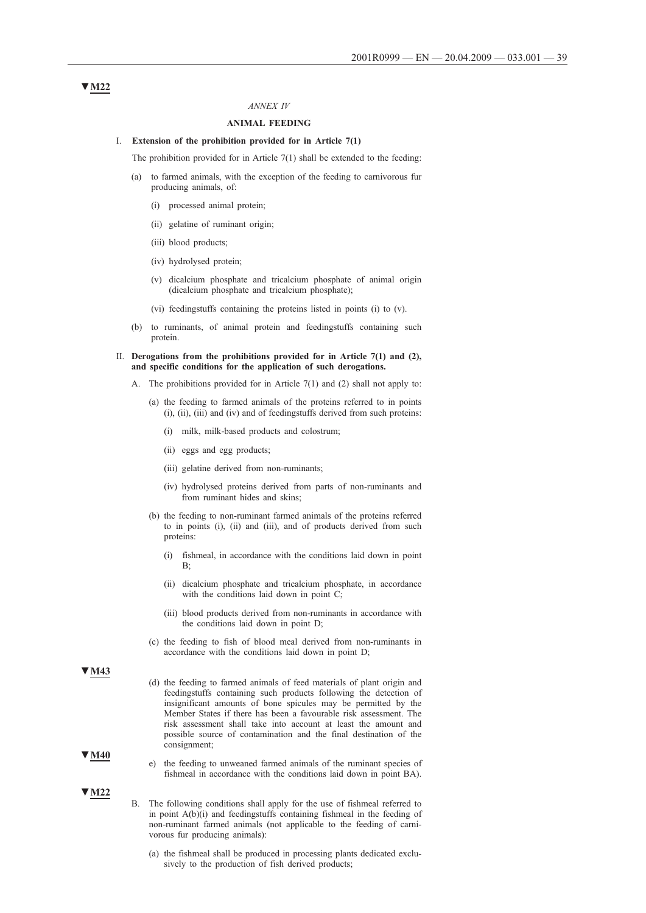#### *ANNEX IV*

### **ANIMAL FEEDING**

#### I. **Extension of the prohibition provided for in Article 7(1)**

The prohibition provided for in Article 7(1) shall be extended to the feeding:

- (a) to farmed animals, with the exception of the feeding to carnivorous fur producing animals, of:
	- (i) processed animal protein;
	- (ii) gelatine of ruminant origin;
	- (iii) blood products;
	- (iv) hydrolysed protein;
	- (v) dicalcium phosphate and tricalcium phosphate of animal origin (dicalcium phosphate and tricalcium phosphate);
	- (vi) feedingstuffs containing the proteins listed in points (i) to (v).
- (b) to ruminants, of animal protein and feedingstuffs containing such protein.
- II. **Derogations from the prohibitions provided for in Article 7(1) and (2), and specific conditions for the application of such derogations.**
	- A. The prohibitions provided for in Article 7(1) and (2) shall not apply to:
		- (a) the feeding to farmed animals of the proteins referred to in points (i), (ii), (iii) and (iv) and of feedingstuffs derived from such proteins:
			- (i) milk, milk-based products and colostrum;
			- (ii) eggs and egg products;
			- (iii) gelatine derived from non-ruminants;
			- (iv) hydrolysed proteins derived from parts of non-ruminants and from ruminant hides and skins:
		- (b) the feeding to non-ruminant farmed animals of the proteins referred to in points (i), (ii) and (iii), and of products derived from such proteins:
			- (i) fishmeal, in accordance with the conditions laid down in point B;
			- (ii) dicalcium phosphate and tricalcium phosphate, in accordance with the conditions laid down in point C;
			- (iii) blood products derived from non-ruminants in accordance with the conditions laid down in point D;
		- (c) the feeding to fish of blood meal derived from non-ruminants in accordance with the conditions laid down in point D;

**▼M43**

- (d) the feeding to farmed animals of feed materials of plant origin and feedingstuffs containing such products following the detection of insignificant amounts of bone spicules may be permitted by the Member States if there has been a favourable risk assessment. The risk assessment shall take into account at least the amount and possible source of contamination and the final destination of the consignment;
- e) the feeding to unweaned farmed animals of the ruminant species of fishmeal in accordance with the conditions laid down in point BA).
- B. The following conditions shall apply for the use of fishmeal referred to in point A(b)(i) and feedingstuffs containing fishmeal in the feeding of non-ruminant farmed animals (not applicable to the feeding of carnivorous fur producing animals):
	- (a) the fishmeal shall be produced in processing plants dedicated exclusively to the production of fish derived products;

### **▼M22**

# **▼M40**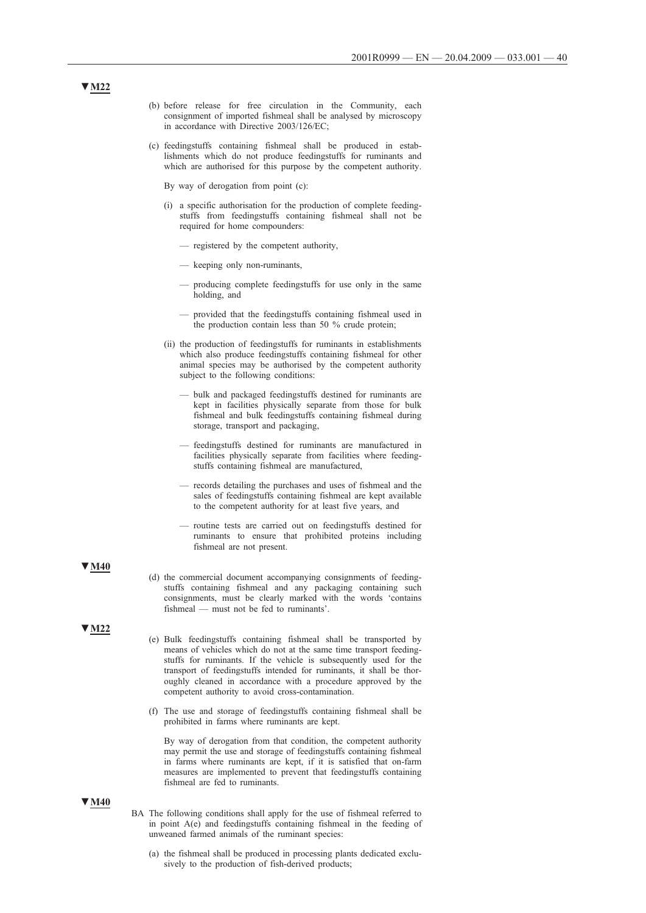- (b) before release for free circulation in the Community, each consignment of imported fishmeal shall be analysed by microscopy in accordance with Directive 2003/126/EC;
- (c) feedingstuffs containing fishmeal shall be produced in establishments which do not produce feedingstuffs for ruminants and which are authorised for this purpose by the competent authority.
	- By way of derogation from point (c):
	- (i) a specific authorisation for the production of complete feedingstuffs from feedingstuffs containing fishmeal shall not be required for home compounders:
		- registered by the competent authority,
		- keeping only non-ruminants,
		- producing complete feedingstuffs for use only in the same holding, and
		- provided that the feedingstuffs containing fishmeal used in the production contain less than 50 % crude protein;
	- (ii) the production of feedingstuffs for ruminants in establishments which also produce feedingstuffs containing fishmeal for other animal species may be authorised by the competent authority subject to the following conditions:
		- bulk and packaged feedingstuffs destined for ruminants are kept in facilities physically separate from those for bulk fishmeal and bulk feedingstuffs containing fishmeal during storage, transport and packaging,
		- feedingstuffs destined for ruminants are manufactured in facilities physically separate from facilities where feedingstuffs containing fishmeal are manufactured,
		- records detailing the purchases and uses of fishmeal and the sales of feedingstuffs containing fishmeal are kept available to the competent authority for at least five years, and
		- routine tests are carried out on feedingstuffs destined for ruminants to ensure that prohibited proteins including fishmeal are not present.

- (d) the commercial document accompanying consignments of feedingstuffs containing fishmeal and any packaging containing such consignments, must be clearly marked with the words 'contains fishmeal — must not be fed to ruminants'.
- **▼M22**
- (e) Bulk feedingstuffs containing fishmeal shall be transported by means of vehicles which do not at the same time transport feedingstuffs for ruminants. If the vehicle is subsequently used for the transport of feedingstuffs intended for ruminants, it shall be thoroughly cleaned in accordance with a procedure approved by the competent authority to avoid cross-contamination.
- (f) The use and storage of feedingstuffs containing fishmeal shall be prohibited in farms where ruminants are kept.

By way of derogation from that condition, the competent authority may permit the use and storage of feedingstuffs containing fishmeal in farms where ruminants are kept, if it is satisfied that on-farm measures are implemented to prevent that feedingstuffs containing fishmeal are fed to ruminants.

### **▼M40**

- BA The following conditions shall apply for the use of fishmeal referred to in point A(e) and feedingstuffs containing fishmeal in the feeding of unweaned farmed animals of the ruminant species:
	- (a) the fishmeal shall be produced in processing plants dedicated exclusively to the production of fish-derived products;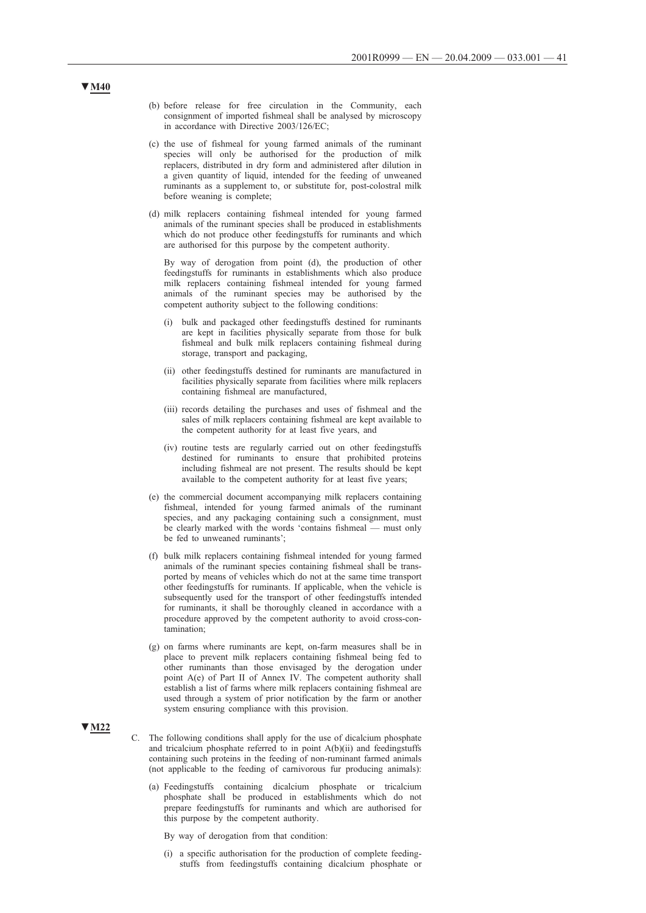- (b) before release for free circulation in the Community, each consignment of imported fishmeal shall be analysed by microscopy in accordance with Directive 2003/126/EC;
- (c) the use of fishmeal for young farmed animals of the ruminant species will only be authorised for the production of milk replacers, distributed in dry form and administered after dilution in a given quantity of liquid, intended for the feeding of unweaned ruminants as a supplement to, or substitute for, post-colostral milk before weaning is complete;
- (d) milk replacers containing fishmeal intended for young farmed animals of the ruminant species shall be produced in establishments which do not produce other feedingstuffs for ruminants and which are authorised for this purpose by the competent authority.

By way of derogation from point (d), the production of other feedingstuffs for ruminants in establishments which also produce milk replacers containing fishmeal intended for young farmed animals of the ruminant species may be authorised by the competent authority subject to the following conditions:

- (i) bulk and packaged other feedingstuffs destined for ruminants are kept in facilities physically separate from those for bulk fishmeal and bulk milk replacers containing fishmeal during storage, transport and packaging,
- (ii) other feedingstuffs destined for ruminants are manufactured in facilities physically separate from facilities where milk replacers containing fishmeal are manufactured,
- (iii) records detailing the purchases and uses of fishmeal and the sales of milk replacers containing fishmeal are kept available to the competent authority for at least five years, and
- (iv) routine tests are regularly carried out on other feedingstuffs destined for ruminants to ensure that prohibited proteins including fishmeal are not present. The results should be kept available to the competent authority for at least five years;
- (e) the commercial document accompanying milk replacers containing fishmeal, intended for young farmed animals of the ruminant species, and any packaging containing such a consignment, must be clearly marked with the words 'contains fishmeal — must only be fed to unweaned ruminants';
- (f) bulk milk replacers containing fishmeal intended for young farmed animals of the ruminant species containing fishmeal shall be transported by means of vehicles which do not at the same time transport other feedingstuffs for ruminants. If applicable, when the vehicle is subsequently used for the transport of other feedingstuffs intended for ruminants, it shall be thoroughly cleaned in accordance with a procedure approved by the competent authority to avoid cross-contamination;
- (g) on farms where ruminants are kept, on-farm measures shall be in place to prevent milk replacers containing fishmeal being fed to other ruminants than those envisaged by the derogation under point A(e) of Part II of Annex IV. The competent authority shall establish a list of farms where milk replacers containing fishmeal are used through a system of prior notification by the farm or another system ensuring compliance with this provision.

### **▼M22**

- C. The following conditions shall apply for the use of dicalcium phosphate and tricalcium phosphate referred to in point A(b)(ii) and feedingstuffs containing such proteins in the feeding of non-ruminant farmed animals (not applicable to the feeding of carnivorous fur producing animals):
	- (a) Feedingstuffs containing dicalcium phosphate or tricalcium phosphate shall be produced in establishments which do not prepare feedingstuffs for ruminants and which are authorised for this purpose by the competent authority.
		- By way of derogation from that condition:
		- (i) a specific authorisation for the production of complete feedingstuffs from feedingstuffs containing dicalcium phosphate or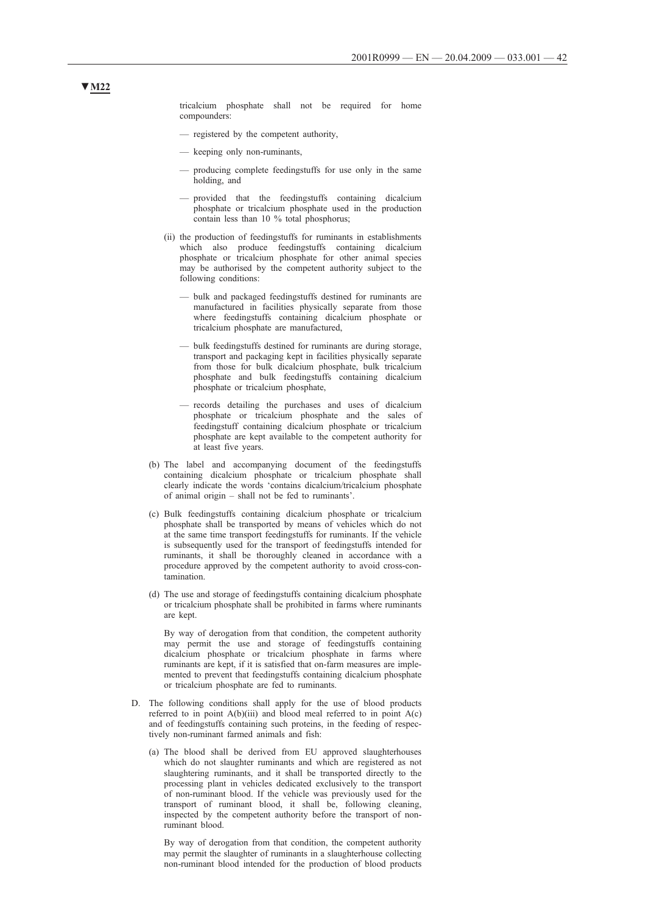tricalcium phosphate shall not be required for home compounders:

- registered by the competent authority,
- keeping only non-ruminants,
- producing complete feedingstuffs for use only in the same holding, and
- provided that the feedingstuffs containing dicalcium phosphate or tricalcium phosphate used in the production contain less than 10 % total phosphorus;
- (ii) the production of feedingstuffs for ruminants in establishments which also produce feedingstuffs containing dicalcium phosphate or tricalcium phosphate for other animal species may be authorised by the competent authority subject to the following conditions:
	- bulk and packaged feedingstuffs destined for ruminants are manufactured in facilities physically separate from those where feedingstuffs containing dicalcium phosphate or tricalcium phosphate are manufactured,
	- bulk feedingstuffs destined for ruminants are during storage, transport and packaging kept in facilities physically separate from those for bulk dicalcium phosphate, bulk tricalcium phosphate and bulk feedingstuffs containing dicalcium phosphate or tricalcium phosphate,
	- records detailing the purchases and uses of dicalcium phosphate or tricalcium phosphate and the sales of feedingstuff containing dicalcium phosphate or tricalcium phosphate are kept available to the competent authority for at least five years.
- (b) The label and accompanying document of the feedingstuffs containing dicalcium phosphate or tricalcium phosphate shall clearly indicate the words 'contains dicalcium/tricalcium phosphate of animal origin – shall not be fed to ruminants'.
- (c) Bulk feedingstuffs containing dicalcium phosphate or tricalcium phosphate shall be transported by means of vehicles which do not at the same time transport feedingstuffs for ruminants. If the vehicle is subsequently used for the transport of feedingstuffs intended for ruminants, it shall be thoroughly cleaned in accordance with a procedure approved by the competent authority to avoid cross-contamination.
- (d) The use and storage of feedingstuffs containing dicalcium phosphate or tricalcium phosphate shall be prohibited in farms where ruminants are kept.

By way of derogation from that condition, the competent authority may permit the use and storage of feedingstuffs containing dicalcium phosphate or tricalcium phosphate in farms where ruminants are kept, if it is satisfied that on-farm measures are implemented to prevent that feedingstuffs containing dicalcium phosphate or tricalcium phosphate are fed to ruminants.

- D. The following conditions shall apply for the use of blood products referred to in point  $A(b)(iii)$  and blood meal referred to in point  $A(c)$ and of feedingstuffs containing such proteins, in the feeding of respectively non-ruminant farmed animals and fish:
	- (a) The blood shall be derived from EU approved slaughterhouses which do not slaughter ruminants and which are registered as not slaughtering ruminants, and it shall be transported directly to the processing plant in vehicles dedicated exclusively to the transport of non-ruminant blood. If the vehicle was previously used for the transport of ruminant blood, it shall be, following cleaning, inspected by the competent authority before the transport of nonruminant blood.

By way of derogation from that condition, the competent authority may permit the slaughter of ruminants in a slaughterhouse collecting non-ruminant blood intended for the production of blood products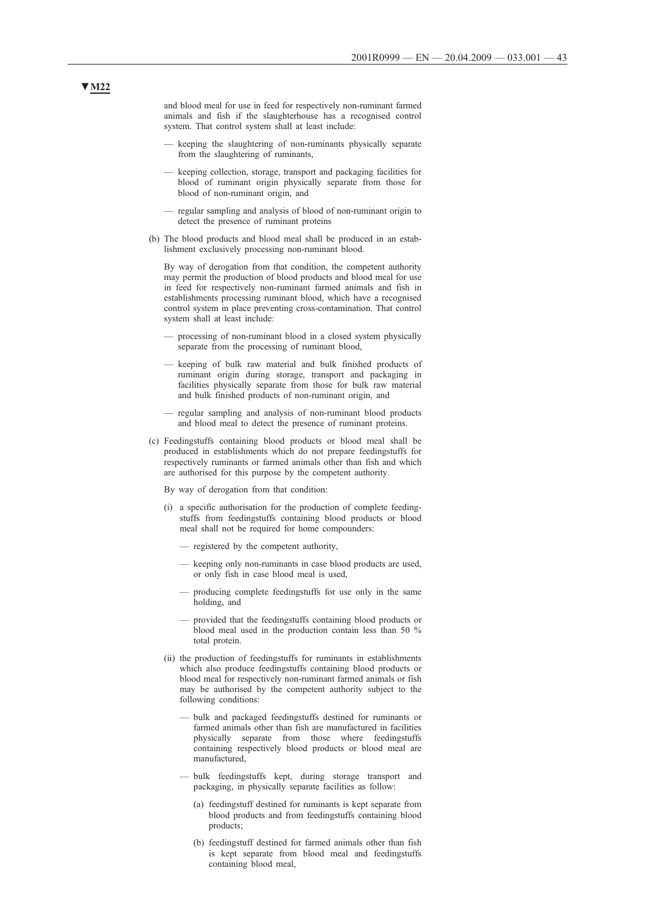and blood meal for use in feed for respectively non-ruminant farmed animals and fish if the slaughterhouse has a recognised control system. That control system shall at least include:

- keeping the slaughtering of non-ruminants physically separate from the slaughtering of ruminants,
- keeping collection, storage, transport and packaging facilities for blood of ruminant origin physically separate from those for blood of non-ruminant origin, and
- regular sampling and analysis of blood of non-ruminant origin to detect the presence of ruminant proteins
- (b) The blood products and blood meal shall be produced in an establishment exclusively processing non-ruminant blood.

By way of derogation from that condition, the competent authority may permit the production of blood products and blood meal for use in feed for respectively non-ruminant farmed animals and fish in establishments processing ruminant blood, which have a recognised control system in place preventing cross-contamination. That control system shall at least include:

- processing of non-ruminant blood in a closed system physically separate from the processing of ruminant blood,
- keeping of bulk raw material and bulk finished products of ruminant origin during storage, transport and packaging in facilities physically separate from those for bulk raw material and bulk finished products of non-ruminant origin, and
- regular sampling and analysis of non-ruminant blood products and blood meal to detect the presence of ruminant proteins.
- (c) Feedingstuffs containing blood products or blood meal shall be produced in establishments which do not prepare feedingstuffs for respectively ruminants or farmed animals other than fish and which are authorised for this purpose by the competent authority.
	- By way of derogation from that condition:
	- (i) a specific authorisation for the production of complete feedingstuffs from feedingstuffs containing blood products or blood meal shall not be required for home compounders:
		- registered by the competent authority,
		- keeping only non-ruminants in case blood products are used, or only fish in case blood meal is used,
		- producing complete feedingstuffs for use only in the same holding, and
		- provided that the feedingstuffs containing blood products or blood meal used in the production contain less than 50 % total protein.
	- (ii) the production of feedingstuffs for ruminants in establishments which also produce feedingstuffs containing blood products or blood meal for respectively non-ruminant farmed animals or fish may be authorised by the competent authority subject to the following conditions:
		- bulk and packaged feedingstuffs destined for ruminants or farmed animals other than fish are manufactured in facilities physically separate from those where feedingstuffs containing respectively blood products or blood meal are manufactured,
		- bulk feedingstuffs kept, during storage transport and packaging, in physically separate facilities as follow:
			- (a) feedingstuff destined for ruminants is kept separate from blood products and from feedingstuffs containing blood products;
			- (b) feedingstuff destined for farmed animals other than fish is kept separate from blood meal and feedingstuffs containing blood meal,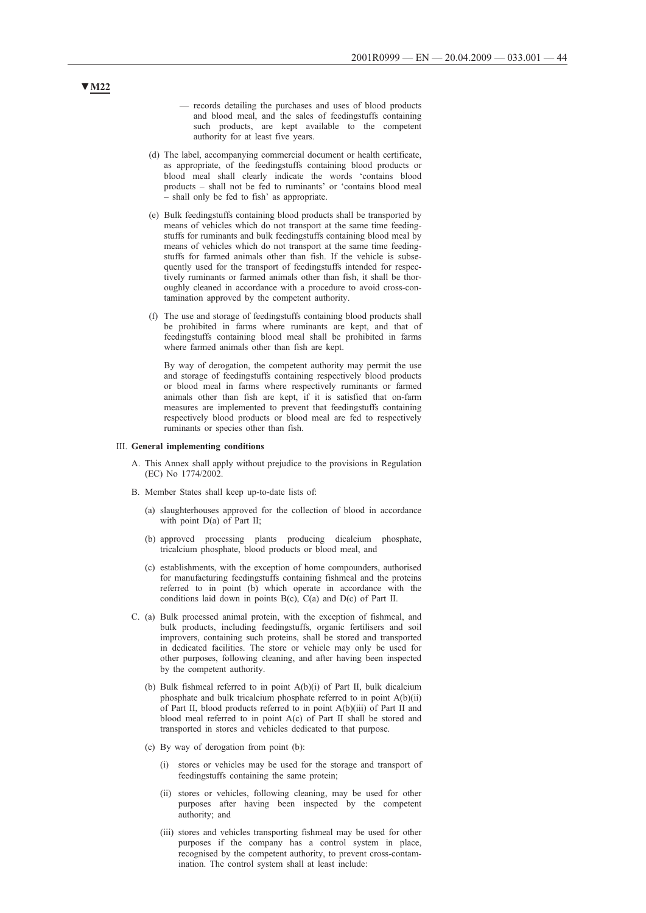- records detailing the purchases and uses of blood products and blood meal, and the sales of feedingstuffs containing such products, are kept available to the competent authority for at least five years.
- (d) The label, accompanying commercial document or health certificate, as appropriate, of the feedingstuffs containing blood products or blood meal shall clearly indicate the words 'contains blood products – shall not be fed to ruminants' or 'contains blood meal – shall only be fed to fish' as appropriate.
- (e) Bulk feedingstuffs containing blood products shall be transported by means of vehicles which do not transport at the same time feedingstuffs for ruminants and bulk feedingstuffs containing blood meal by means of vehicles which do not transport at the same time feedingstuffs for farmed animals other than fish. If the vehicle is subsequently used for the transport of feedingstuffs intended for respectively ruminants or farmed animals other than fish, it shall be thoroughly cleaned in accordance with a procedure to avoid cross-contamination approved by the competent authority.
- (f) The use and storage of feedingstuffs containing blood products shall be prohibited in farms where ruminants are kept, and that of feedingstuffs containing blood meal shall be prohibited in farms where farmed animals other than fish are kept.

By way of derogation, the competent authority may permit the use and storage of feedingstuffs containing respectively blood products or blood meal in farms where respectively ruminants or farmed animals other than fish are kept, if it is satisfied that on-farm measures are implemented to prevent that feedingstuffs containing respectively blood products or blood meal are fed to respectively ruminants or species other than fish.

#### III. **General implementing conditions**

- A. This Annex shall apply without prejudice to the provisions in Regulation (EC) No 1774/2002.
- B. Member States shall keep up-to-date lists of:
	- (a) slaughterhouses approved for the collection of blood in accordance with point  $D(a)$  of Part II;
	- (b) approved processing plants producing dicalcium phosphate, tricalcium phosphate, blood products or blood meal, and
	- (c) establishments, with the exception of home compounders, authorised for manufacturing feedingstuffs containing fishmeal and the proteins referred to in point (b) which operate in accordance with the conditions laid down in points B(c), C(a) and D(c) of Part II.
- C. (a) Bulk processed animal protein, with the exception of fishmeal, and bulk products, including feedingstuffs, organic fertilisers and soil improvers, containing such proteins, shall be stored and transported in dedicated facilities. The store or vehicle may only be used for other purposes, following cleaning, and after having been inspected by the competent authority.
	- (b) Bulk fishmeal referred to in point A(b)(i) of Part II, bulk dicalcium phosphate and bulk tricalcium phosphate referred to in point A(b)(ii) of Part II, blood products referred to in point A(b)(iii) of Part II and blood meal referred to in point A(c) of Part II shall be stored and transported in stores and vehicles dedicated to that purpose.
	- (c) By way of derogation from point (b):
		- (i) stores or vehicles may be used for the storage and transport of feedingstuffs containing the same protein;
		- (ii) stores or vehicles, following cleaning, may be used for other purposes after having been inspected by the competent authority; and
		- (iii) stores and vehicles transporting fishmeal may be used for other purposes if the company has a control system in place, recognised by the competent authority, to prevent cross-contamination. The control system shall at least include: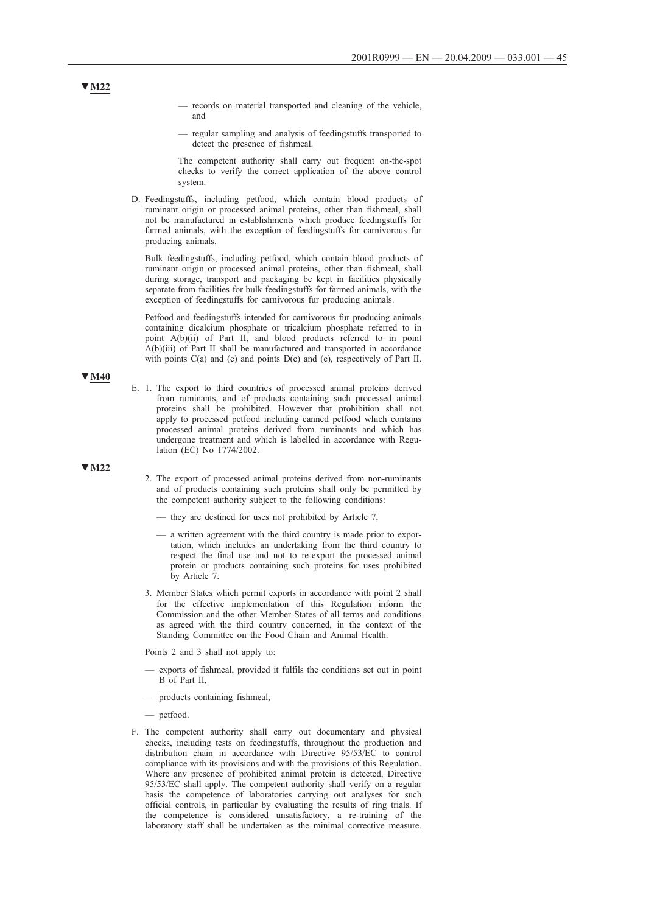- records on material transported and cleaning of the vehicle, and
- regular sampling and analysis of feedingstuffs transported to detect the presence of fishmeal.

The competent authority shall carry out frequent on-the-spot checks to verify the correct application of the above control system.

D. Feedingstuffs, including petfood, which contain blood products of ruminant origin or processed animal proteins, other than fishmeal, shall not be manufactured in establishments which produce feedingstuffs for farmed animals, with the exception of feedingstuffs for carnivorous fur producing animals.

Bulk feedingstuffs, including petfood, which contain blood products of ruminant origin or processed animal proteins, other than fishmeal, shall during storage, transport and packaging be kept in facilities physically separate from facilities for bulk feedingstuffs for farmed animals, with the exception of feedingstuffs for carnivorous fur producing animals.

Petfood and feedingstuffs intended for carnivorous fur producing animals containing dicalcium phosphate or tricalcium phosphate referred to in point A(b)(ii) of Part II, and blood products referred to in point A(b)(iii) of Part II shall be manufactured and transported in accordance with points C(a) and (c) and points D(c) and (e), respectively of Part II.

### **▼M40**

E. 1. The export to third countries of processed animal proteins derived from ruminants, and of products containing such processed animal proteins shall be prohibited. However that prohibition shall not apply to processed petfood including canned petfood which contains processed animal proteins derived from ruminants and which has undergone treatment and which is labelled in accordance with Regulation (EC) No 1774/2002.

### **▼M22**

- 2. The export of processed animal proteins derived from non-ruminants and of products containing such proteins shall only be permitted by the competent authority subject to the following conditions:
	- they are destined for uses not prohibited by Article 7,
	- a written agreement with the third country is made prior to exportation, which includes an undertaking from the third country to respect the final use and not to re-export the processed animal protein or products containing such proteins for uses prohibited by Article 7.
- 3. Member States which permit exports in accordance with point 2 shall for the effective implementation of this Regulation inform the Commission and the other Member States of all terms and conditions as agreed with the third country concerned, in the context of the Standing Committee on the Food Chain and Animal Health.

Points 2 and 3 shall not apply to:

- exports of fishmeal, provided it fulfils the conditions set out in point B of Part II,
- products containing fishmeal,
- petfood.
- F. The competent authority shall carry out documentary and physical checks, including tests on feedingstuffs, throughout the production and distribution chain in accordance with Directive 95/53/EC to control compliance with its provisions and with the provisions of this Regulation. Where any presence of prohibited animal protein is detected, Directive 95/53/EC shall apply. The competent authority shall verify on a regular basis the competence of laboratories carrying out analyses for such official controls, in particular by evaluating the results of ring trials. If the competence is considered unsatisfactory, a re-training of the laboratory staff shall be undertaken as the minimal corrective measure.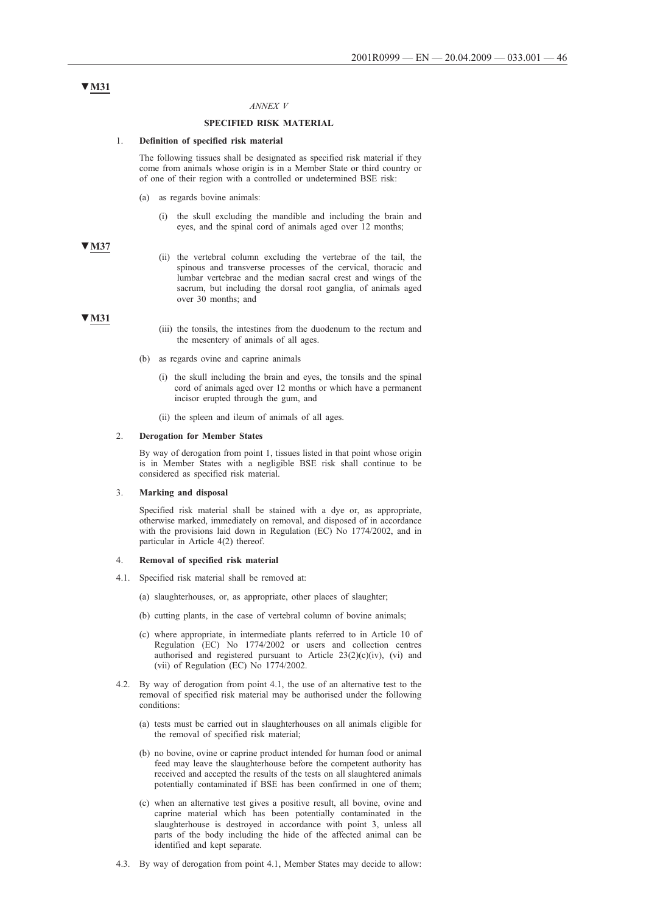#### *ANNEX V*

### **SPECIFIED RISK MATERIAL**

#### 1. **Definition of specified risk material**

The following tissues shall be designated as specified risk material if they come from animals whose origin is in a Member State or third country or of one of their region with a controlled or undetermined BSE risk:

- (a) as regards bovine animals:
	- (i) the skull excluding the mandible and including the brain and eyes, and the spinal cord of animals aged over 12 months;

**▼M37**

(ii) the vertebral column excluding the vertebrae of the tail, the spinous and transverse processes of the cervical, thoracic and lumbar vertebrae and the median sacral crest and wings of the sacrum, but including the dorsal root ganglia, of animals aged over 30 months; and

#### **▼M31**

- (iii) the tonsils, the intestines from the duodenum to the rectum and the mesentery of animals of all ages.
- (b) as regards ovine and caprine animals
	- (i) the skull including the brain and eyes, the tonsils and the spinal cord of animals aged over 12 months or which have a permanent incisor erupted through the gum, and
	- (ii) the spleen and ileum of animals of all ages.

### 2. **Derogation for Member States**

By way of derogation from point 1, tissues listed in that point whose origin is in Member States with a negligible BSE risk shall continue to be considered as specified risk material.

### 3. **Marking and disposal**

Specified risk material shall be stained with a dye or, as appropriate, otherwise marked, immediately on removal, and disposed of in accordance with the provisions laid down in Regulation (EC) No 1774/2002, and in particular in Article 4(2) thereof.

#### 4. **Removal of specified risk material**

- 4.1. Specified risk material shall be removed at:
	- (a) slaughterhouses, or, as appropriate, other places of slaughter;
	- (b) cutting plants, in the case of vertebral column of bovine animals;
	- (c) where appropriate, in intermediate plants referred to in Article 10 of Regulation (EC) No 1774/2002 or users and collection centres authorised and registered pursuant to Article  $23(2)(c)(iv)$ , (vi) and (vii) of Regulation (EC) No 1774/2002.
- 4.2. By way of derogation from point 4.1, the use of an alternative test to the removal of specified risk material may be authorised under the following conditions:
	- (a) tests must be carried out in slaughterhouses on all animals eligible for the removal of specified risk material;
	- (b) no bovine, ovine or caprine product intended for human food or animal feed may leave the slaughterhouse before the competent authority has received and accepted the results of the tests on all slaughtered animals potentially contaminated if BSE has been confirmed in one of them;
	- (c) when an alternative test gives a positive result, all bovine, ovine and caprine material which has been potentially contaminated in the slaughterhouse is destroyed in accordance with point 3, unless all parts of the body including the hide of the affected animal can be identified and kept separate.
- 4.3. By way of derogation from point 4.1, Member States may decide to allow: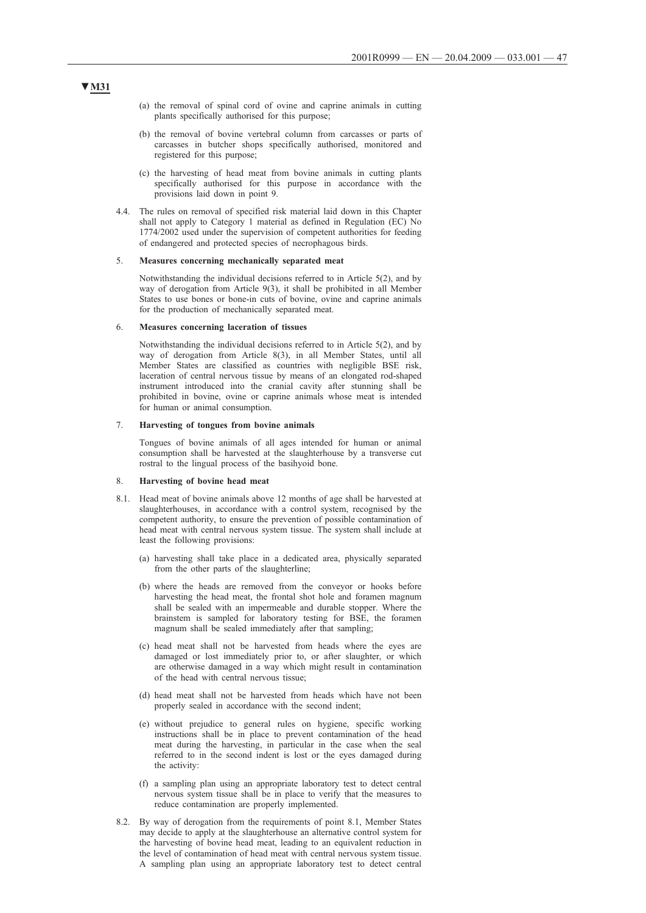- (a) the removal of spinal cord of ovine and caprine animals in cutting plants specifically authorised for this purpose;
- (b) the removal of bovine vertebral column from carcasses or parts of carcasses in butcher shops specifically authorised, monitored and registered for this purpose;
- (c) the harvesting of head meat from bovine animals in cutting plants specifically authorised for this purpose in accordance with the provisions laid down in point 9.
- 4.4. The rules on removal of specified risk material laid down in this Chapter shall not apply to Category 1 material as defined in Regulation (EC) No 1774/2002 used under the supervision of competent authorities for feeding of endangered and protected species of necrophagous birds.

#### 5. **Measures concerning mechanically separated meat**

Notwithstanding the individual decisions referred to in Article 5(2), and by way of derogation from Article 9(3), it shall be prohibited in all Member States to use bones or bone-in cuts of bovine, ovine and caprine animals for the production of mechanically separated meat.

#### 6. **Measures concerning laceration of tissues**

Notwithstanding the individual decisions referred to in Article 5(2), and by way of derogation from Article 8(3), in all Member States, until all Member States are classified as countries with negligible BSE risk, laceration of central nervous tissue by means of an elongated rod-shaped instrument introduced into the cranial cavity after stunning shall be prohibited in bovine, ovine or caprine animals whose meat is intended for human or animal consumption.

#### 7. **Harvesting of tongues from bovine animals**

Tongues of bovine animals of all ages intended for human or animal consumption shall be harvested at the slaughterhouse by a transverse cut rostral to the lingual process of the basihyoid bone.

#### 8. **Harvesting of bovine head meat**

- 8.1. Head meat of bovine animals above 12 months of age shall be harvested at slaughterhouses, in accordance with a control system, recognised by the competent authority, to ensure the prevention of possible contamination of head meat with central nervous system tissue. The system shall include at least the following provisions:
	- (a) harvesting shall take place in a dedicated area, physically separated from the other parts of the slaughterline;
	- (b) where the heads are removed from the conveyor or hooks before harvesting the head meat, the frontal shot hole and foramen magnum shall be sealed with an impermeable and durable stopper. Where the brainstem is sampled for laboratory testing for BSE, the foramen magnum shall be sealed immediately after that sampling;
	- (c) head meat shall not be harvested from heads where the eyes are damaged or lost immediately prior to, or after slaughter, or which are otherwise damaged in a way which might result in contamination of the head with central nervous tissue;
	- (d) head meat shall not be harvested from heads which have not been properly sealed in accordance with the second indent;
	- (e) without prejudice to general rules on hygiene, specific working instructions shall be in place to prevent contamination of the head meat during the harvesting, in particular in the case when the seal referred to in the second indent is lost or the eyes damaged during the activity:
	- (f) a sampling plan using an appropriate laboratory test to detect central nervous system tissue shall be in place to verify that the measures to reduce contamination are properly implemented.
- 8.2. By way of derogation from the requirements of point 8.1, Member States may decide to apply at the slaughterhouse an alternative control system for the harvesting of bovine head meat, leading to an equivalent reduction in the level of contamination of head meat with central nervous system tissue. A sampling plan using an appropriate laboratory test to detect central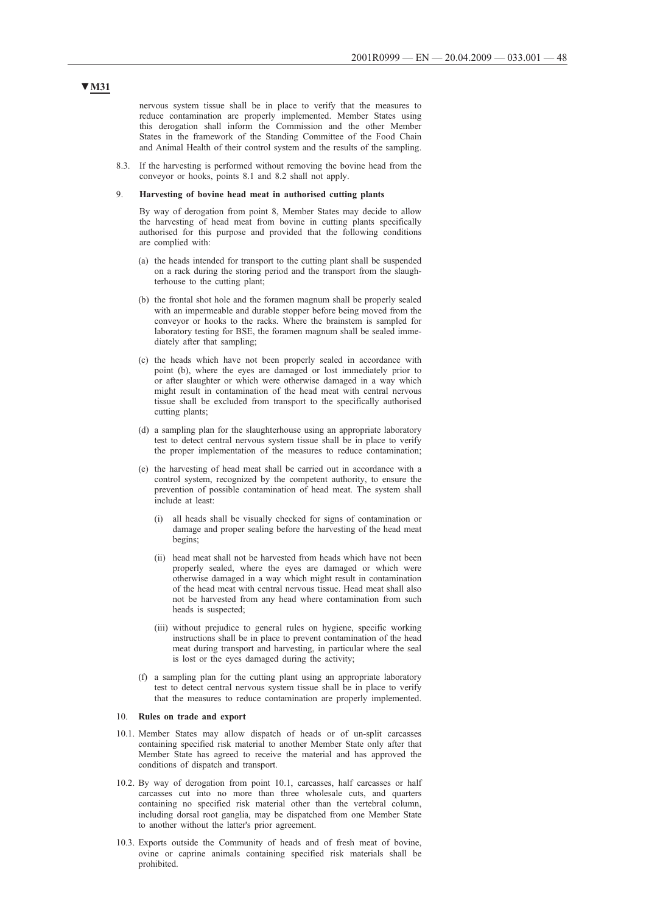nervous system tissue shall be in place to verify that the measures to reduce contamination are properly implemented. Member States using this derogation shall inform the Commission and the other Member States in the framework of the Standing Committee of the Food Chain and Animal Health of their control system and the results of the sampling.

8.3. If the harvesting is performed without removing the bovine head from the conveyor or hooks, points 8.1 and 8.2 shall not apply.

#### 9. **Harvesting of bovine head meat in authorised cutting plants**

By way of derogation from point 8, Member States may decide to allow the harvesting of head meat from bovine in cutting plants specifically authorised for this purpose and provided that the following conditions are complied with:

- (a) the heads intended for transport to the cutting plant shall be suspended on a rack during the storing period and the transport from the slaughterhouse to the cutting plant;
- (b) the frontal shot hole and the foramen magnum shall be properly sealed with an impermeable and durable stopper before being moved from the conveyor or hooks to the racks. Where the brainstem is sampled for laboratory testing for BSE, the foramen magnum shall be sealed immediately after that sampling;
- (c) the heads which have not been properly sealed in accordance with point (b), where the eyes are damaged or lost immediately prior to or after slaughter or which were otherwise damaged in a way which might result in contamination of the head meat with central nervous tissue shall be excluded from transport to the specifically authorised cutting plants;
- (d) a sampling plan for the slaughterhouse using an appropriate laboratory test to detect central nervous system tissue shall be in place to verify the proper implementation of the measures to reduce contamination;
- (e) the harvesting of head meat shall be carried out in accordance with a control system, recognized by the competent authority, to ensure the prevention of possible contamination of head meat. The system shall include at least:
	- all heads shall be visually checked for signs of contamination or damage and proper sealing before the harvesting of the head meat begins;
	- (ii) head meat shall not be harvested from heads which have not been properly sealed, where the eyes are damaged or which were otherwise damaged in a way which might result in contamination of the head meat with central nervous tissue. Head meat shall also not be harvested from any head where contamination from such heads is suspected;
	- (iii) without prejudice to general rules on hygiene, specific working instructions shall be in place to prevent contamination of the head meat during transport and harvesting, in particular where the seal is lost or the eyes damaged during the activity;
- (f) a sampling plan for the cutting plant using an appropriate laboratory test to detect central nervous system tissue shall be in place to verify that the measures to reduce contamination are properly implemented.

#### 10. **Rules on trade and export**

- 10.1. Member States may allow dispatch of heads or of un-split carcasses containing specified risk material to another Member State only after that Member State has agreed to receive the material and has approved the conditions of dispatch and transport.
- 10.2. By way of derogation from point 10.1, carcasses, half carcasses or half carcasses cut into no more than three wholesale cuts, and quarters containing no specified risk material other than the vertebral column, including dorsal root ganglia, may be dispatched from one Member State to another without the latter's prior agreement.
- 10.3. Exports outside the Community of heads and of fresh meat of bovine, ovine or caprine animals containing specified risk materials shall be prohibited.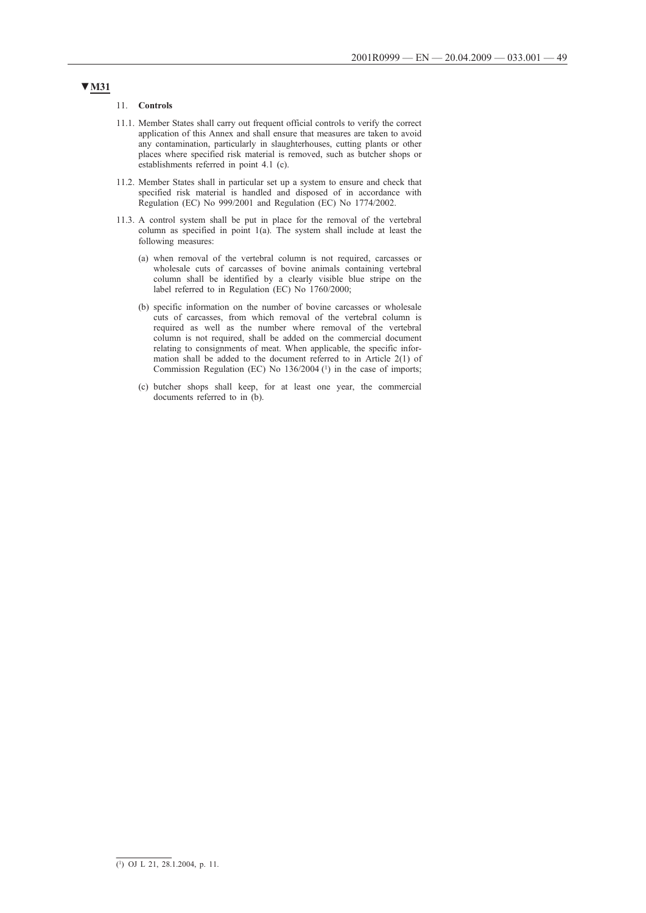### 11. **Controls**

- 11.1. Member States shall carry out frequent official controls to verify the correct application of this Annex and shall ensure that measures are taken to avoid any contamination, particularly in slaughterhouses, cutting plants or other places where specified risk material is removed, such as butcher shops or establishments referred in point 4.1 (c).
- 11.2. Member States shall in particular set up a system to ensure and check that specified risk material is handled and disposed of in accordance with Regulation (EC) No 999/2001 and Regulation (EC) No 1774/2002.
- 11.3. A control system shall be put in place for the removal of the vertebral column as specified in point 1(a). The system shall include at least the following measures:
	- (a) when removal of the vertebral column is not required, carcasses or wholesale cuts of carcasses of bovine animals containing vertebral column shall be identified by a clearly visible blue stripe on the label referred to in Regulation (EC) No 1760/2000;
	- (b) specific information on the number of bovine carcasses or wholesale cuts of carcasses, from which removal of the vertebral column is required as well as the number where removal of the vertebral column is not required, shall be added on the commercial document relating to consignments of meat. When applicable, the specific information shall be added to the document referred to in Article 2(1) of Commission Regulation (EC) No  $136/2004$  (<sup>1</sup>) in the case of imports;
	- (c) butcher shops shall keep, for at least one year, the commercial documents referred to in (b).

 $\overline{$ (1) OJ L 21, 28, 1, 2004, p. 11.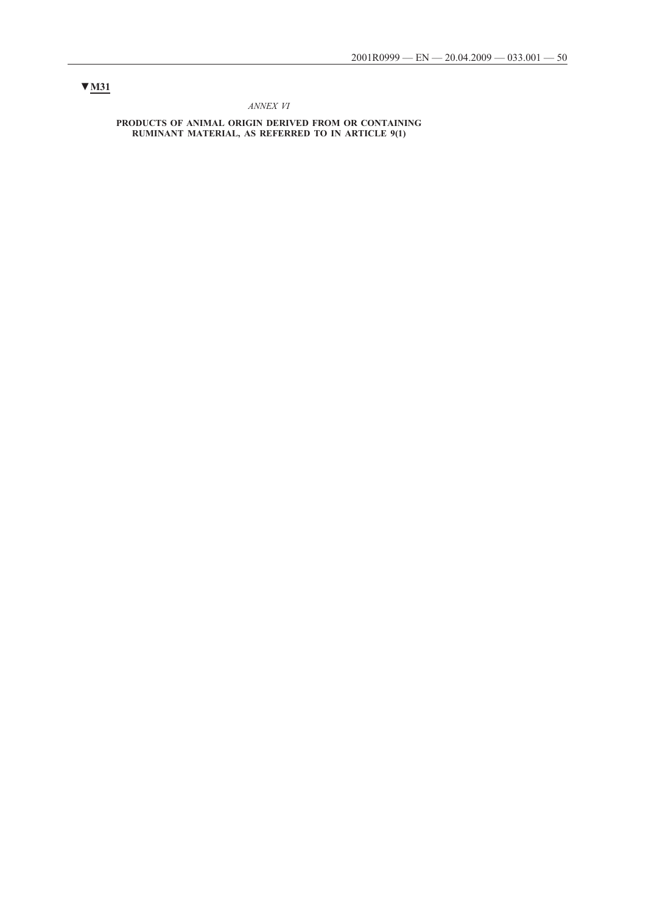*ANNEX VI*

**PRODUCTS OF ANIMAL ORIGIN DERIVED FROM OR CONTAINING RUMINANT MATERIAL, AS REFERRED TO IN ARTICLE 9(1)**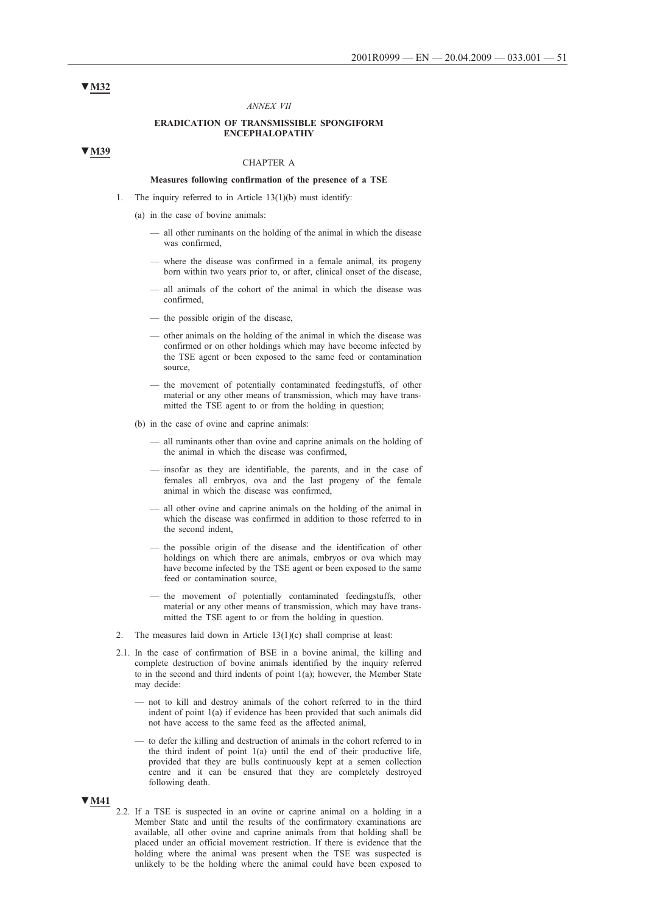#### *ANNEX VII*

#### **ERADICATION OF TRANSMISSIBLE SPONGIFORM ENCEPHALOPATHY**

**▼M39**

### CHAPTER A

#### **Measures following confirmation of the presence of a TSE**

- 1. The inquiry referred to in Article 13(1)(b) must identify:
	- (a) in the case of bovine animals:
		- all other ruminants on the holding of the animal in which the disease was confirmed,
		- where the disease was confirmed in a female animal, its progeny born within two years prior to, or after, clinical onset of the disease,
		- all animals of the cohort of the animal in which the disease was confirmed,
		- the possible origin of the disease,
		- other animals on the holding of the animal in which the disease was confirmed or on other holdings which may have become infected by the TSE agent or been exposed to the same feed or contamination source,
		- the movement of potentially contaminated feedingstuffs, of other material or any other means of transmission, which may have transmitted the TSE agent to or from the holding in question;
	- (b) in the case of ovine and caprine animals:
		- all ruminants other than ovine and caprine animals on the holding of the animal in which the disease was confirmed,
		- insofar as they are identifiable, the parents, and in the case of females all embryos, ova and the last progeny of the female animal in which the disease was confirmed,
		- all other ovine and caprine animals on the holding of the animal in which the disease was confirmed in addition to those referred to in the second indent,
		- the possible origin of the disease and the identification of other holdings on which there are animals, embryos or ova which may have become infected by the TSE agent or been exposed to the same feed or contamination source,
		- the movement of potentially contaminated feedingstuffs, other material or any other means of transmission, which may have transmitted the TSE agent to or from the holding in question.
- 2. The measures laid down in Article 13(1)(c) shall comprise at least:
- 2.1. In the case of confirmation of BSE in a bovine animal, the killing and complete destruction of bovine animals identified by the inquiry referred to in the second and third indents of point 1(a); however, the Member State may decide:
	- not to kill and destroy animals of the cohort referred to in the third indent of point 1(a) if evidence has been provided that such animals did not have access to the same feed as the affected animal,
	- to defer the killing and destruction of animals in the cohort referred to in the third indent of point 1(a) until the end of their productive life, provided that they are bulls continuously kept at a semen collection centre and it can be ensured that they are completely destroyed following death.

#### **▼M41**

2.2. If a TSE is suspected in an ovine or caprine animal on a holding in a Member State and until the results of the confirmatory examinations are available, all other ovine and caprine animals from that holding shall be placed under an official movement restriction. If there is evidence that the holding where the animal was present when the TSE was suspected is unlikely to be the holding where the animal could have been exposed to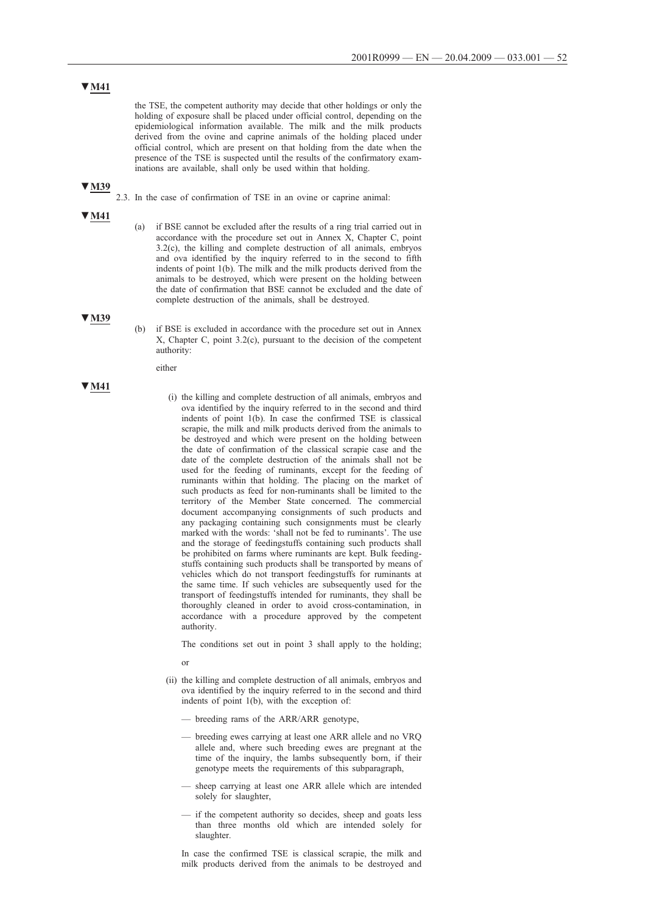the TSE, the competent authority may decide that other holdings or only the holding of exposure shall be placed under official control, depending on the epidemiological information available. The milk and the milk products derived from the ovine and caprine animals of the holding placed under official control, which are present on that holding from the date when the presence of the TSE is suspected until the results of the confirmatory examinations are available, shall only be used within that holding.

### **▼M39**

2.3. In the case of confirmation of TSE in an ovine or caprine animal:

#### **▼M41**

(a) if BSE cannot be excluded after the results of a ring trial carried out in accordance with the procedure set out in Annex X, Chapter C, point 3.2(c), the killing and complete destruction of all animals, embryos and ova identified by the inquiry referred to in the second to fifth indents of point 1(b). The milk and the milk products derived from the animals to be destroyed, which were present on the holding between the date of confirmation that BSE cannot be excluded and the date of complete destruction of the animals, shall be destroyed.

#### **▼M39**

(b) if BSE is excluded in accordance with the procedure set out in Annex X, Chapter C, point 3.2(c), pursuant to the decision of the competent authority:

either

### **▼M41**

(i) the killing and complete destruction of all animals, embryos and ova identified by the inquiry referred to in the second and third indents of point 1(b). In case the confirmed TSE is classical scrapie, the milk and milk products derived from the animals to be destroyed and which were present on the holding between the date of confirmation of the classical scrapie case and the date of the complete destruction of the animals shall not be used for the feeding of ruminants, except for the feeding of ruminants within that holding. The placing on the market of such products as feed for non-ruminants shall be limited to the territory of the Member State concerned. The commercial document accompanying consignments of such products and any packaging containing such consignments must be clearly marked with the words: 'shall not be fed to ruminants'. The use and the storage of feedingstuffs containing such products shall be prohibited on farms where ruminants are kept. Bulk feedingstuffs containing such products shall be transported by means of vehicles which do not transport feedingstuffs for ruminants at the same time. If such vehicles are subsequently used for the transport of feedingstuffs intended for ruminants, they shall be thoroughly cleaned in order to avoid cross-contamination, in accordance with a procedure approved by the competent authority.

The conditions set out in point 3 shall apply to the holding;

or

- (ii) the killing and complete destruction of all animals, embryos and ova identified by the inquiry referred to in the second and third indents of point 1(b), with the exception of:
	- breeding rams of the ARR/ARR genotype,
	- breeding ewes carrying at least one ARR allele and no VRQ allele and, where such breeding ewes are pregnant at the time of the inquiry, the lambs subsequently born, if their genotype meets the requirements of this subparagraph,
	- sheep carrying at least one ARR allele which are intended solely for slaughter,
	- if the competent authority so decides, sheep and goats less than three months old which are intended solely for slaughter.

In case the confirmed TSE is classical scrapie, the milk and milk products derived from the animals to be destroyed and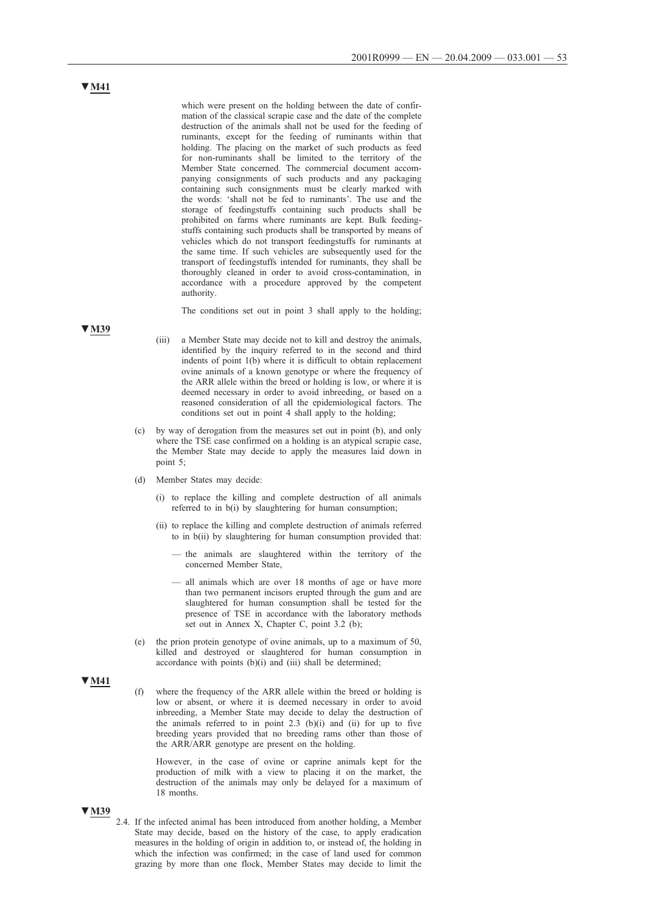which were present on the holding between the date of confirmation of the classical scrapie case and the date of the complete destruction of the animals shall not be used for the feeding of ruminants, except for the feeding of ruminants within that holding. The placing on the market of such products as feed for non-ruminants shall be limited to the territory of the Member State concerned. The commercial document accompanying consignments of such products and any packaging containing such consignments must be clearly marked with the words: 'shall not be fed to ruminants'. The use and the storage of feedingstuffs containing such products shall be prohibited on farms where ruminants are kept. Bulk feedingstuffs containing such products shall be transported by means of vehicles which do not transport feedingstuffs for ruminants at the same time. If such vehicles are subsequently used for the transport of feedingstuffs intended for ruminants, they shall be thoroughly cleaned in order to avoid cross-contamination, in accordance with a procedure approved by the competent authority.

The conditions set out in point 3 shall apply to the holding;

- (iii) a Member State may decide not to kill and destroy the animals, identified by the inquiry referred to in the second and third indents of point 1(b) where it is difficult to obtain replacement ovine animals of a known genotype or where the frequency of the ARR allele within the breed or holding is low, or where it is deemed necessary in order to avoid inbreeding, or based on a reasoned consideration of all the epidemiological factors. The conditions set out in point 4 shall apply to the holding;
- (c) by way of derogation from the measures set out in point (b), and only where the TSE case confirmed on a holding is an atypical scrapie case, the Member State may decide to apply the measures laid down in point 5;
- (d) Member States may decide:
	- (i) to replace the killing and complete destruction of all animals referred to in  $b(i)$  by slaughtering for human consumption;
	- (ii) to replace the killing and complete destruction of animals referred to in b(ii) by slaughtering for human consumption provided that:
		- the animals are slaughtered within the territory of the concerned Member State,
		- all animals which are over 18 months of age or have more than two permanent incisors erupted through the gum and are slaughtered for human consumption shall be tested for the presence of TSE in accordance with the laboratory methods set out in Annex X, Chapter C, point 3.2 (b);
- the prion protein genotype of ovine animals, up to a maximum of 50, killed and destroyed or slaughtered for human consumption in accordance with points (b)(i) and (iii) shall be determined;

### **▼M41**

(f) where the frequency of the ARR allele within the breed or holding is low or absent, or where it is deemed necessary in order to avoid inbreeding, a Member State may decide to delay the destruction of the animals referred to in point  $2.3$  (b)(i) and (ii) for up to five breeding years provided that no breeding rams other than those of the ARR/ARR genotype are present on the holding.

However, in the case of ovine or caprine animals kept for the production of milk with a view to placing it on the market, the destruction of the animals may only be delayed for a maximum of 18 months.

#### **▼M39**

2.4. If the infected animal has been introduced from another holding, a Member State may decide, based on the history of the case, to apply eradication measures in the holding of origin in addition to, or instead of, the holding in which the infection was confirmed; in the case of land used for common grazing by more than one flock, Member States may decide to limit the

**▼M41**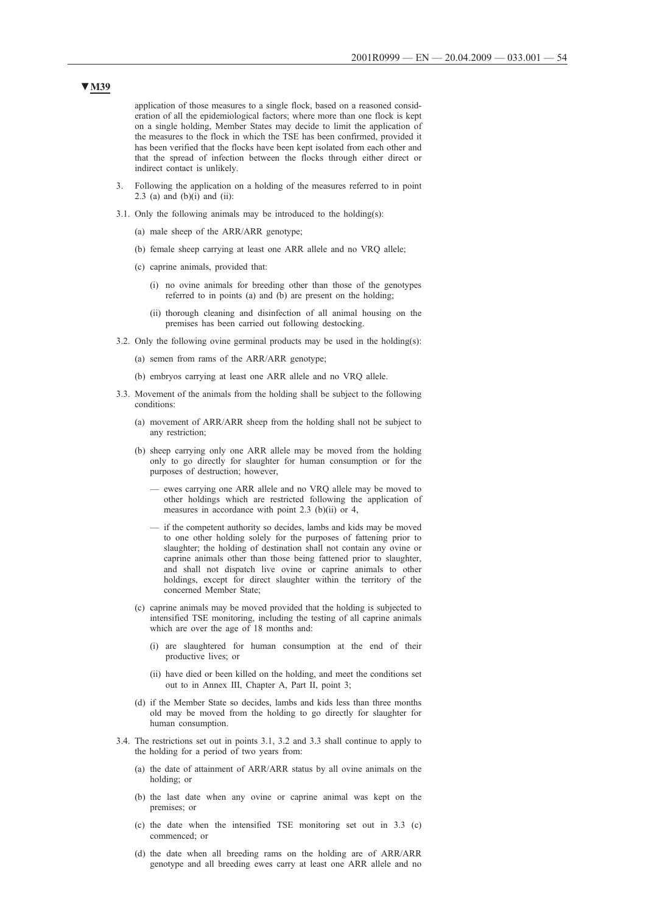application of those measures to a single flock, based on a reasoned consideration of all the epidemiological factors; where more than one flock is kept on a single holding, Member States may decide to limit the application of the measures to the flock in which the TSE has been confirmed, provided it has been verified that the flocks have been kept isolated from each other and that the spread of infection between the flocks through either direct or indirect contact is unlikely.

- 3. Following the application on a holding of the measures referred to in point 2.3 (a) and  $(b)(i)$  and  $(ii)$ :
- 3.1. Only the following animals may be introduced to the holding(s):
	- (a) male sheep of the ARR/ARR genotype;
	- (b) female sheep carrying at least one ARR allele and no VRQ allele;
	- (c) caprine animals, provided that:
		- (i) no ovine animals for breeding other than those of the genotypes referred to in points (a) and (b) are present on the holding;
		- (ii) thorough cleaning and disinfection of all animal housing on the premises has been carried out following destocking.
- 3.2. Only the following ovine germinal products may be used in the holding(s):
	- (a) semen from rams of the ARR/ARR genotype;
	- (b) embryos carrying at least one ARR allele and no VRQ allele.
- 3.3. Movement of the animals from the holding shall be subject to the following conditions:
	- (a) movement of ARR/ARR sheep from the holding shall not be subject to any restriction;
	- (b) sheep carrying only one ARR allele may be moved from the holding only to go directly for slaughter for human consumption or for the purposes of destruction; however,
		- ewes carrying one ARR allele and no VRQ allele may be moved to other holdings which are restricted following the application of measures in accordance with point 2.3 (b)(ii) or 4,
		- if the competent authority so decides, lambs and kids may be moved to one other holding solely for the purposes of fattening prior to slaughter; the holding of destination shall not contain any ovine or caprine animals other than those being fattened prior to slaughter, and shall not dispatch live ovine or caprine animals to other holdings, except for direct slaughter within the territory of the concerned Member State;
	- (c) caprine animals may be moved provided that the holding is subjected to intensified TSE monitoring, including the testing of all caprine animals which are over the age of 18 months and:
		- (i) are slaughtered for human consumption at the end of their productive lives; or
		- (ii) have died or been killed on the holding, and meet the conditions set out to in Annex III, Chapter A, Part II, point 3;
	- (d) if the Member State so decides, lambs and kids less than three months old may be moved from the holding to go directly for slaughter for human consumption.
- 3.4. The restrictions set out in points 3.1, 3.2 and 3.3 shall continue to apply to the holding for a period of two years from:
	- (a) the date of attainment of ARR/ARR status by all ovine animals on the holding; or
	- (b) the last date when any ovine or caprine animal was kept on the premises; or
	- (c) the date when the intensified TSE monitoring set out in 3.3 (c) commenced; or
	- (d) the date when all breeding rams on the holding are of ARR/ARR genotype and all breeding ewes carry at least one ARR allele and no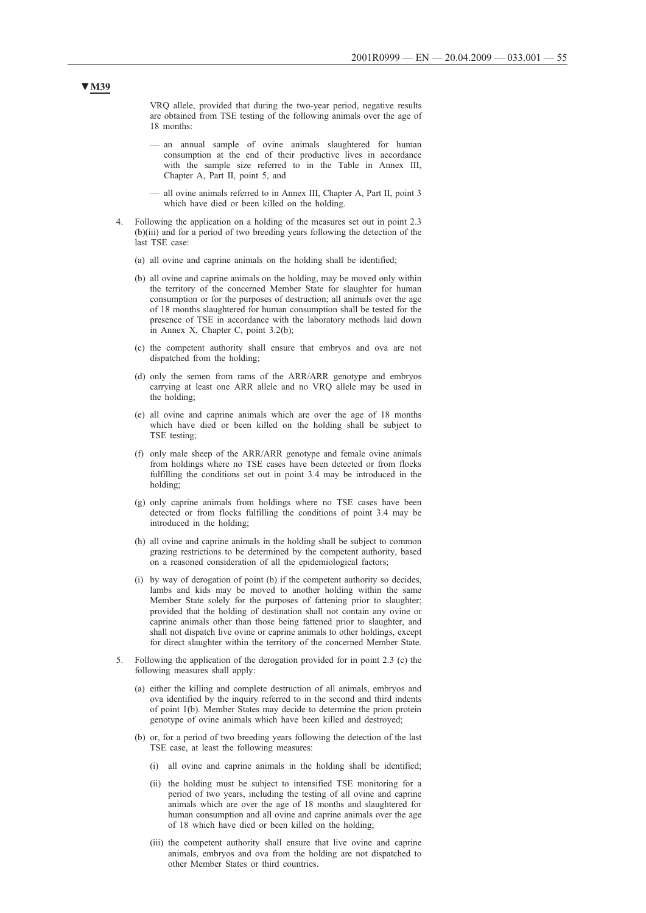VRQ allele, provided that during the two-year period, negative results are obtained from TSE testing of the following animals over the age of 18 months:

- an annual sample of ovine animals slaughtered for human consumption at the end of their productive lives in accordance with the sample size referred to in the Table in Annex III, Chapter A, Part II, point 5, and
- all ovine animals referred to in Annex III, Chapter A, Part II, point 3 which have died or been killed on the holding.
- 4. Following the application on a holding of the measures set out in point 2.3 (b)(iii) and for a period of two breeding years following the detection of the last TSE case:
	- (a) all ovine and caprine animals on the holding shall be identified;
	- (b) all ovine and caprine animals on the holding, may be moved only within the territory of the concerned Member State for slaughter for human consumption or for the purposes of destruction; all animals over the age of 18 months slaughtered for human consumption shall be tested for the presence of TSE in accordance with the laboratory methods laid down in Annex X, Chapter C, point 3.2(b);
	- (c) the competent authority shall ensure that embryos and ova are not dispatched from the holding;
	- (d) only the semen from rams of the ARR/ARR genotype and embryos carrying at least one ARR allele and no VRQ allele may be used in the holding;
	- (e) all ovine and caprine animals which are over the age of 18 months which have died or been killed on the holding shall be subject to TSE testing;
	- (f) only male sheep of the ARR/ARR genotype and female ovine animals from holdings where no TSE cases have been detected or from flocks fulfilling the conditions set out in point 3.4 may be introduced in the holding;
	- (g) only caprine animals from holdings where no TSE cases have been detected or from flocks fulfilling the conditions of point 3.4 may be introduced in the holding;
	- (h) all ovine and caprine animals in the holding shall be subject to common grazing restrictions to be determined by the competent authority, based on a reasoned consideration of all the epidemiological factors;
	- (i) by way of derogation of point (b) if the competent authority so decides, lambs and kids may be moved to another holding within the same Member State solely for the purposes of fattening prior to slaughter; provided that the holding of destination shall not contain any ovine or caprine animals other than those being fattened prior to slaughter, and shall not dispatch live ovine or caprine animals to other holdings, except for direct slaughter within the territory of the concerned Member State.
- 5. Following the application of the derogation provided for in point 2.3 (c) the following measures shall apply:
	- (a) either the killing and complete destruction of all animals, embryos and ova identified by the inquiry referred to in the second and third indents of point 1(b). Member States may decide to determine the prion protein genotype of ovine animals which have been killed and destroyed;
	- (b) or, for a period of two breeding years following the detection of the last TSE case, at least the following measures:
		- (i) all ovine and caprine animals in the holding shall be identified;
		- (ii) the holding must be subject to intensified TSE monitoring for a period of two years, including the testing of all ovine and caprine animals which are over the age of 18 months and slaughtered for human consumption and all ovine and caprine animals over the age of 18 which have died or been killed on the holding;
		- (iii) the competent authority shall ensure that live ovine and caprine animals, embryos and ova from the holding are not dispatched to other Member States or third countries.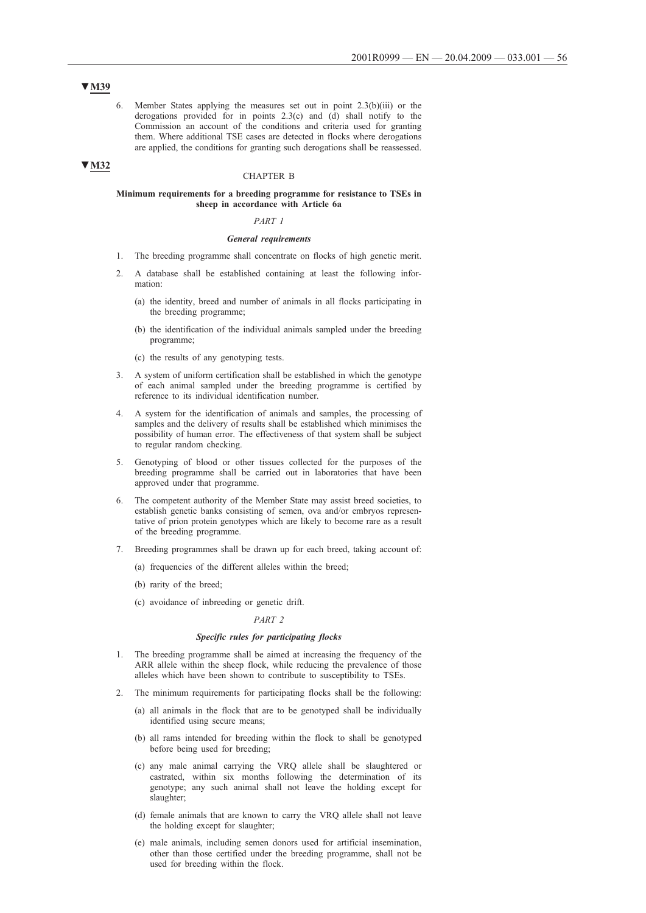6. Member States applying the measures set out in point 2.3(b)(iii) or the derogations provided for in points 2.3(c) and (d) shall notify to the Commission an account of the conditions and criteria used for granting them. Where additional TSE cases are detected in flocks where derogations are applied, the conditions for granting such derogations shall be reassessed.

### **▼M32**

#### CHAPTER B

#### **Minimum requirements for a breeding programme for resistance to TSEs in sheep in accordance with Article 6a**

#### *PART 1*

#### *General requirements*

- 1. The breeding programme shall concentrate on flocks of high genetic merit.
- 2. A database shall be established containing at least the following information:
	- (a) the identity, breed and number of animals in all flocks participating in the breeding programme;
	- (b) the identification of the individual animals sampled under the breeding programme;
	- (c) the results of any genotyping tests.
- 3. A system of uniform certification shall be established in which the genotype of each animal sampled under the breeding programme is certified by reference to its individual identification number.
- 4. A system for the identification of animals and samples, the processing of samples and the delivery of results shall be established which minimises the possibility of human error. The effectiveness of that system shall be subject to regular random checking.
- 5. Genotyping of blood or other tissues collected for the purposes of the breeding programme shall be carried out in laboratories that have been approved under that programme.
- 6. The competent authority of the Member State may assist breed societies, to establish genetic banks consisting of semen, ova and/or embryos representative of prion protein genotypes which are likely to become rare as a result of the breeding programme.
- 7. Breeding programmes shall be drawn up for each breed, taking account of:
	- (a) frequencies of the different alleles within the breed;
		- (b) rarity of the breed;
		- (c) avoidance of inbreeding or genetic drift.

#### *PART 2*

### *Specific rules for participating flocks*

- 1. The breeding programme shall be aimed at increasing the frequency of the ARR allele within the sheep flock, while reducing the prevalence of those alleles which have been shown to contribute to susceptibility to TSEs.
- 2. The minimum requirements for participating flocks shall be the following:
	- (a) all animals in the flock that are to be genotyped shall be individually identified using secure means;
	- (b) all rams intended for breeding within the flock to shall be genotyped before being used for breeding;
	- (c) any male animal carrying the VRQ allele shall be slaughtered or castrated, within six months following the determination of its genotype; any such animal shall not leave the holding except for slaughter;
	- (d) female animals that are known to carry the VRQ allele shall not leave the holding except for slaughter;
	- (e) male animals, including semen donors used for artificial insemination, other than those certified under the breeding programme, shall not be used for breeding within the flock.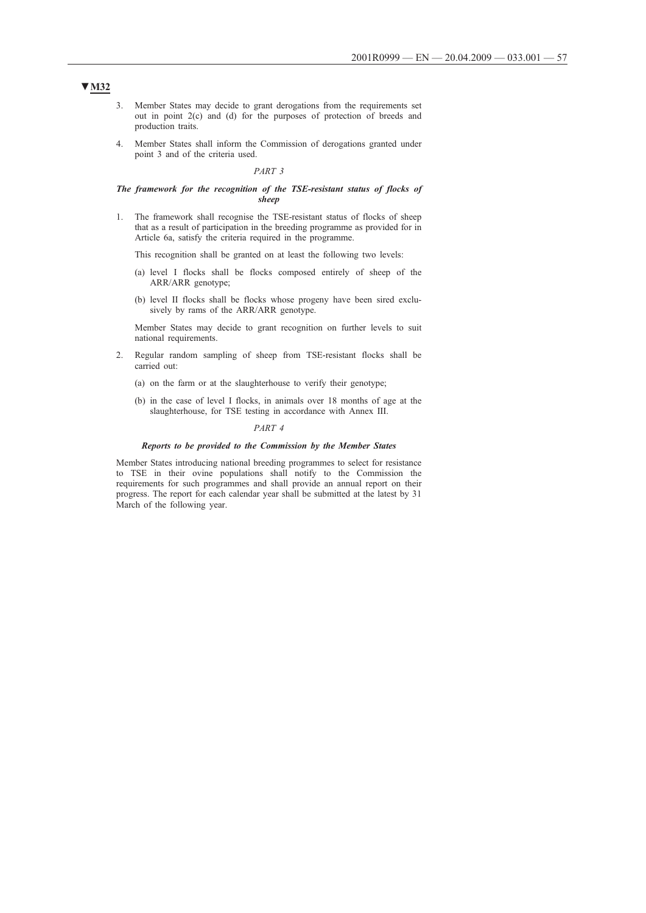- 3. Member States may decide to grant derogations from the requirements set out in point 2(c) and (d) for the purposes of protection of breeds and production traits.
- 4. Member States shall inform the Commission of derogations granted under point 3 and of the criteria used.

### *PART 3*

#### *The framework for the recognition of the TSE-resistant status of flocks of sheep*

1. The framework shall recognise the TSE-resistant status of flocks of sheep that as a result of participation in the breeding programme as provided for in Article 6a, satisfy the criteria required in the programme.

This recognition shall be granted on at least the following two levels:

- (a) level I flocks shall be flocks composed entirely of sheep of the ARR/ARR genotype;
- (b) level II flocks shall be flocks whose progeny have been sired exclusively by rams of the ARR/ARR genotype.

Member States may decide to grant recognition on further levels to suit national requirements.

- 2. Regular random sampling of sheep from TSE-resistant flocks shall be carried out:
	- (a) on the farm or at the slaughterhouse to verify their genotype;
	- (b) in the case of level I flocks, in animals over 18 months of age at the slaughterhouse, for TSE testing in accordance with Annex III.

#### *PART 4*

#### *Reports to be provided to the Commission by the Member States*

Member States introducing national breeding programmes to select for resistance to TSE in their ovine populations shall notify to the Commission the requirements for such programmes and shall provide an annual report on their progress. The report for each calendar year shall be submitted at the latest by 31 March of the following year.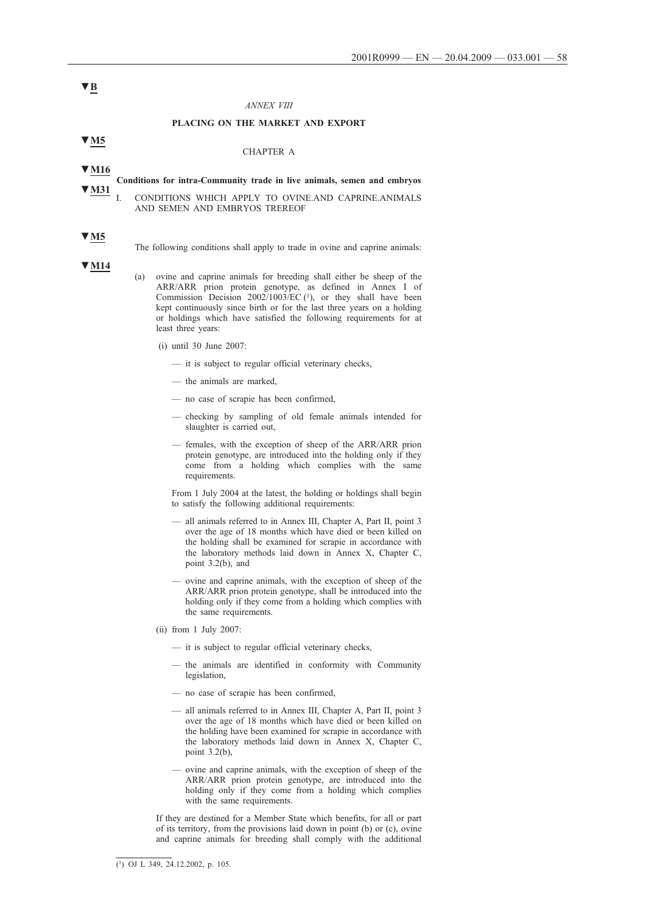#### *ANNEX VIII*

#### **PLACING ON THE MARKET AND EXPORT**

**▼M5**

**▼B**

#### CHAPTER A

**▼M16**

#### **Conditions for intra-Community trade in live animals, semen and embryos ▼M31**

I. CONDITIONS WHICH APPLY TO OVINE.AND CAPRINE.ANIMALS AND SEMEN AND EMBRYOS TREREOF

#### **▼M5**

The following conditions shall apply to trade in ovine and caprine animals:

**▼M14**

- ovine and caprine animals for breeding shall either be sheep of the ARR/ARR prion protein genotype, as defined in Annex I of Commission Decision 2002/1003/EC (1), or they shall have been kept continuously since birth or for the last three years on a holding or holdings which have satisfied the following requirements for at least three years:
	- (i) until 30 June 2007:
		- it is subject to regular official veterinary checks,
		- the animals are marked,
		- no case of scrapie has been confirmed,
		- checking by sampling of old female animals intended for slaughter is carried out,
		- females, with the exception of sheep of the ARR/ARR prion protein genotype, are introduced into the holding only if they come from a holding which complies with the same requirements.

From 1 July 2004 at the latest, the holding or holdings shall begin to satisfy the following additional requirements:

- all animals referred to in Annex III, Chapter A, Part II, point 3 over the age of 18 months which have died or been killed on the holding shall be examined for scrapie in accordance with the laboratory methods laid down in Annex X, Chapter C, point 3.2(b), and
- ovine and caprine animals, with the exception of sheep of the ARR/ARR prion protein genotype, shall be introduced into the holding only if they come from a holding which complies with the same requirements.
- (ii) from 1 July 2007:
	- it is subject to regular official veterinary checks,
	- the animals are identified in conformity with Community legislation,
	- no case of scrapie has been confirmed,
	- all animals referred to in Annex III, Chapter A, Part II, point 3 over the age of 18 months which have died or been killed on the holding have been examined for scrapie in accordance with the laboratory methods laid down in Annex X, Chapter C, point 3.2(b),
	- ovine and caprine animals, with the exception of sheep of the ARR/ARR prion protein genotype, are introduced into the holding only if they come from a holding which complies with the same requirements.

If they are destined for a Member State which benefits, for all or part of its territory, from the provisions laid down in point (b) or (c), ovine and caprine animals for breeding shall comply with the additional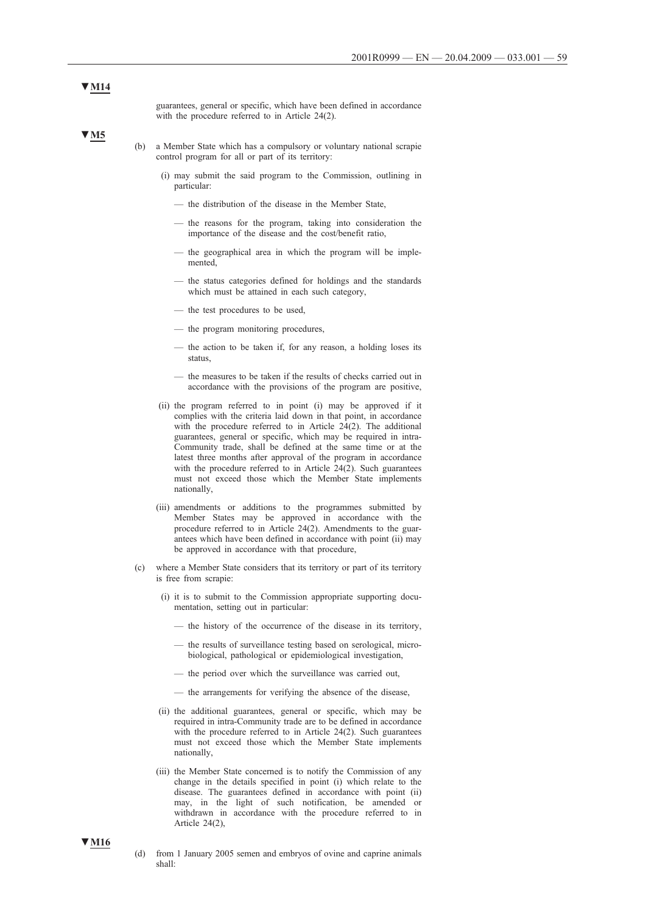guarantees, general or specific, which have been defined in accordance with the procedure referred to in Article 24(2).

**▼M5**

- (b) a Member State which has a compulsory or voluntary national scrapie control program for all or part of its territory:
	- (i) may submit the said program to the Commission, outlining in particular:
		- the distribution of the disease in the Member State,
		- the reasons for the program, taking into consideration the importance of the disease and the cost/benefit ratio,
		- the geographical area in which the program will be implemented,
		- the status categories defined for holdings and the standards which must be attained in each such category,
		- the test procedures to be used,
		- the program monitoring procedures,
		- the action to be taken if, for any reason, a holding loses its status,
		- the measures to be taken if the results of checks carried out in accordance with the provisions of the program are positive,
	- (ii) the program referred to in point (i) may be approved if it complies with the criteria laid down in that point, in accordance with the procedure referred to in Article 24(2). The additional guarantees, general or specific, which may be required in intra-Community trade, shall be defined at the same time or at the latest three months after approval of the program in accordance with the procedure referred to in Article 24(2). Such guarantees must not exceed those which the Member State implements nationally,
	- (iii) amendments or additions to the programmes submitted by Member States may be approved in accordance with the procedure referred to in Article 24(2). Amendments to the guarantees which have been defined in accordance with point (ii) may be approved in accordance with that procedure,
- (c) where a Member State considers that its territory or part of its territory is free from scrapie:
	- (i) it is to submit to the Commission appropriate supporting documentation, setting out in particular:
		- the history of the occurrence of the disease in its territory,
		- the results of surveillance testing based on serological, microbiological, pathological or epidemiological investigation,
		- the period over which the surveillance was carried out,
		- the arrangements for verifying the absence of the disease,
	- (ii) the additional guarantees, general or specific, which may be required in intra-Community trade are to be defined in accordance with the procedure referred to in Article 24(2). Such guarantees must not exceed those which the Member State implements nationally,
	- (iii) the Member State concerned is to notify the Commission of any change in the details specified in point (i) which relate to the disease. The guarantees defined in accordance with point (ii) may, in the light of such notification, be amended or withdrawn in accordance with the procedure referred to in Article 24(2),



(d) from 1 January 2005 semen and embryos of ovine and caprine animals shall: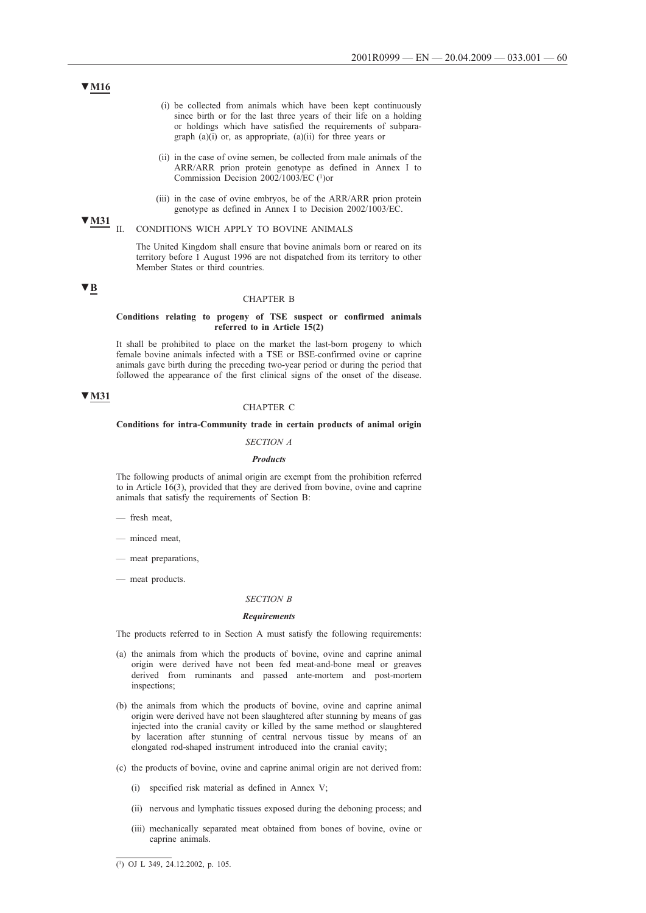- (i) be collected from animals which have been kept continuously since birth or for the last three years of their life on a holding or holdings which have satisfied the requirements of subparagraph  $(a)(i)$  or, as appropriate,  $(a)(ii)$  for three years or
- (ii) in the case of ovine semen, be collected from male animals of the ARR/ARR prion protein genotype as defined in Annex I to Commission Decision 2002/1003/EC (1)or
- (iii) in the case of ovine embryos, be of the ARR/ARR prion protein genotype as defined in Annex I to Decision 2002/1003/EC.

### $\sqrt{M31}$  II. CONDITIONS WICH APPLY TO BOVINE ANIMALS

The United Kingdom shall ensure that bovine animals born or reared on its territory before 1 August 1996 are not dispatched from its territory to other Member States or third countries.

### **▼B**

#### CHAPTER B

#### **Conditions relating to progeny of TSE suspect or confirmed animals referred to in Article 15(2)**

It shall be prohibited to place on the market the last-born progeny to which female bovine animals infected with a TSE or BSE-confirmed ovine or caprine animals gave birth during the preceding two-year period or during the period that followed the appearance of the first clinical signs of the onset of the disease.

### **▼M31**

#### CHAPTER C

#### **Conditions for intra-Community trade in certain products of animal origin**

#### *SECTION A*

#### *Products*

The following products of animal origin are exempt from the prohibition referred to in Article 16(3), provided that they are derived from bovine, ovine and caprine animals that satisfy the requirements of Section B:

- fresh meat,
- minced meat,
- meat preparations,
- meat products.

### *SECTION B*

#### *Requirements*

The products referred to in Section A must satisfy the following requirements:

- (a) the animals from which the products of bovine, ovine and caprine animal origin were derived have not been fed meat-and-bone meal or greaves derived from ruminants and passed ante-mortem and post-mortem inspections;
- (b) the animals from which the products of bovine, ovine and caprine animal origin were derived have not been slaughtered after stunning by means of gas injected into the cranial cavity or killed by the same method or slaughtered by laceration after stunning of central nervous tissue by means of an elongated rod-shaped instrument introduced into the cranial cavity;
- (c) the products of bovine, ovine and caprine animal origin are not derived from:
	- (i) specified risk material as defined in Annex V;
	- (ii) nervous and lymphatic tissues exposed during the deboning process; and
	- (iii) mechanically separated meat obtained from bones of bovine, ovine or caprine animals.

 $(1)$  OJ L 349, 24.12.2002, p. 105.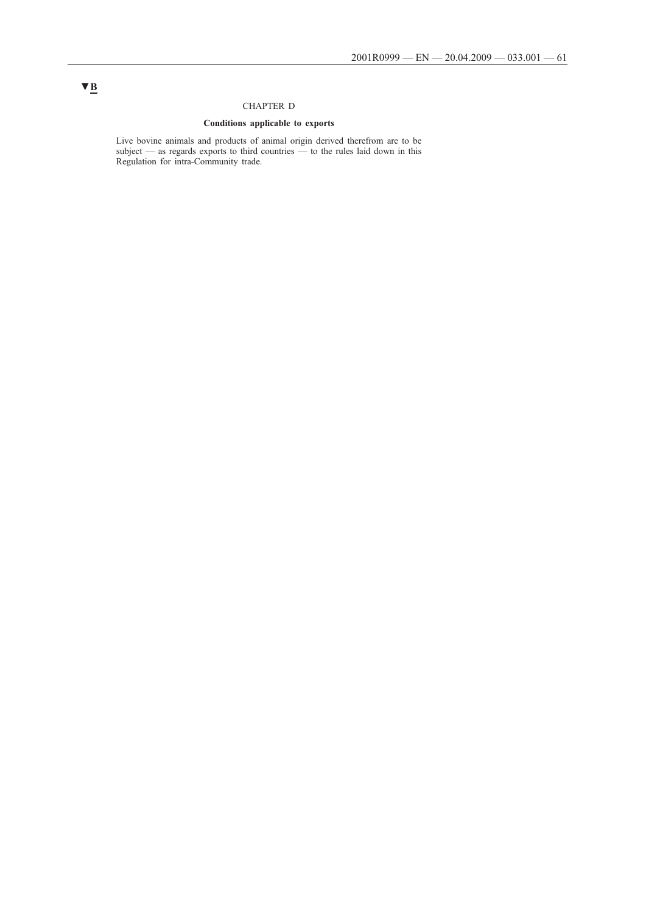### CHAPTER D

### **Conditions applicable to exports**

Live bovine animals and products of animal origin derived therefrom are to be subject — as regards exports to third countries — to the rules laid down in this Regulation for intra-Community trade.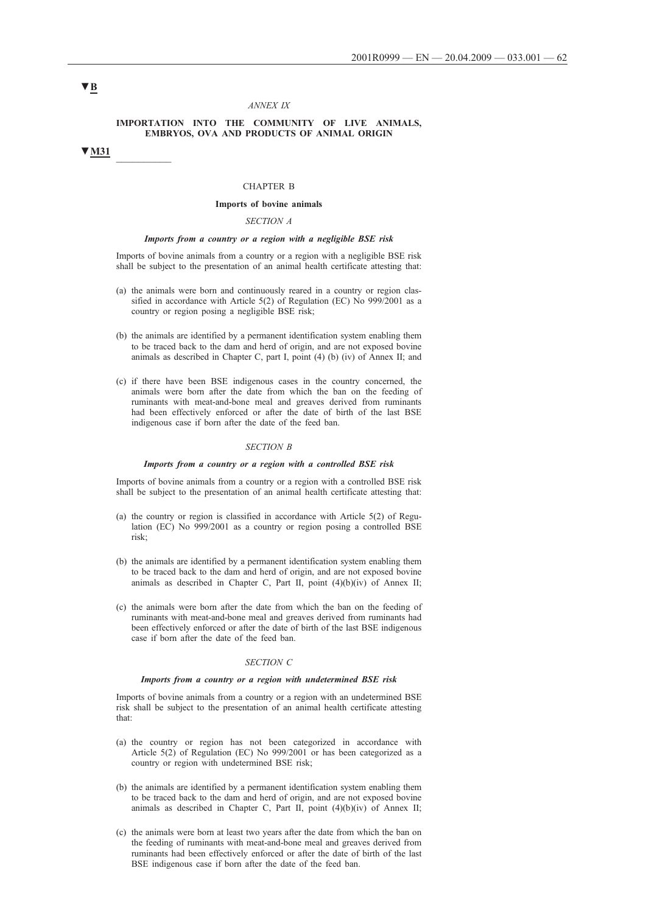#### *ANNEX IX*

#### **IMPORTATION INTO THE COMMUNITY OF LIVE ANIMALS, EMBRYOS, OVA AND PRODUCTS OF ANIMAL ORIGIN**

### **▼M31** \_\_\_\_\_\_\_\_\_\_

### CHAPTER B

#### **Imports of bovine animals**

#### *SECTION A*

#### *Imports from a country or a region with a negligible BSE risk*

Imports of bovine animals from a country or a region with a negligible BSE risk shall be subject to the presentation of an animal health certificate attesting that:

- (a) the animals were born and continuously reared in a country or region classified in accordance with Article 5(2) of Regulation (EC) No  $999/2001$  as a country or region posing a negligible BSE risk;
- (b) the animals are identified by a permanent identification system enabling them to be traced back to the dam and herd of origin, and are not exposed bovine animals as described in Chapter C, part I, point (4) (b) (iv) of Annex II; and
- (c) if there have been BSE indigenous cases in the country concerned, the animals were born after the date from which the ban on the feeding of ruminants with meat-and-bone meal and greaves derived from ruminants had been effectively enforced or after the date of birth of the last BSE indigenous case if born after the date of the feed ban.

#### *SECTION B*

#### *Imports from a country or a region with a controlled BSE risk*

Imports of bovine animals from a country or a region with a controlled BSE risk shall be subject to the presentation of an animal health certificate attesting that:

- (a) the country or region is classified in accordance with Article 5(2) of Regulation (EC) No 999/2001 as a country or region posing a controlled BSE risk;
- (b) the animals are identified by a permanent identification system enabling them to be traced back to the dam and herd of origin, and are not exposed bovine animals as described in Chapter C, Part II, point (4)(b)(iv) of Annex II;
- (c) the animals were born after the date from which the ban on the feeding of ruminants with meat-and-bone meal and greaves derived from ruminants had been effectively enforced or after the date of birth of the last BSE indigenous case if born after the date of the feed ban.

#### *SECTION C*

#### *Imports from a country or a region with undetermined BSE risk*

Imports of bovine animals from a country or a region with an undetermined BSE risk shall be subject to the presentation of an animal health certificate attesting that:

- (a) the country or region has not been categorized in accordance with Article 5(2) of Regulation (EC) No 999/2001 or has been categorized as a country or region with undetermined BSE risk;
- (b) the animals are identified by a permanent identification system enabling them to be traced back to the dam and herd of origin, and are not exposed bovine animals as described in Chapter C, Part II, point (4)(b)(iv) of Annex II;
- (c) the animals were born at least two years after the date from which the ban on the feeding of ruminants with meat-and-bone meal and greaves derived from ruminants had been effectively enforced or after the date of birth of the last BSE indigenous case if born after the date of the feed ban.

# **▼B**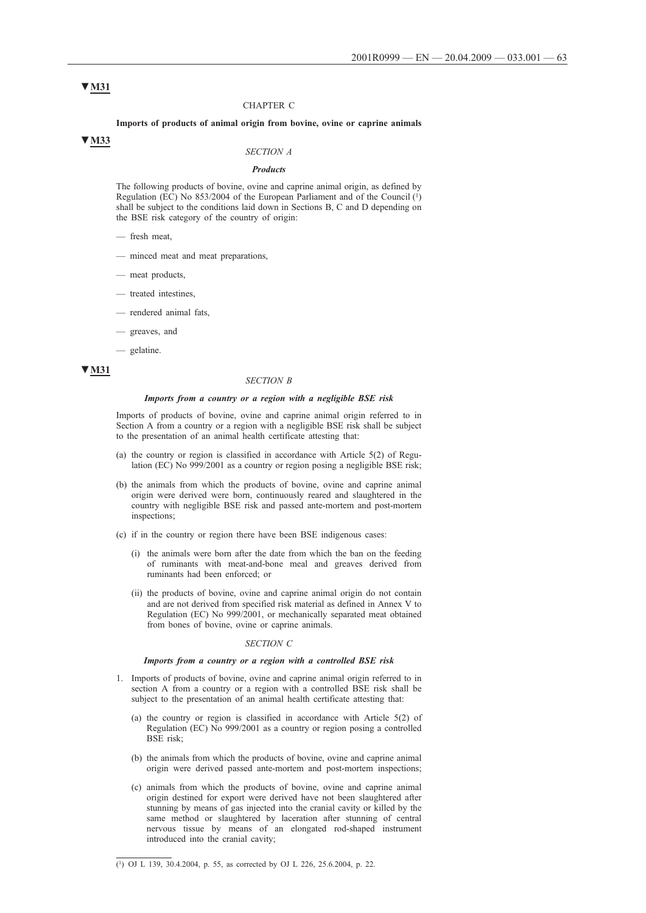#### CHAPTER C

#### **Imports of products of animal origin from bovine, ovine or caprine animals**

### **▼M33**

## *SECTION A*

#### *Products*

The following products of bovine, ovine and caprine animal origin, as defined by Regulation (EC) No 853/2004 of the European Parliament and of the Council (1) shall be subject to the conditions laid down in Sections B, C and D depending on the BSE risk category of the country of origin:

- fresh meat,
- minced meat and meat preparations,
- meat products,
- treated intestines,
- rendered animal fats,
- greaves, and
- gelatine.

#### **▼M31**

#### *SECTION B*

#### *Imports from a country or a region with a negligible BSE risk*

Imports of products of bovine, ovine and caprine animal origin referred to in Section A from a country or a region with a negligible BSE risk shall be subject to the presentation of an animal health certificate attesting that:

- (a) the country or region is classified in accordance with Article 5(2) of Regulation (EC) No 999/2001 as a country or region posing a negligible BSE risk;
- (b) the animals from which the products of bovine, ovine and caprine animal origin were derived were born, continuously reared and slaughtered in the country with negligible BSE risk and passed ante-mortem and post-mortem inspections;
- (c) if in the country or region there have been BSE indigenous cases:
	- (i) the animals were born after the date from which the ban on the feeding of ruminants with meat-and-bone meal and greaves derived from ruminants had been enforced; or
	- (ii) the products of bovine, ovine and caprine animal origin do not contain and are not derived from specified risk material as defined in Annex V to Regulation (EC) No 999/2001, or mechanically separated meat obtained from bones of bovine, ovine or caprine animals.

#### *SECTION C*

#### *Imports from a country or a region with a controlled BSE risk*

- 1. Imports of products of bovine, ovine and caprine animal origin referred to in section A from a country or a region with a controlled BSE risk shall be subject to the presentation of an animal health certificate attesting that:
	- (a) the country or region is classified in accordance with Article 5(2) of Regulation (EC) No 999/2001 as a country or region posing a controlled BSE risk;
	- (b) the animals from which the products of bovine, ovine and caprine animal origin were derived passed ante-mortem and post-mortem inspections;
	- (c) animals from which the products of bovine, ovine and caprine animal origin destined for export were derived have not been slaughtered after stunning by means of gas injected into the cranial cavity or killed by the same method or slaughtered by laceration after stunning of central nervous tissue by means of an elongated rod-shaped instrument introduced into the cranial cavity;

<sup>(1)</sup> OJ L 139, 30.4.2004, p. 55, as corrected by OJ L 226, 25.6.2004, p. 22.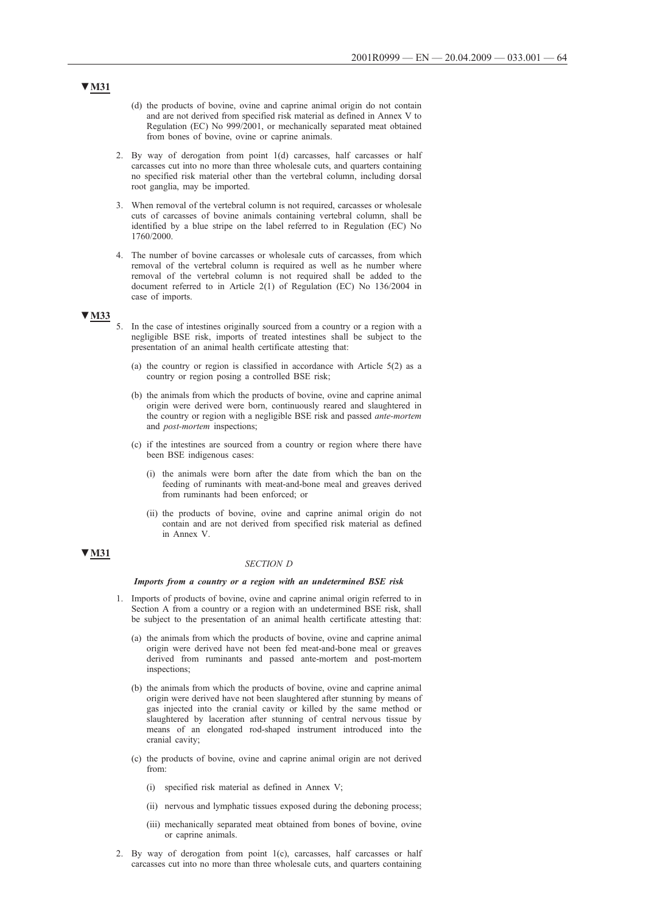- (d) the products of bovine, ovine and caprine animal origin do not contain and are not derived from specified risk material as defined in Annex V to Regulation (EC) No 999/2001, or mechanically separated meat obtained from bones of bovine, ovine or caprine animals.
- 2. By way of derogation from point 1(d) carcasses, half carcasses or half carcasses cut into no more than three wholesale cuts, and quarters containing no specified risk material other than the vertebral column, including dorsal root ganglia, may be imported.
- 3. When removal of the vertebral column is not required, carcasses or wholesale cuts of carcasses of bovine animals containing vertebral column, shall be identified by a blue stripe on the label referred to in Regulation (EC) No 1760/2000.
- 4. The number of bovine carcasses or wholesale cuts of carcasses, from which removal of the vertebral column is required as well as he number where removal of the vertebral column is not required shall be added to the document referred to in Article 2(1) of Regulation (EC) No 136/2004 in case of imports.

- 5. In the case of intestines originally sourced from a country or a region with a negligible BSE risk, imports of treated intestines shall be subject to the presentation of an animal health certificate attesting that:
	- (a) the country or region is classified in accordance with Article 5(2) as a country or region posing a controlled BSE risk;
	- (b) the animals from which the products of bovine, ovine and caprine animal origin were derived were born, continuously reared and slaughtered in the country or region with a negligible BSE risk and passed *ante-mortem* and *post-mortem* inspections;
	- (c) if the intestines are sourced from a country or region where there have been BSE indigenous cases:
		- (i) the animals were born after the date from which the ban on the feeding of ruminants with meat-and-bone meal and greaves derived from ruminants had been enforced; or
		- (ii) the products of bovine, ovine and caprine animal origin do not contain and are not derived from specified risk material as defined in Annex V.

### **▼M31**

### *SECTION D*

#### *Imports from a country or a region with an undetermined BSE risk*

- 1. Imports of products of bovine, ovine and caprine animal origin referred to in Section A from a country or a region with an undetermined BSE risk, shall be subject to the presentation of an animal health certificate attesting that:
	- (a) the animals from which the products of bovine, ovine and caprine animal origin were derived have not been fed meat-and-bone meal or greaves derived from ruminants and passed ante-mortem and post-mortem inspections:
	- (b) the animals from which the products of bovine, ovine and caprine animal origin were derived have not been slaughtered after stunning by means of gas injected into the cranial cavity or killed by the same method or slaughtered by laceration after stunning of central nervous tissue by means of an elongated rod-shaped instrument introduced into the cranial cavity;
	- (c) the products of bovine, ovine and caprine animal origin are not derived from:
		- (i) specified risk material as defined in Annex V;
		- (ii) nervous and lymphatic tissues exposed during the deboning process;
		- (iii) mechanically separated meat obtained from bones of bovine, ovine or caprine animals.
- 2. By way of derogation from point 1(c), carcasses, half carcasses or half carcasses cut into no more than three wholesale cuts, and quarters containing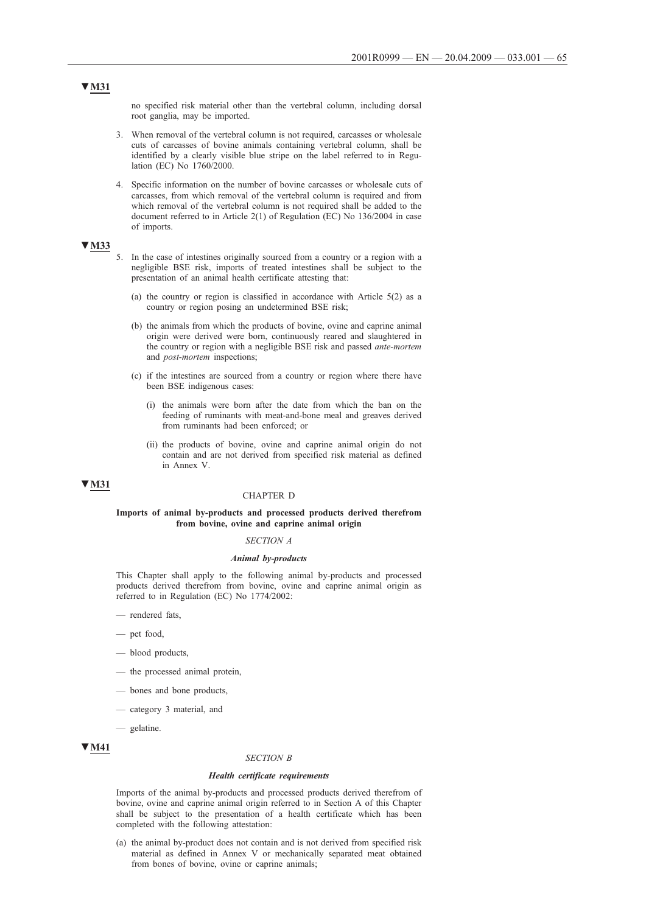no specified risk material other than the vertebral column, including dorsal root ganglia, may be imported.

- 3. When removal of the vertebral column is not required, carcasses or wholesale cuts of carcasses of bovine animals containing vertebral column, shall be identified by a clearly visible blue stripe on the label referred to in Regulation (EC) No 1760/2000.
- 4. Specific information on the number of bovine carcasses or wholesale cuts of carcasses, from which removal of the vertebral column is required and from which removal of the vertebral column is not required shall be added to the document referred to in Article 2(1) of Regulation (EC) No 136/2004 in case of imports.

# **▼M33**

- 5. In the case of intestines originally sourced from a country or a region with a negligible BSE risk, imports of treated intestines shall be subject to the presentation of an animal health certificate attesting that:
	- (a) the country or region is classified in accordance with Article  $5(2)$  as a country or region posing an undetermined BSE risk;
	- (b) the animals from which the products of bovine, ovine and caprine animal origin were derived were born, continuously reared and slaughtered in the country or region with a negligible BSE risk and passed *ante-mortem* and *post-mortem* inspections;
	- (c) if the intestines are sourced from a country or region where there have been BSE indigenous cases:
		- (i) the animals were born after the date from which the ban on the feeding of ruminants with meat-and-bone meal and greaves derived from ruminants had been enforced; or
		- (ii) the products of bovine, ovine and caprine animal origin do not contain and are not derived from specified risk material as defined in Annex V.

### **▼M31**

#### CHAPTER D

#### **Imports of animal by-products and processed products derived therefrom from bovine, ovine and caprine animal origin**

### *SECTION A*

#### *Animal by-products*

This Chapter shall apply to the following animal by-products and processed products derived therefrom from bovine, ovine and caprine animal origin as referred to in Regulation (EC) No 1774/2002:

- rendered fats,
- pet food,
- blood products,
- the processed animal protein,
- bones and bone products,
- category 3 material, and
- gelatine.

### **▼M41**

#### *SECTION B*

### *Health certificate requirements*

Imports of the animal by-products and processed products derived therefrom of bovine, ovine and caprine animal origin referred to in Section A of this Chapter shall be subject to the presentation of a health certificate which has been completed with the following attestation:

(a) the animal by-product does not contain and is not derived from specified risk material as defined in Annex V or mechanically separated meat obtained from bones of bovine, ovine or caprine animals;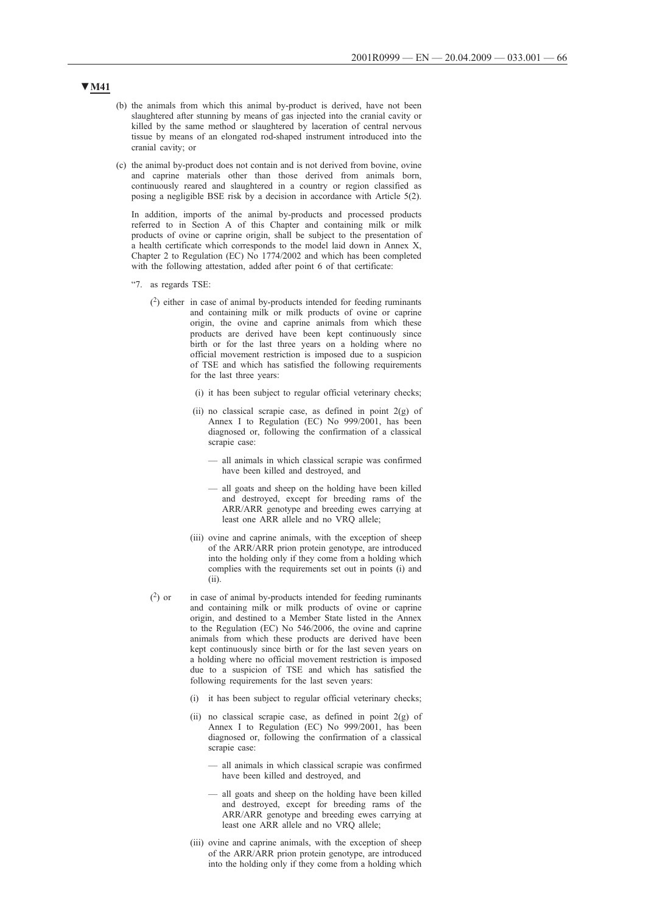- (b) the animals from which this animal by-product is derived, have not been slaughtered after stunning by means of gas injected into the cranial cavity or killed by the same method or slaughtered by laceration of central nervous tissue by means of an elongated rod-shaped instrument introduced into the cranial cavity; or
- (c) the animal by-product does not contain and is not derived from bovine, ovine and caprine materials other than those derived from animals born, continuously reared and slaughtered in a country or region classified as posing a negligible BSE risk by a decision in accordance with Article 5(2).

In addition, imports of the animal by-products and processed products referred to in Section A of this Chapter and containing milk or milk products of ovine or caprine origin, shall be subject to the presentation of a health certificate which corresponds to the model laid down in Annex X, Chapter 2 to Regulation (EC) No 1774/2002 and which has been completed with the following attestation, added after point 6 of that certificate:

- "7. as regards TSE:
	- ( 2) either in case of animal by-products intended for feeding ruminants and containing milk or milk products of ovine or caprine origin, the ovine and caprine animals from which these products are derived have been kept continuously since birth or for the last three years on a holding where no official movement restriction is imposed due to a suspicion of TSE and which has satisfied the following requirements for the last three years:
		- (i) it has been subject to regular official veterinary checks;
		- (ii) no classical scrapie case, as defined in point  $2(g)$  of Annex I to Regulation (EC) No 999/2001, has been diagnosed or, following the confirmation of a classical scrapie case:
			- all animals in which classical scrapie was confirmed have been killed and destroyed, and
			- all goats and sheep on the holding have been killed and destroyed, except for breeding rams of the ARR/ARR genotype and breeding ewes carrying at least one ARR allele and no VRQ allele;
		- (iii) ovine and caprine animals, with the exception of sheep of the ARR/ARR prion protein genotype, are introduced into the holding only if they come from a holding which complies with the requirements set out in points (i) and  $(ii)$
	- $(2)$  or in case of animal by-products intended for feeding ruminants and containing milk or milk products of ovine or caprine origin, and destined to a Member State listed in the Annex to the Regulation (EC) No 546/2006, the ovine and caprine animals from which these products are derived have been kept continuously since birth or for the last seven years on a holding where no official movement restriction is imposed due to a suspicion of TSE and which has satisfied the following requirements for the last seven years:
		- (i) it has been subject to regular official veterinary checks;
		- (ii) no classical scrapie case, as defined in point 2(g) of Annex I to Regulation (EC) No 999/2001, has been diagnosed or, following the confirmation of a classical scrapie case:
			- all animals in which classical scrapie was confirmed have been killed and destroyed, and
			- all goats and sheep on the holding have been killed and destroyed, except for breeding rams of the ARR/ARR genotype and breeding ewes carrying at least one ARR allele and no VRQ allele;
		- (iii) ovine and caprine animals, with the exception of sheep of the ARR/ARR prion protein genotype, are introduced into the holding only if they come from a holding which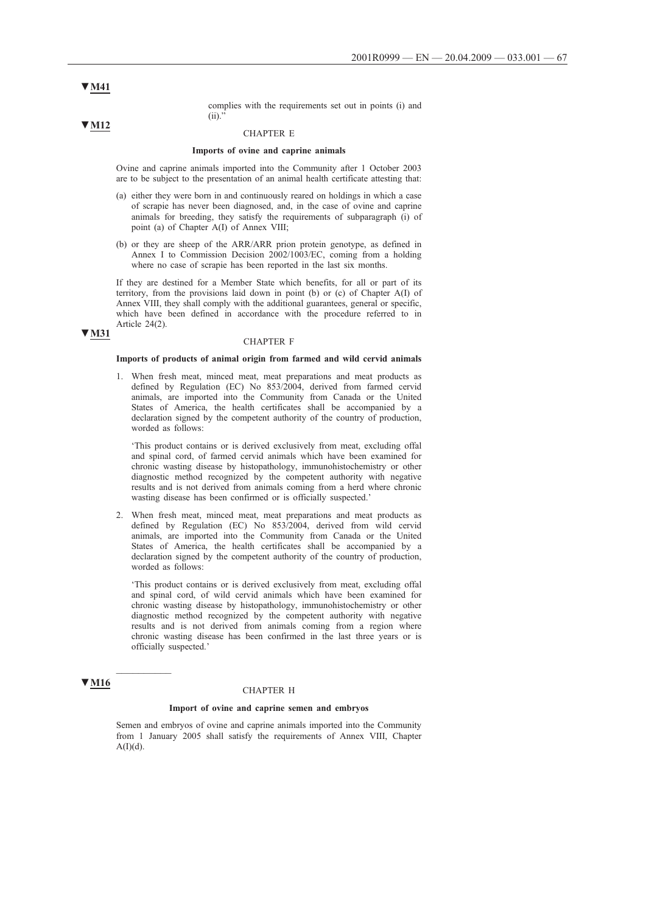complies with the requirements set out in points (i) and  $(ii)$ ."

### **▼M12**

**▼M31**

# CHAPTER E

#### **Imports of ovine and caprine animals**

Ovine and caprine animals imported into the Community after 1 October 2003 are to be subject to the presentation of an animal health certificate attesting that:

- (a) either they were born in and continuously reared on holdings in which a case of scrapie has never been diagnosed, and, in the case of ovine and caprine animals for breeding, they satisfy the requirements of subparagraph (i) of point (a) of Chapter A(I) of Annex VIII;
- (b) or they are sheep of the ARR/ARR prion protein genotype, as defined in Annex I to Commission Decision 2002/1003/EC, coming from a holding where no case of scrapie has been reported in the last six months.

If they are destined for a Member State which benefits, for all or part of its territory, from the provisions laid down in point (b) or (c) of Chapter A(I) of Annex VIII, they shall comply with the additional guarantees, general or specific, which have been defined in accordance with the procedure referred to in Article 24(2).

#### CHAPTER F

#### **Imports of products of animal origin from farmed and wild cervid animals**

1. When fresh meat, minced meat, meat preparations and meat products as defined by Regulation (EC) No 853/2004, derived from farmed cervid animals, are imported into the Community from Canada or the United States of America, the health certificates shall be accompanied by a declaration signed by the competent authority of the country of production, worded as follows:

'This product contains or is derived exclusively from meat, excluding offal and spinal cord, of farmed cervid animals which have been examined for chronic wasting disease by histopathology, immunohistochemistry or other diagnostic method recognized by the competent authority with negative results and is not derived from animals coming from a herd where chronic wasting disease has been confirmed or is officially suspected.'

2. When fresh meat, minced meat, meat preparations and meat products as defined by Regulation (EC) No 853/2004, derived from wild cervid animals, are imported into the Community from Canada or the United States of America, the health certificates shall be accompanied by a declaration signed by the competent authority of the country of production, worded as follows:

'This product contains or is derived exclusively from meat, excluding offal and spinal cord, of wild cervid animals which have been examined for chronic wasting disease by histopathology, immunohistochemistry or other diagnostic method recognized by the competent authority with negative results and is not derived from animals coming from a region where chronic wasting disease has been confirmed in the last three years or is officially suspected.'

### **▼M16**

 $\overline{\phantom{a}}$ 

#### CHAPTER H

#### **Import of ovine and caprine semen and embryos**

Semen and embryos of ovine and caprine animals imported into the Community from 1 January 2005 shall satisfy the requirements of Annex VIII, Chapter  $A(I)(d)$ .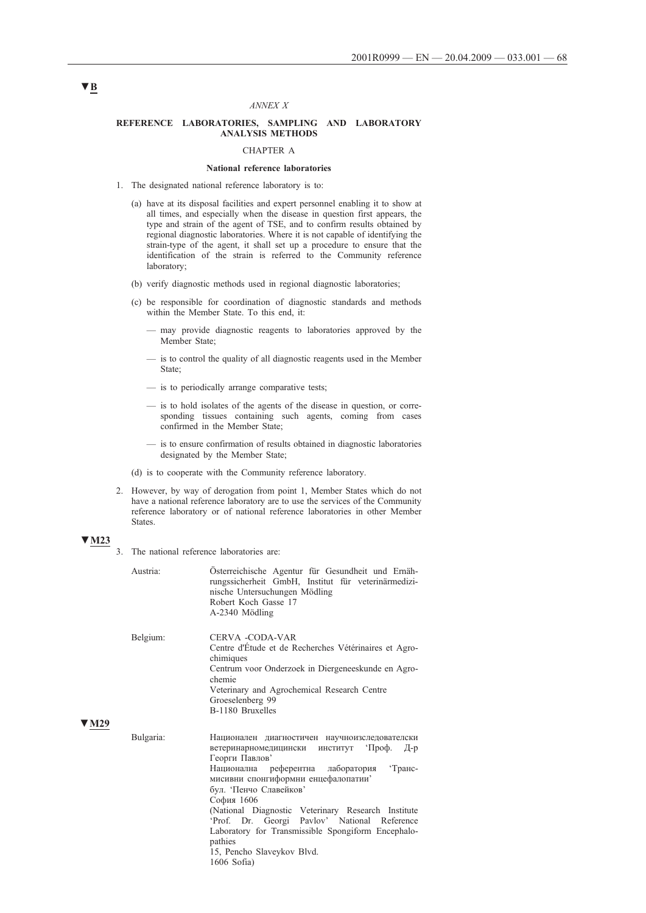#### *ANNEX X*

### **REFERENCE LABORATORIES, SAMPLING AND LABORATORY ANALYSIS METHODS**

### CHAPTER A

#### **National reference laboratories**

- 1. The designated national reference laboratory is to:
	- (a) have at its disposal facilities and expert personnel enabling it to show at all times, and especially when the disease in question first appears, the type and strain of the agent of TSE, and to confirm results obtained by regional diagnostic laboratories. Where it is not capable of identifying the strain-type of the agent, it shall set up a procedure to ensure that the identification of the strain is referred to the Community reference laboratory;
	- (b) verify diagnostic methods used in regional diagnostic laboratories;
	- (c) be responsible for coordination of diagnostic standards and methods within the Member State. To this end, it:
		- may provide diagnostic reagents to laboratories approved by the Member State;
		- is to control the quality of all diagnostic reagents used in the Member State;
		- is to periodically arrange comparative tests;
		- is to hold isolates of the agents of the disease in question, or corresponding tissues containing such agents, coming from cases confirmed in the Member State;
		- is to ensure confirmation of results obtained in diagnostic laboratories designated by the Member State;
	- (d) is to cooperate with the Community reference laboratory.
- 2. However, by way of derogation from point 1, Member States which do not have a national reference laboratory are to use the services of the Community reference laboratory or of national reference laboratories in other Member States.

#### **▼M23**

**▼M29**

3. The national reference laboratories are:

| Austria:  | Österreichische Agentur für Gesundheit und Ernäh-<br>rungssicherheit GmbH, Institut für veterinärmedizi-<br>nische Untersuchungen Mödling<br>Robert Koch Gasse 17<br>A-2340 Mödling                                                                                                                                                                                                                                                                                            |
|-----------|--------------------------------------------------------------------------------------------------------------------------------------------------------------------------------------------------------------------------------------------------------------------------------------------------------------------------------------------------------------------------------------------------------------------------------------------------------------------------------|
| Belgium:  | CERVA -CODA-VAR<br>Centre d'Étude et de Recherches Vétérinaires et Agro-<br>chimiques<br>Centrum voor Onderzoek in Diergeneeskunde en Agro-<br>chemie<br>Veterinary and Agrochemical Research Centre<br>Groeselenberg 99<br>B-1180 Bruxelles                                                                                                                                                                                                                                   |
| Bulgaria: | Национален диагностичен научноизследователски<br>институт Троф.<br>ветеринарномедицински<br>Д-р<br>Георги Павлов'<br>Национална референтна<br>лаборатория<br><b>'Транс-</b><br>мисивни спонгиформни енцефалопатии'<br>бул. 'Пенчо Славейков'<br>София 1606<br>(National Diagnostic Veterinary Research Institute<br>'Prof. Dr. Georgi Pavlov' National Reference<br>Laboratory for Transmissible Spongiform Encephalo-<br>pathies<br>15, Pencho Slaveykov Blvd.<br>1606 Sofia) |

# **▼B**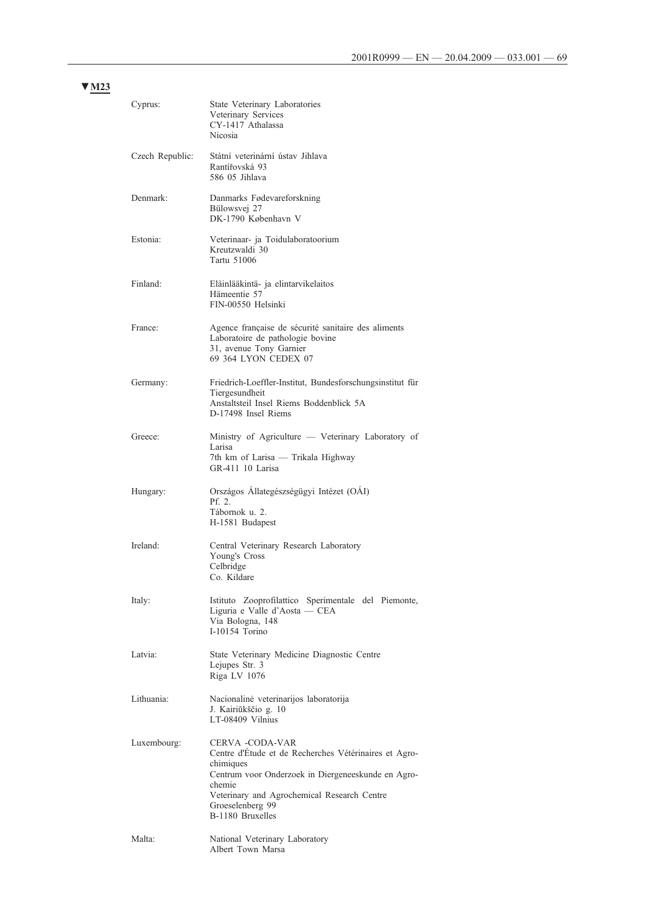| Cyprus:         | State Veterinary Laboratories<br>Veterinary Services<br>CY-1417 Athalassa<br>Nicosia                                                                                                                                                         |
|-----------------|----------------------------------------------------------------------------------------------------------------------------------------------------------------------------------------------------------------------------------------------|
| Czech Republic: | Státní veterinární ústav Jihlava<br>Rantířovská 93<br>586 05 Jihlava                                                                                                                                                                         |
| Denmark:        | Danmarks Fødevareforskning<br>Bülowsvej 27<br>DK-1790 København V                                                                                                                                                                            |
| Estonia:        | Veterinaar- ja Toidulaboratoorium<br>Kreutzwaldi 30<br>Tartu 51006                                                                                                                                                                           |
| Finland:        | Eläinlääkintä- ja elintarvikelaitos<br>Hämeentie 57<br>FIN-00550 Helsinki                                                                                                                                                                    |
| France:         | Agence française de sécurité sanitaire des aliments<br>Laboratoire de pathologie bovine<br>31, avenue Tony Garnier<br>69 364 LYON CEDEX 07                                                                                                   |
| Germany:        | Friedrich-Loeffler-Institut, Bundesforschungsinstitut für<br>Tiergesundheit<br>Anstaltsteil Insel Riems Boddenblick 5A<br>D-17498 Insel Riems                                                                                                |
| Greece:         | Ministry of Agriculture — Veterinary Laboratory of<br>Larisa<br>7th km of Larisa - Trikala Highway<br>GR-411 10 Larisa                                                                                                                       |
| Hungary:        | Országos Állategészségügyi Intézet (OÁI)<br>Pf. 2.<br>Tábornok u. 2.<br>H-1581 Budapest                                                                                                                                                      |
| Ireland:        | Central Veterinary Research Laboratory<br>Young's Cross<br>Celbridge<br>Co. Kildare                                                                                                                                                          |
| Italy:          | Istituto Zooprofilattico Sperimentale del Piemonte,<br>Liguria e Valle d'Aosta - CEA<br>Via Bologna, 148<br>I-10154 Torino                                                                                                                   |
| Latvia:         | State Veterinary Medicine Diagnostic Centre<br>Lejupes Str. 3<br>Riga LV 1076                                                                                                                                                                |
| Lithuania:      | Nacionalinė veterinarijos laboratorija<br>J. Kairiūkščio g. 10<br>LT-08409 Vilnius                                                                                                                                                           |
| Luxembourg:     | CERVA -CODA-VAR<br>Centre d'Étude et de Recherches Vétérinaires et Agro-<br>chimiques<br>Centrum voor Onderzoek in Diergeneeskunde en Agro-<br>chemie<br>Veterinary and Agrochemical Research Centre<br>Groeselenberg 99<br>B-1180 Bruxelles |
| Malta:          | National Veterinary Laboratory<br>Albert Town Marsa                                                                                                                                                                                          |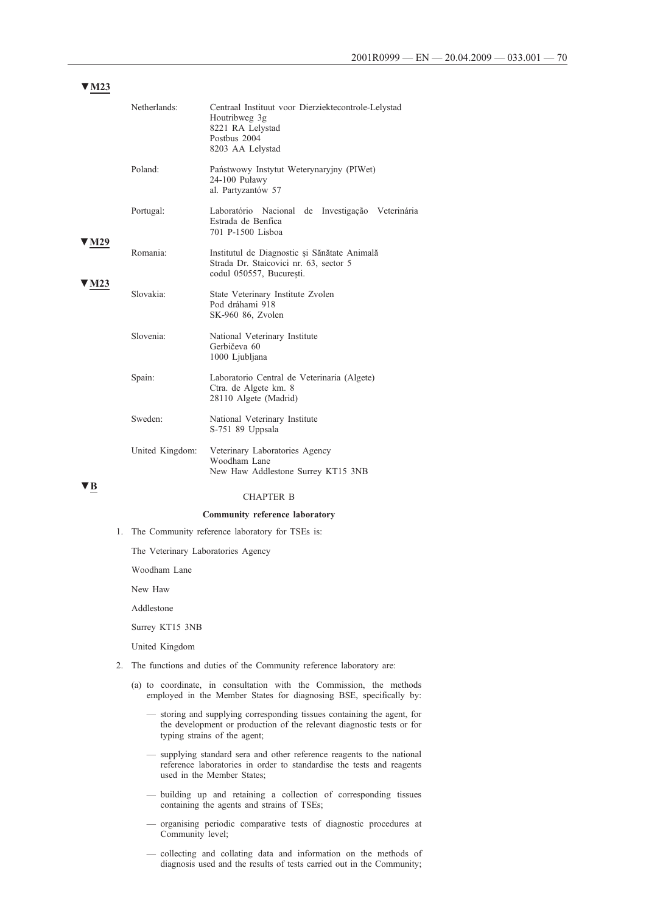| . . <b>. .</b> .    |                 |                                                                                                                              |
|---------------------|-----------------|------------------------------------------------------------------------------------------------------------------------------|
|                     | Netherlands:    | Centraal Instituut voor Dierziektecontrole-Lelystad<br>Houtribweg 3g<br>8221 RA Lelystad<br>Postbus 2004<br>8203 AA Lelystad |
|                     | Poland:         | Państwowy Instytut Weterynaryjny (PIWet)<br>24-100 Puławy<br>al. Partyzantów 57                                              |
| ' M29<br><b>M23</b> | Portugal:       | Laboratório Nacional<br>de Investigação Veterinária<br>Estrada de Benfica<br>701 P-1500 Lisboa                               |
|                     | Romania:        | Institutul de Diagnostic și Sănătate Animală<br>Strada Dr. Staicovici nr. 63, sector 5<br>codul 050557, București.           |
|                     | Slovakia:       | State Veterinary Institute Zvolen<br>Pod dráhami 918<br>SK-960 86, Zvolen                                                    |
|                     | Slovenia:       | National Veterinary Institute<br>Gerbičeva 60<br>1000 Ljubljana                                                              |
|                     | Spain:          | Laboratorio Central de Veterinaria (Algete)<br>Ctra. de Algete km. 8<br>28110 Algete (Madrid)                                |
|                     | Sweden:         | National Veterinary Institute<br>S-751 89 Uppsala                                                                            |
|                     | United Kingdom: | Veterinary Laboratories Agency<br>Woodham Lane<br>New Haw Addlestone Surrey KT15 3NB                                         |
|                     |                 | <b>CHAPTER B</b>                                                                                                             |

### **Community reference laboratory**

1. The Community reference laboratory for TSEs is:

The Veterinary Laboratories Agency

Woodham Lane

New Haw

Addlestone

Surrey KT15 3NB

United Kingdom

- 2. The functions and duties of the Community reference laboratory are:
	- (a) to coordinate, in consultation with the Commission, the methods employed in the Member States for diagnosing BSE, specifically by:
		- storing and supplying corresponding tissues containing the agent, for the development or production of the relevant diagnostic tests or for typing strains of the agent;
		- supplying standard sera and other reference reagents to the national reference laboratories in order to standardise the tests and reagents used in the Member States;
		- building up and retaining a collection of corresponding tissues containing the agents and strains of TSEs;
		- organising periodic comparative tests of diagnostic procedures at Community level;
		- collecting and collating data and information on the methods of diagnosis used and the results of tests carried out in the Community;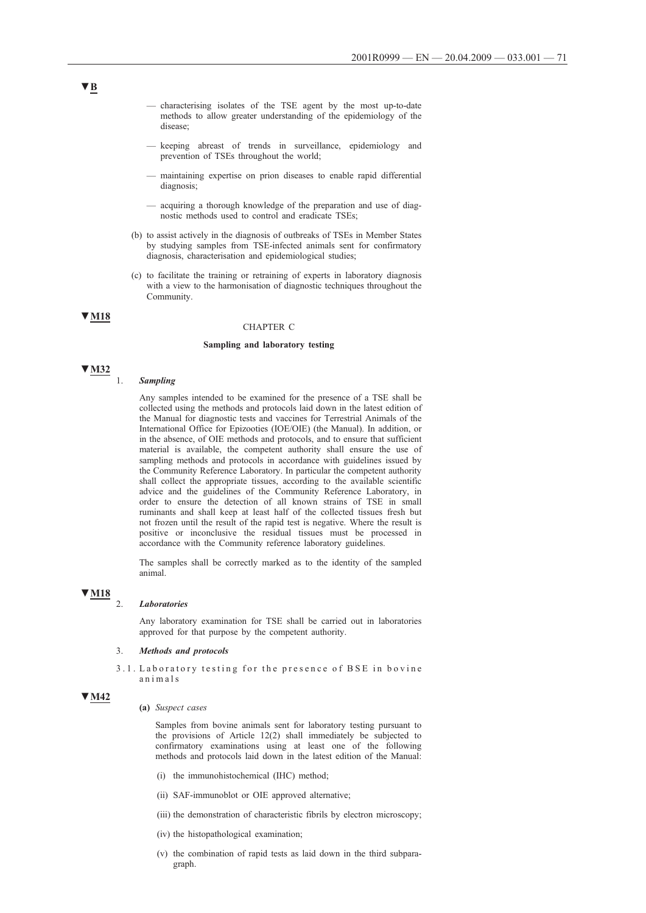- characterising isolates of the TSE agent by the most up-to-date methods to allow greater understanding of the epidemiology of the disease;
- keeping abreast of trends in surveillance, epidemiology and prevention of TSEs throughout the world;
- maintaining expertise on prion diseases to enable rapid differential diagnosis;
- acquiring a thorough knowledge of the preparation and use of diagnostic methods used to control and eradicate TSEs;
- (b) to assist actively in the diagnosis of outbreaks of TSEs in Member States by studying samples from TSE-infected animals sent for confirmatory diagnosis, characterisation and epidemiological studies;
- (c) to facilitate the training or retraining of experts in laboratory diagnosis with a view to the harmonisation of diagnostic techniques throughout the Community.

### CHAPTER C

### **Sampling and laboratory testing**

### **▼M32**

### 1. *Sampling*

Any samples intended to be examined for the presence of a TSE shall be collected using the methods and protocols laid down in the latest edition of the Manual for diagnostic tests and vaccines for Terrestrial Animals of the International Office for Epizooties (IOE/OIE) (the Manual). In addition, or in the absence, of OIE methods and protocols, and to ensure that sufficient material is available, the competent authority shall ensure the use of sampling methods and protocols in accordance with guidelines issued by the Community Reference Laboratory. In particular the competent authority shall collect the appropriate tissues, according to the available scientific advice and the guidelines of the Community Reference Laboratory, in order to ensure the detection of all known strains of TSE in small ruminants and shall keep at least half of the collected tissues fresh but not frozen until the result of the rapid test is negative. Where the result is positive or inconclusive the residual tissues must be processed in accordance with the Community reference laboratory guidelines.

The samples shall be correctly marked as to the identity of the sampled animal.

# **▼M18**

# 2. *Laboratories*

Any laboratory examination for TSE shall be carried out in laboratories approved for that purpose by the competent authority.

#### 3. *Methods and protocols*

3.1. Laboratory testing for the presence of BSE in bovine animals

### **▼M42**

### **(a)** *Suspect cases*

Samples from bovine animals sent for laboratory testing pursuant to the provisions of Article 12(2) shall immediately be subjected to confirmatory examinations using at least one of the following methods and protocols laid down in the latest edition of the Manual:

- (i) the immunohistochemical (IHC) method;
- (ii) SAF-immunoblot or OIE approved alternative;
- (iii) the demonstration of characteristic fibrils by electron microscopy;
- (iv) the histopathological examination;
- (v) the combination of rapid tests as laid down in the third subparagraph.

# **▼B**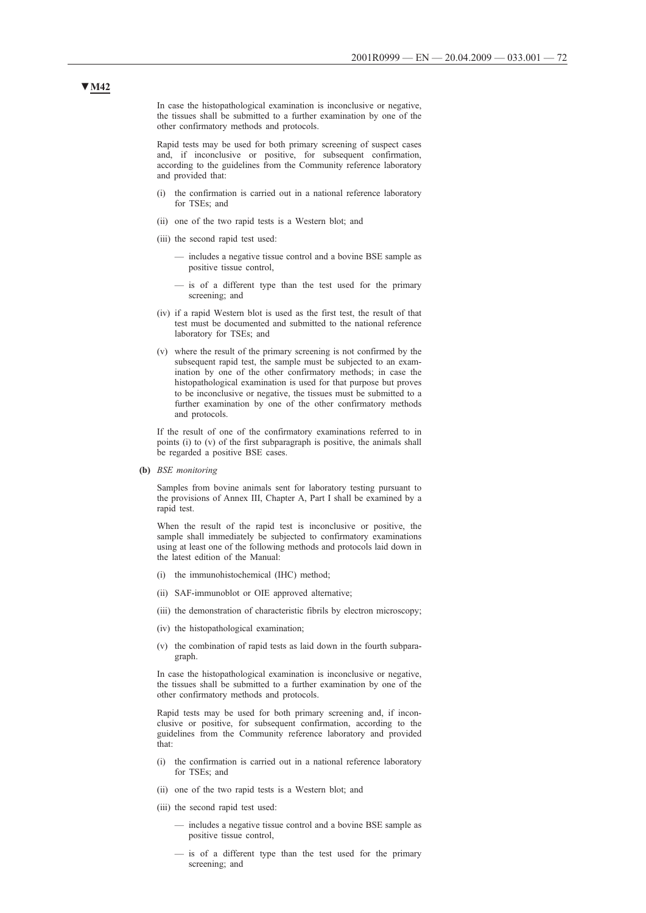In case the histopathological examination is inconclusive or negative, the tissues shall be submitted to a further examination by one of the other confirmatory methods and protocols.

Rapid tests may be used for both primary screening of suspect cases and, if inconclusive or positive, for subsequent confirmation, according to the guidelines from the Community reference laboratory and provided that:

- (i) the confirmation is carried out in a national reference laboratory for TSEs; and
- (ii) one of the two rapid tests is a Western blot; and
- (iii) the second rapid test used:
	- includes a negative tissue control and a bovine BSE sample as positive tissue control,
	- is of a different type than the test used for the primary screening; and
- (iv) if a rapid Western blot is used as the first test, the result of that test must be documented and submitted to the national reference laboratory for TSEs; and
- (v) where the result of the primary screening is not confirmed by the subsequent rapid test, the sample must be subjected to an examination by one of the other confirmatory methods; in case the histopathological examination is used for that purpose but proves to be inconclusive or negative, the tissues must be submitted to a further examination by one of the other confirmatory methods and protocols.

If the result of one of the confirmatory examinations referred to in points (i) to (v) of the first subparagraph is positive, the animals shall be regarded a positive BSE cases.

**(b)** *BSE monitoring*

Samples from bovine animals sent for laboratory testing pursuant to the provisions of Annex III, Chapter A, Part I shall be examined by a rapid test.

When the result of the rapid test is inconclusive or positive, the sample shall immediately be subjected to confirmatory examinations using at least one of the following methods and protocols laid down in the latest edition of the Manual:

- (i) the immunohistochemical (IHC) method;
- (ii) SAF-immunoblot or OIE approved alternative;
- (iii) the demonstration of characteristic fibrils by electron microscopy;
- (iv) the histopathological examination;
- (v) the combination of rapid tests as laid down in the fourth subparagraph.

In case the histopathological examination is inconclusive or negative, the tissues shall be submitted to a further examination by one of the other confirmatory methods and protocols.

Rapid tests may be used for both primary screening and, if inconclusive or positive, for subsequent confirmation, according to the guidelines from the Community reference laboratory and provided that:

- (i) the confirmation is carried out in a national reference laboratory for TSEs; and
- (ii) one of the two rapid tests is a Western blot; and
- (iii) the second rapid test used:
	- includes a negative tissue control and a bovine BSE sample as positive tissue control,
	- is of a different type than the test used for the primary screening; and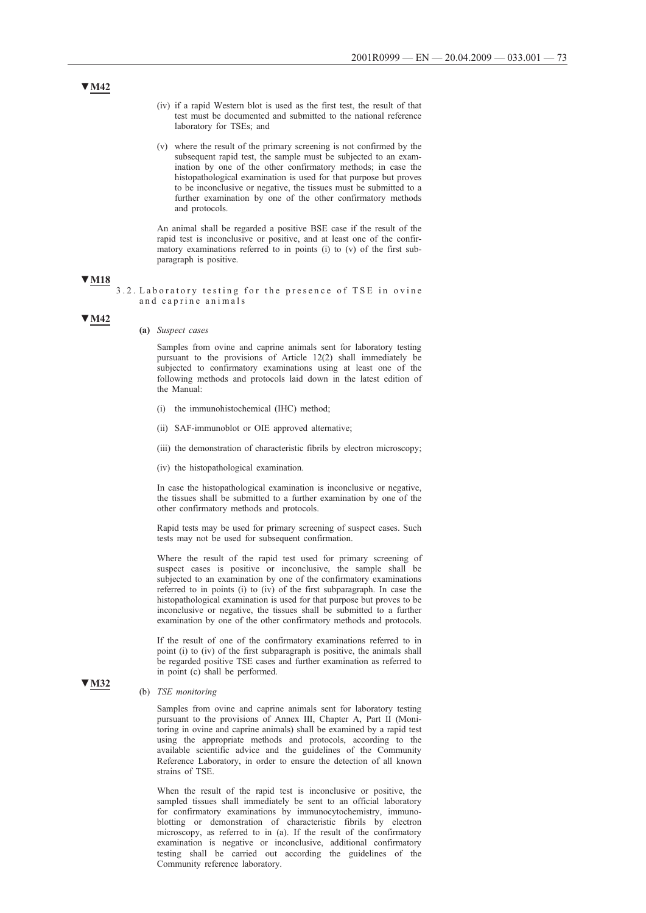- (iv) if a rapid Western blot is used as the first test, the result of that test must be documented and submitted to the national reference laboratory for TSEs; and
- (v) where the result of the primary screening is not confirmed by the subsequent rapid test, the sample must be subjected to an examination by one of the other confirmatory methods; in case the histopathological examination is used for that purpose but proves to be inconclusive or negative, the tissues must be submitted to a further examination by one of the other confirmatory methods and protocols.

An animal shall be regarded a positive BSE case if the result of the rapid test is inconclusive or positive, and at least one of the confirmatory examinations referred to in points (i) to (v) of the first subparagraph is positive.

# **▼M18**

3.2. Laboratory testing for the presence of TSE in ovine and caprine animals

#### **▼M42**

**▼M32**

**(a)** *Suspect cases*

Samples from ovine and caprine animals sent for laboratory testing pursuant to the provisions of Article 12(2) shall immediately be subjected to confirmatory examinations using at least one of the following methods and protocols laid down in the latest edition of the Manual:

- (i) the immunohistochemical (IHC) method;
- (ii) SAF-immunoblot or OIE approved alternative;
- (iii) the demonstration of characteristic fibrils by electron microscopy;
- (iv) the histopathological examination.

In case the histopathological examination is inconclusive or negative, the tissues shall be submitted to a further examination by one of the other confirmatory methods and protocols.

Rapid tests may be used for primary screening of suspect cases. Such tests may not be used for subsequent confirmation.

Where the result of the rapid test used for primary screening of suspect cases is positive or inconclusive, the sample shall be subjected to an examination by one of the confirmatory examinations referred to in points (i) to (iv) of the first subparagraph. In case the histopathological examination is used for that purpose but proves to be inconclusive or negative, the tissues shall be submitted to a further examination by one of the other confirmatory methods and protocols.

If the result of one of the confirmatory examinations referred to in point (i) to (iv) of the first subparagraph is positive, the animals shall be regarded positive TSE cases and further examination as referred to in point (c) shall be performed.

#### (b) *TSE monitoring*

Samples from ovine and caprine animals sent for laboratory testing pursuant to the provisions of Annex III, Chapter A, Part II (Monitoring in ovine and caprine animals) shall be examined by a rapid test using the appropriate methods and protocols, according to the available scientific advice and the guidelines of the Community Reference Laboratory, in order to ensure the detection of all known strains of TSE.

When the result of the rapid test is inconclusive or positive, the sampled tissues shall immediately be sent to an official laboratory for confirmatory examinations by immunocytochemistry, immunoblotting or demonstration of characteristic fibrils by electron microscopy, as referred to in (a). If the result of the confirmatory examination is negative or inconclusive, additional confirmatory testing shall be carried out according the guidelines of the Community reference laboratory.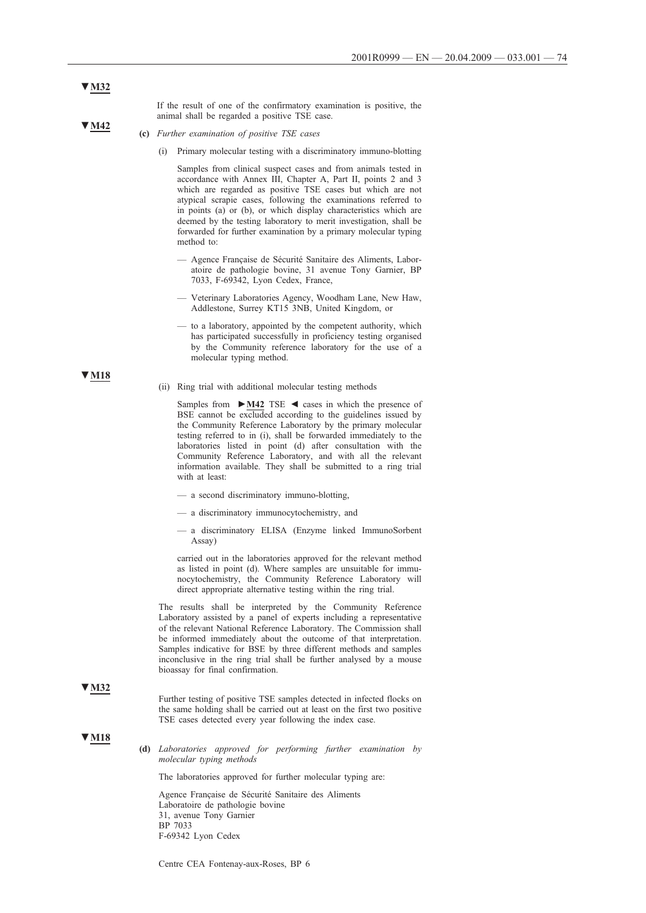If the result of one of the confirmatory examination is positive, the animal shall be regarded a positive TSE case.

**▼M42**

**▼M18**

- **(c)** *Further examination of positive TSE cases*
	- (i) Primary molecular testing with a discriminatory immuno-blotting

Samples from clinical suspect cases and from animals tested in accordance with Annex III, Chapter A, Part II, points 2 and 3 which are regarded as positive TSE cases but which are not atypical scrapie cases, following the examinations referred to in points (a) or (b), or which display characteristics which are deemed by the testing laboratory to merit investigation, shall be forwarded for further examination by a primary molecular typing method to:

- Agence Française de Sécurité Sanitaire des Aliments, Laboratoire de pathologie bovine, 31 avenue Tony Garnier, BP 7033, F-69342, Lyon Cedex, France,
- Veterinary Laboratories Agency, Woodham Lane, New Haw, Addlestone, Surrey KT15 3NB, United Kingdom, or
- to a laboratory, appointed by the competent authority, which has participated successfully in proficiency testing organised by the Community reference laboratory for the use of a molecular typing method.
- (ii) Ring trial with additional molecular testing methods

Samples from **►M42** TSE ◄ cases in which the presence of BSE cannot be excluded according to the guidelines issued by the Community Reference Laboratory by the primary molecular testing referred to in (i), shall be forwarded immediately to the laboratories listed in point (d) after consultation with the Community Reference Laboratory, and with all the relevant information available. They shall be submitted to a ring trial with at least:

- a second discriminatory immuno-blotting,
- a discriminatory immunocytochemistry, and
- a discriminatory ELISA (Enzyme linked ImmunoSorbent Assay)

carried out in the laboratories approved for the relevant method as listed in point (d). Where samples are unsuitable for immunocytochemistry, the Community Reference Laboratory will direct appropriate alternative testing within the ring trial.

The results shall be interpreted by the Community Reference Laboratory assisted by a panel of experts including a representative of the relevant National Reference Laboratory. The Commission shall be informed immediately about the outcome of that interpretation. Samples indicative for BSE by three different methods and samples inconclusive in the ring trial shall be further analysed by a mouse bioassay for final confirmation.

#### **▼M32**

Further testing of positive TSE samples detected in infected flocks on the same holding shall be carried out at least on the first two positive TSE cases detected every year following the index case.

**▼M18**

**(d)** *Laboratories approved for performing further examination by molecular typing methods*

The laboratories approved for further molecular typing are:

Agence Française de Sécurité Sanitaire des Aliments Laboratoire de pathologie bovine 31, avenue Tony Garnier BP 7033 F-69342 Lyon Cedex

Centre CEA Fontenay-aux-Roses, BP 6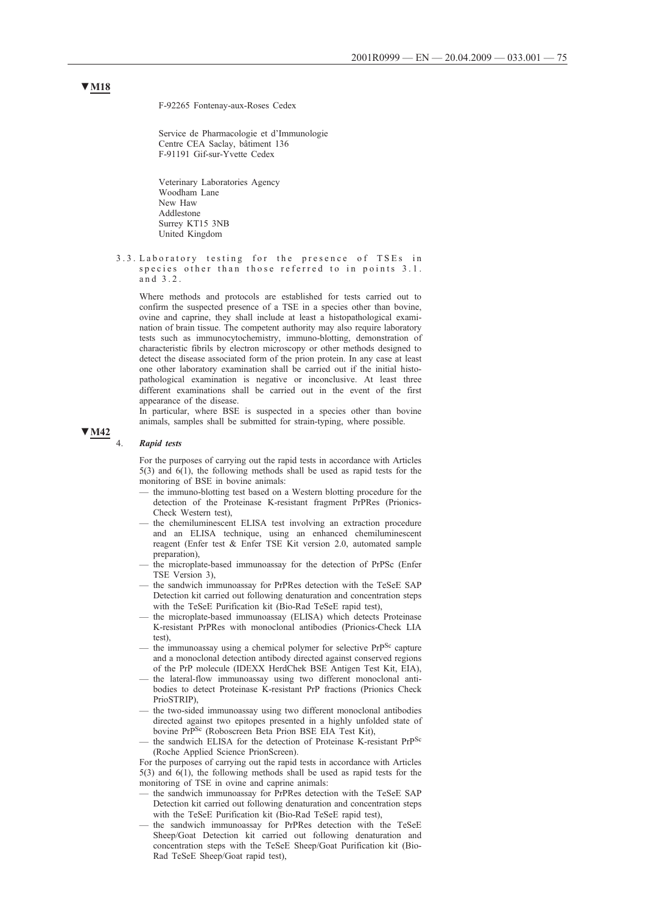F-92265 Fontenay-aux-Roses Cedex

Service de Pharmacologie et d'Immunologie Centre CEA Saclay, bâtiment 136 F-91191 Gif-sur-Yvette Cedex

Veterinary Laboratories Agency Woodham Lane New Haw Addlestone Surrey KT15 3NB United Kingdom

3.3. Laboratory testing for the presence of TSEs in species other than those referred to in points 3.1. and 3.2.

Where methods and protocols are established for tests carried out to confirm the suspected presence of a TSE in a species other than bovine, ovine and caprine, they shall include at least a histopathological examination of brain tissue. The competent authority may also require laboratory tests such as immunocytochemistry, immuno-blotting, demonstration of characteristic fibrils by electron microscopy or other methods designed to detect the disease associated form of the prion protein. In any case at least one other laboratory examination shall be carried out if the initial histopathological examination is negative or inconclusive. At least three different examinations shall be carried out in the event of the first appearance of the disease.

In particular, where BSE is suspected in a species other than bovine animals, samples shall be submitted for strain-typing, where possible.

## **▼M42**

### 4. *Rapid tests*

For the purposes of carrying out the rapid tests in accordance with Articles 5(3) and 6(1), the following methods shall be used as rapid tests for the monitoring of BSE in bovine animals:

- the immuno-blotting test based on a Western blotting procedure for the detection of the Proteinase K-resistant fragment PrPRes (Prionics-Check Western test),
- the chemiluminescent ELISA test involving an extraction procedure and an ELISA technique, using an enhanced chemiluminescent reagent (Enfer test & Enfer TSE Kit version 2.0, automated sample preparation),
- the microplate-based immunoassay for the detection of PrPSc (Enfer TSE Version 3),
- the sandwich immunoassay for PrPRes detection with the TeSeE SAP Detection kit carried out following denaturation and concentration steps with the TeSeE Purification kit (Bio-Rad TeSeE rapid test),
- the microplate-based immunoassay (ELISA) which detects Proteinase K-resistant PrPRes with monoclonal antibodies (Prionics-Check LIA test),
- the immunoassay using a chemical polymer for selective  $Pr^{Sc}$  capture and a monoclonal detection antibody directed against conserved regions of the PrP molecule (IDEXX HerdChek BSE Antigen Test Kit, EIA),
- the lateral-flow immunoassay using two different monoclonal antibodies to detect Proteinase K-resistant PrP fractions (Prionics Check PrioSTRIP),
- the two-sided immunoassay using two different monoclonal antibodies directed against two epitopes presented in a highly unfolded state of bovine PrP<sup>Sc</sup> (Roboscreen Beta Prion BSE EIA Test Kit),
- the sandwich ELISA for the detection of Proteinase K-resistant PrPSc (Roche Applied Science PrionScreen).

For the purposes of carrying out the rapid tests in accordance with Articles 5(3) and 6(1), the following methods shall be used as rapid tests for the monitoring of TSE in ovine and caprine animals:

- the sandwich immunoassay for PrPRes detection with the TeSeE SAP Detection kit carried out following denaturation and concentration steps with the TeSeE Purification kit (Bio-Rad TeSeE rapid test),
- the sandwich immunoassay for PrPRes detection with the TeSeE Sheep/Goat Detection kit carried out following denaturation and concentration steps with the TeSeE Sheep/Goat Purification kit (Bio-Rad TeSeE Sheep/Goat rapid test),